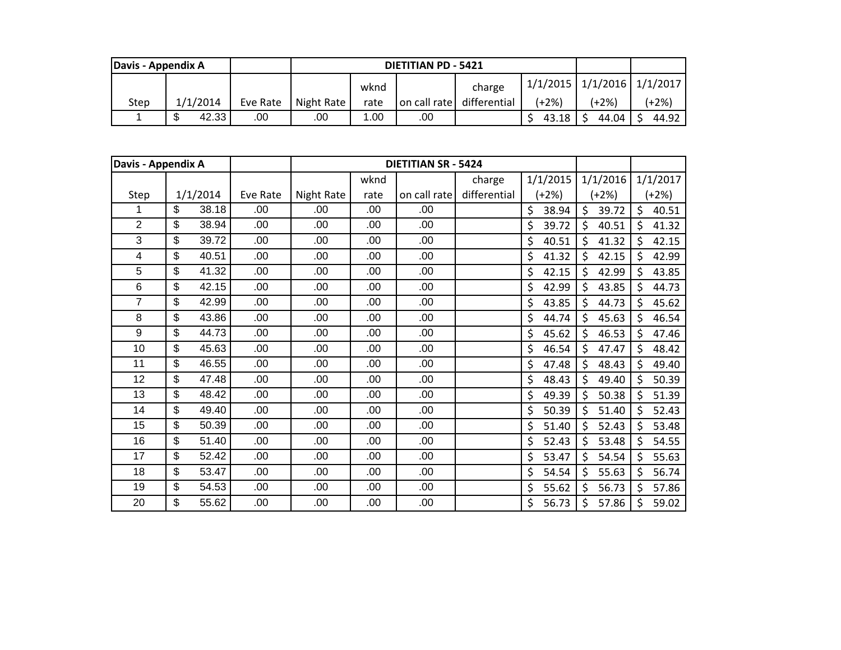| Davis - Appendix A |                        |  |                    |      | <b>DIETITIAN PD - 5421</b> |              |       |                                  |         |
|--------------------|------------------------|--|--------------------|------|----------------------------|--------------|-------|----------------------------------|---------|
|                    |                        |  |                    | wknd |                            |              |       | $1/1/2015$ $1/1/2016$ $1/1/2017$ |         |
| Step               | 1/1/2014<br>Eve Rate   |  | Night Rate         | rate | on call rate               | differential | (+2%) | (+2%)                            | $+2\%)$ |
|                    | ጥ<br>42.33<br>.00<br>ъ |  | .00<br>0.00<br>.00 |      |                            | 43.18        | 44.04 | 44.92                            |         |

| Davis - Appendix A |          |       |          |            |      | <b>DIETITIAN SR - 5424</b> |              |             |             |             |
|--------------------|----------|-------|----------|------------|------|----------------------------|--------------|-------------|-------------|-------------|
|                    |          |       |          |            | wknd |                            | charge       | 1/1/2015    | 1/1/2016    | 1/1/2017    |
| Step               | 1/1/2014 |       | Eve Rate | Night Rate | rate | on call rate               | differential | $(+2%)$     | $(+2%)$     | $(+2%)$     |
| 1                  | \$       | 38.18 | .00      | .00        | .00  | .00                        |              | \$<br>38.94 | \$<br>39.72 | \$<br>40.51 |
| $\overline{2}$     | \$       | 38.94 | .00      | .00        | .00  | .00                        |              | \$<br>39.72 | \$<br>40.51 | \$<br>41.32 |
| 3                  | \$       | 39.72 | .00      | .00        | .00  | .00                        |              | \$<br>40.51 | \$<br>41.32 | \$<br>42.15 |
| 4                  | \$       | 40.51 | .00      | .00        | .00  | .00                        |              | \$<br>41.32 | \$<br>42.15 | \$<br>42.99 |
| 5                  | \$       | 41.32 | .00      | .00        | .00  | .00                        |              | \$<br>42.15 | \$<br>42.99 | \$<br>43.85 |
| 6                  | \$       | 42.15 | .00      | .00        | .00  | .00                        |              | \$<br>42.99 | Ś<br>43.85  | \$<br>44.73 |
| $\overline{7}$     | \$       | 42.99 | .00      | .00        | .00  | .00                        |              | \$<br>43.85 | \$<br>44.73 | \$<br>45.62 |
| 8                  | \$       | 43.86 | .00      | .00        | .00  | .00                        |              | \$<br>44.74 | \$<br>45.63 | \$<br>46.54 |
| 9                  | \$       | 44.73 | .00      | .00        | .00  | .00                        |              | \$<br>45.62 | \$<br>46.53 | \$<br>47.46 |
| 10                 | \$       | 45.63 | .00      | .00        | .00  | .00                        |              | \$<br>46.54 | \$<br>47.47 | \$<br>48.42 |
| 11                 | \$       | 46.55 | .00      | .00        | .00  | .00                        |              | \$<br>47.48 | \$<br>48.43 | \$<br>49.40 |
| 12                 | \$       | 47.48 | .00      | .00        | .00  | .00                        |              | \$<br>48.43 | \$<br>49.40 | \$<br>50.39 |
| 13                 | \$       | 48.42 | .00      | .00        | .00  | .00                        |              | \$<br>49.39 | \$<br>50.38 | \$<br>51.39 |
| 14                 | \$       | 49.40 | .00      | .00        | .00  | .00                        |              | \$<br>50.39 | \$<br>51.40 | Ś.<br>52.43 |
| 15                 | \$       | 50.39 | .00      | .00        | .00  | .00                        |              | \$<br>51.40 | \$<br>52.43 | \$<br>53.48 |
| 16                 | \$       | 51.40 | .00      | .00        | .00  | .00                        |              | \$<br>52.43 | \$<br>53.48 | \$<br>54.55 |
| 17                 | \$       | 52.42 | .00      | .00        | .00  | .00                        |              | \$<br>53.47 | \$<br>54.54 | \$<br>55.63 |
| 18                 | \$       | 53.47 | .00      | .00        | .00  | .00                        |              | \$<br>54.54 | \$<br>55.63 | \$<br>56.74 |
| 19                 | \$       | 54.53 | .00      | .00        | .00  | .00                        |              | \$<br>55.62 | \$<br>56.73 | \$<br>57.86 |
| 20                 | \$       | 55.62 | .00      | .00        | .00  | .00                        |              | \$<br>56.73 | \$<br>57.86 | \$<br>59.02 |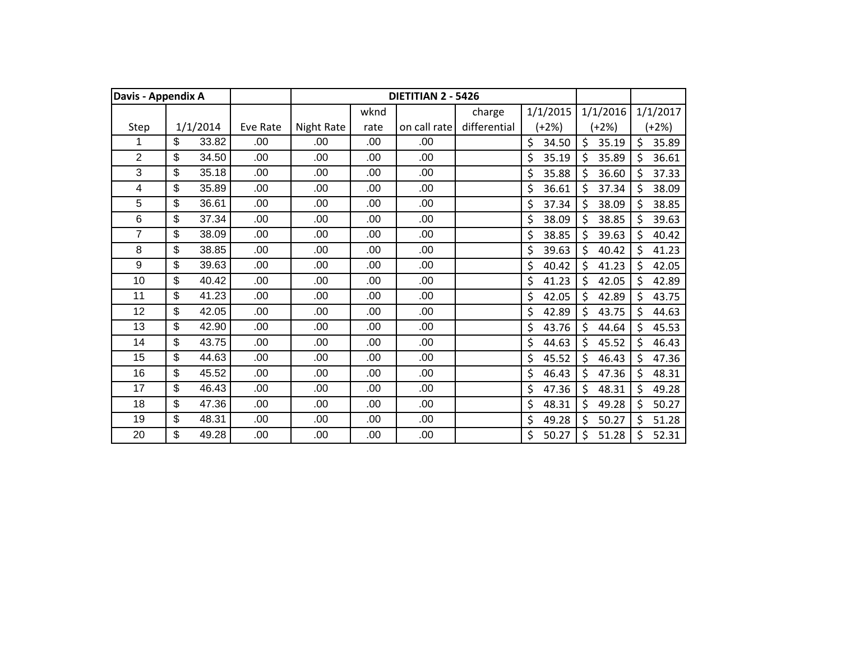| Davis - Appendix A |          |       |          |                   |      | <b>DIETITIAN 2 - 5426</b> |              |             |             |                  |
|--------------------|----------|-------|----------|-------------------|------|---------------------------|--------------|-------------|-------------|------------------|
|                    |          |       |          |                   | wknd |                           | charge       | 1/1/2015    | 1/1/2016    | 1/1/2017         |
| Step               | 1/1/2014 |       | Eve Rate | <b>Night Rate</b> | rate | on call rate              | differential | $(+2%)$     | (+2%)       | $(+2%)$          |
| 1                  | \$       | 33.82 | .00      | .00               | .00  | .00                       |              | \$<br>34.50 | \$<br>35.19 | $\zeta$<br>35.89 |
| $\overline{2}$     | \$       | 34.50 | .00      | .00               | .00  | .00                       |              | \$<br>35.19 | \$<br>35.89 | 36.61<br>\$      |
| 3                  | \$       | 35.18 | .00      | .00               | .00  | .00                       |              | \$<br>35.88 | \$<br>36.60 | \$<br>37.33      |
| 4                  | \$       | 35.89 | .00      | .00               | .00  | .00                       |              | \$<br>36.61 | \$<br>37.34 | \$<br>38.09      |
| 5                  | \$       | 36.61 | .00      | .00               | .00  | .00                       |              | \$<br>37.34 | \$<br>38.09 | \$<br>38.85      |
| 6                  | \$       | 37.34 | .00      | .00               | .00  | .00.                      |              | \$<br>38.09 | \$<br>38.85 | \$<br>39.63      |
| $\overline{7}$     | \$       | 38.09 | .00      | .00               | .00  | .00                       |              | \$<br>38.85 | \$<br>39.63 | \$<br>40.42      |
| 8                  | \$       | 38.85 | .00      | .00               | .00  | .00                       |              | \$<br>39.63 | \$<br>40.42 | \$<br>41.23      |
| 9                  | \$       | 39.63 | .00      | .00               | .00  | .00                       |              | \$<br>40.42 | \$<br>41.23 | \$<br>42.05      |
| 10                 | \$       | 40.42 | .00      | .00               | .00  | .00                       |              | \$<br>41.23 | \$<br>42.05 | \$<br>42.89      |
| 11                 | \$       | 41.23 | .00      | .00               | .00  | .00.                      |              | \$<br>42.05 | \$<br>42.89 | \$<br>43.75      |
| 12                 | \$       | 42.05 | .00      | .00               | 00.  | .00                       |              | \$<br>42.89 | \$<br>43.75 | \$<br>44.63      |
| 13                 | \$       | 42.90 | .00      | .00               | .00  | .00                       |              | \$<br>43.76 | \$<br>44.64 | \$<br>45.53      |
| 14                 | \$       | 43.75 | .00      | .00               | .00  | .00.                      |              | \$<br>44.63 | Ś<br>45.52  | $\zeta$<br>46.43 |
| 15                 | \$       | 44.63 | .00      | .00               | .00  | .00                       |              | \$<br>45.52 | \$<br>46.43 | \$<br>47.36      |
| 16                 | \$       | 45.52 | .00      | .00               | .00  | .00                       |              | \$<br>46.43 | \$<br>47.36 | \$<br>48.31      |
| 17                 | \$       | 46.43 | .00      | .00               | .00  | .00                       |              | \$<br>47.36 | \$<br>48.31 | \$<br>49.28      |
| 18                 | \$       | 47.36 | .00      | .00               | .00  | .00                       |              | \$<br>48.31 | \$<br>49.28 | \$<br>50.27      |
| 19                 | \$       | 48.31 | .00      | .00               | .00  | .00.                      |              | \$<br>49.28 | \$<br>50.27 | \$<br>51.28      |
| 20                 | \$       | 49.28 | .00      | .00               | .00  | .00                       |              | \$<br>50.27 | \$<br>51.28 | \$<br>52.31      |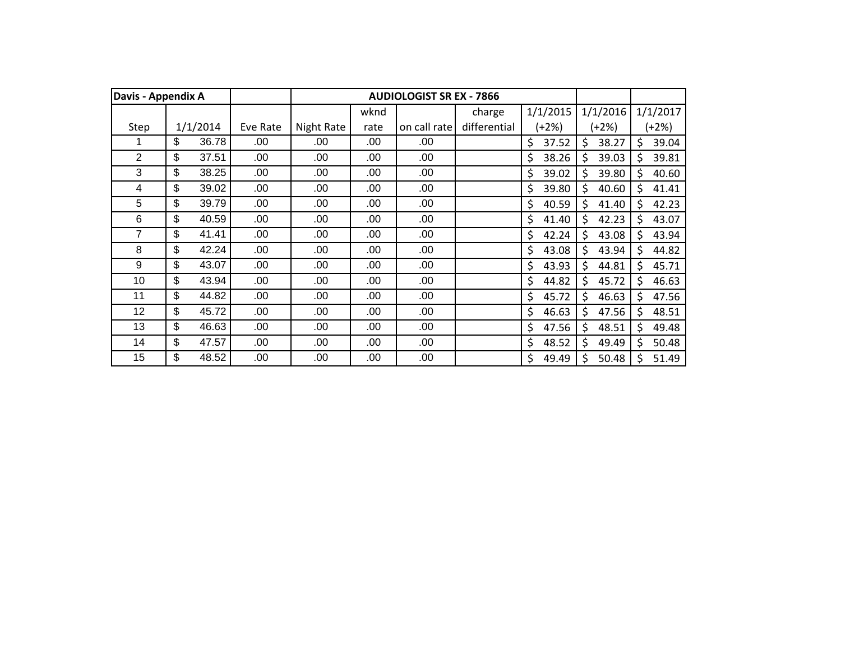| Davis - Appendix A |             |          |            |      | <b>AUDIOLOGIST SR EX - 7866</b> |              |             |             |    |          |
|--------------------|-------------|----------|------------|------|---------------------------------|--------------|-------------|-------------|----|----------|
|                    |             |          |            | wknd |                                 | charge       | 1/1/2015    | 1/1/2016    |    | 1/1/2017 |
| Step               | 1/1/2014    | Eve Rate | Night Rate | rate | on call rate                    | differential | (+2%)       | (+2%)       |    | $(+2%)$  |
|                    | \$<br>36.78 | .00      | .00        | .00  | .00                             |              | \$<br>37.52 | \$<br>38.27 | \$ | 39.04    |
| 2                  | \$<br>37.51 | .00      | .00        | .00  | .00                             |              | \$<br>38.26 | \$<br>39.03 | \$ | 39.81    |
| 3                  | \$<br>38.25 | .00      | .00        | .00  | .00                             |              | \$<br>39.02 | Ś.<br>39.80 | \$ | 40.60    |
| 4                  | \$<br>39.02 | .00      | .00        | .00  | .00                             |              | \$<br>39.80 | \$<br>40.60 | Ś  | 41.41    |
| 5                  | \$<br>39.79 | .00      | .00        | .00  | .00                             |              | \$<br>40.59 | \$<br>41.40 | \$ | 42.23    |
| 6                  | \$<br>40.59 | .00      | .00        | .00  | .00                             |              | \$<br>41.40 | \$<br>42.23 | \$ | 43.07    |
| 7                  | \$<br>41.41 | .00      | .00        | .00  | .00                             |              | \$<br>42.24 | \$<br>43.08 | \$ | 43.94    |
| 8                  | \$<br>42.24 | .00      | .00        | .00  | .00                             |              | \$<br>43.08 | \$<br>43.94 | \$ | 44.82    |
| 9                  | \$<br>43.07 | .00      | .00        | .00  | .00                             |              | \$<br>43.93 | \$<br>44.81 | \$ | 45.71    |
| 10                 | \$<br>43.94 | .00      | .00        | .00  | .00                             |              | \$<br>44.82 | \$<br>45.72 | \$ | 46.63    |
| 11                 | \$<br>44.82 | .00.     | .00        | .00  | .00                             |              | \$<br>45.72 | \$<br>46.63 | \$ | 47.56    |
| 12                 | \$<br>45.72 | .00.     | .00        | .00  | .00                             |              | \$<br>46.63 | \$<br>47.56 | \$ | 48.51    |
| 13                 | \$<br>46.63 | .00      | .00        | .00  | .00.                            |              | \$<br>47.56 | \$<br>48.51 | \$ | 49.48    |
| 14                 | \$<br>47.57 | .00      | .00        | .00  | .00                             |              | \$<br>48.52 | \$<br>49.49 | Ś  | 50.48    |
| 15                 | \$<br>48.52 | .00      | .00        | .00  | .00                             |              | \$<br>49.49 | Ś<br>50.48  | Ś  | 51.49    |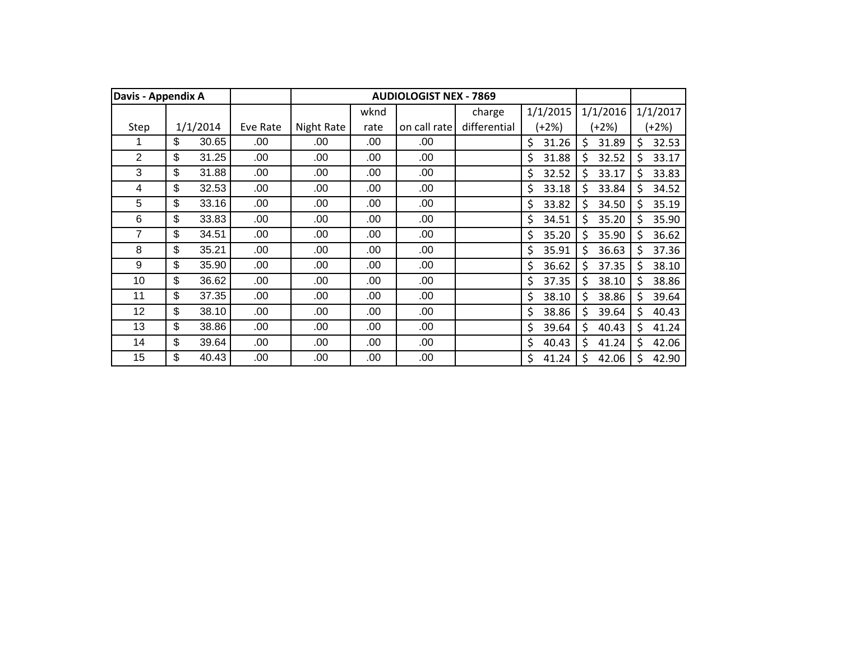| Davis - Appendix A |             |          |            |      | <b>AUDIOLOGIST NEX - 7869</b> |              |             |             |    |          |
|--------------------|-------------|----------|------------|------|-------------------------------|--------------|-------------|-------------|----|----------|
|                    |             |          |            | wknd |                               | charge       | 1/1/2015    | 1/1/2016    |    | 1/1/2017 |
| Step               | 1/1/2014    | Eve Rate | Night Rate | rate | on call rate                  | differential | $(+2%)$     | (+2%)       |    | $(+2%)$  |
|                    | \$<br>30.65 | .00      | .00        | .00  | .00                           |              | \$<br>31.26 | \$<br>31.89 | \$ | 32.53    |
| 2                  | \$<br>31.25 | .00      | .00        | .00  | .00                           |              | \$<br>31.88 | \$<br>32.52 | \$ | 33.17    |
| 3                  | \$<br>31.88 | .00      | .00        | .00  | .00                           |              | \$<br>32.52 | Ś.<br>33.17 | \$ | 33.83    |
| 4                  | \$<br>32.53 | .00      | .00        | .00  | .00                           |              | \$<br>33.18 | \$<br>33.84 | Ś  | 34.52    |
| 5                  | \$<br>33.16 | .00      | .00        | .00  | .00                           |              | \$<br>33.82 | \$<br>34.50 | \$ | 35.19    |
| 6                  | \$<br>33.83 | .00      | .00        | .00  | .00                           |              | \$<br>34.51 | \$<br>35.20 | \$ | 35.90    |
| 7                  | \$<br>34.51 | .00      | .00        | .00  | .00                           |              | \$<br>35.20 | \$<br>35.90 | \$ | 36.62    |
| 8                  | \$<br>35.21 | .00      | .00        | .00  | .00                           |              | \$<br>35.91 | \$<br>36.63 | \$ | 37.36    |
| 9                  | \$<br>35.90 | .00      | .00        | .00  | .00                           |              | \$<br>36.62 | \$<br>37.35 | \$ | 38.10    |
| 10                 | \$<br>36.62 | .00      | .00        | .00  | .00                           |              | \$<br>37.35 | 38.10<br>\$ | \$ | 38.86    |
| 11                 | \$<br>37.35 | .00.     | .00        | .00  | .00                           |              | \$<br>38.10 | \$<br>38.86 | \$ | 39.64    |
| 12                 | \$<br>38.10 | .00.     | .00        | .00  | .00                           |              | \$<br>38.86 | \$<br>39.64 | \$ | 40.43    |
| 13                 | \$<br>38.86 | .00.     | .00        | .00  | .00.                          |              | \$<br>39.64 | \$<br>40.43 | \$ | 41.24    |
| 14                 | \$<br>39.64 | .00.     | .00        | .00  | .00                           |              | \$<br>40.43 | \$<br>41.24 | Ś  | 42.06    |
| 15                 | \$<br>40.43 | .00      | .00        | .00  | .00                           |              | \$<br>41.24 | Ś<br>42.06  |    | 42.90    |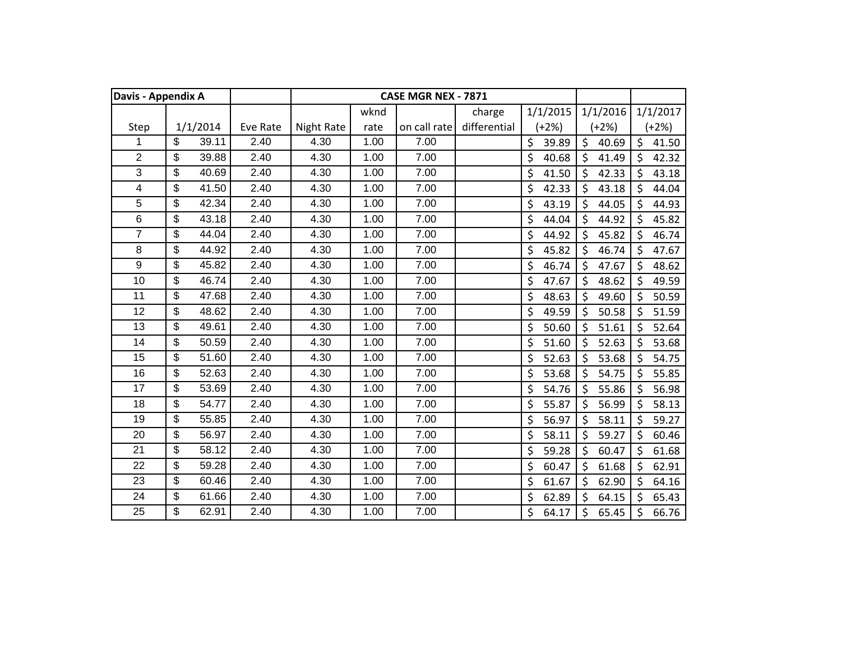| Davis - Appendix A |                         |       |          |                   |      | CASE MGR NEX - 7871 |              |             |             |             |
|--------------------|-------------------------|-------|----------|-------------------|------|---------------------|--------------|-------------|-------------|-------------|
|                    |                         |       |          |                   | wknd |                     | charge       | 1/1/2015    | 1/1/2016    | 1/1/2017    |
| Step               | 1/1/2014                |       | Eve Rate | <b>Night Rate</b> | rate | on call rate        | differential | $(+2%)$     | $(+2%)$     | (+2%)       |
| 1                  | \$                      | 39.11 | 2.40     | 4.30              | 1.00 | 7.00                |              | \$<br>39.89 | \$<br>40.69 | \$<br>41.50 |
| $\overline{2}$     | \$                      | 39.88 | 2.40     | 4.30              | 1.00 | 7.00                |              | \$<br>40.68 | \$<br>41.49 | \$<br>42.32 |
| 3                  | \$                      | 40.69 | 2.40     | 4.30              | 1.00 | 7.00                |              | \$<br>41.50 | \$<br>42.33 | \$<br>43.18 |
| 4                  | \$                      | 41.50 | 2.40     | 4.30              | 1.00 | 7.00                |              | \$<br>42.33 | \$<br>43.18 | \$<br>44.04 |
| 5                  | \$                      | 42.34 | 2.40     | 4.30              | 1.00 | 7.00                |              | \$<br>43.19 | \$<br>44.05 | \$<br>44.93 |
| 6                  | $\overline{\mathbf{S}}$ | 43.18 | 2.40     | 4.30              | 1.00 | 7.00                |              | \$<br>44.04 | \$<br>44.92 | \$<br>45.82 |
| $\overline{7}$     | \$                      | 44.04 | 2.40     | 4.30              | 1.00 | 7.00                |              | \$<br>44.92 | \$<br>45.82 | \$<br>46.74 |
| 8                  | \$                      | 44.92 | 2.40     | 4.30              | 1.00 | 7.00                |              | \$<br>45.82 | \$<br>46.74 | \$<br>47.67 |
| 9                  | \$                      | 45.82 | 2.40     | 4.30              | 1.00 | 7.00                |              | \$<br>46.74 | \$<br>47.67 | \$<br>48.62 |
| 10                 | \$                      | 46.74 | 2.40     | 4.30              | 1.00 | 7.00                |              | \$<br>47.67 | \$<br>48.62 | \$<br>49.59 |
| 11                 | \$                      | 47.68 | 2.40     | 4.30              | 1.00 | 7.00                |              | \$<br>48.63 | \$<br>49.60 | \$<br>50.59 |
| 12                 | \$                      | 48.62 | 2.40     | 4.30              | 1.00 | 7.00                |              | \$<br>49.59 | \$<br>50.58 | \$<br>51.59 |
| 13                 | \$                      | 49.61 | 2.40     | 4.30              | 1.00 | 7.00                |              | \$<br>50.60 | \$<br>51.61 | \$<br>52.64 |
| 14                 | \$                      | 50.59 | 2.40     | 4.30              | 1.00 | 7.00                |              | \$<br>51.60 | \$<br>52.63 | \$<br>53.68 |
| 15                 | $\overline{\mathbf{S}}$ | 51.60 | 2.40     | 4.30              | 1.00 | 7.00                |              | \$<br>52.63 | \$<br>53.68 | \$<br>54.75 |
| 16                 | \$                      | 52.63 | 2.40     | 4.30              | 1.00 | 7.00                |              | \$<br>53.68 | \$<br>54.75 | \$<br>55.85 |
| 17                 | \$                      | 53.69 | 2.40     | 4.30              | 1.00 | 7.00                |              | \$<br>54.76 | 55.86<br>\$ | \$<br>56.98 |
| 18                 | \$                      | 54.77 | 2.40     | 4.30              | 1.00 | 7.00                |              | \$<br>55.87 | \$<br>56.99 | \$<br>58.13 |
| 19                 | \$                      | 55.85 | 2.40     | 4.30              | 1.00 | 7.00                |              | \$<br>56.97 | \$<br>58.11 | \$<br>59.27 |
| 20                 | \$                      | 56.97 | 2.40     | 4.30              | 1.00 | 7.00                |              | \$<br>58.11 | \$<br>59.27 | \$<br>60.46 |
| 21                 | \$                      | 58.12 | 2.40     | 4.30              | 1.00 | 7.00                |              | \$<br>59.28 | \$<br>60.47 | \$<br>61.68 |
| 22                 | \$                      | 59.28 | 2.40     | 4.30              | 1.00 | 7.00                |              | \$<br>60.47 | \$<br>61.68 | \$<br>62.91 |
| 23                 | \$                      | 60.46 | 2.40     | 4.30              | 1.00 | 7.00                |              | \$<br>61.67 | \$<br>62.90 | \$<br>64.16 |
| 24                 | \$                      | 61.66 | 2.40     | 4.30              | 1.00 | 7.00                |              | \$<br>62.89 | \$<br>64.15 | \$<br>65.43 |
| 25                 | \$                      | 62.91 | 2.40     | 4.30              | 1.00 | 7.00                |              | \$<br>64.17 | \$<br>65.45 | Ś<br>66.76  |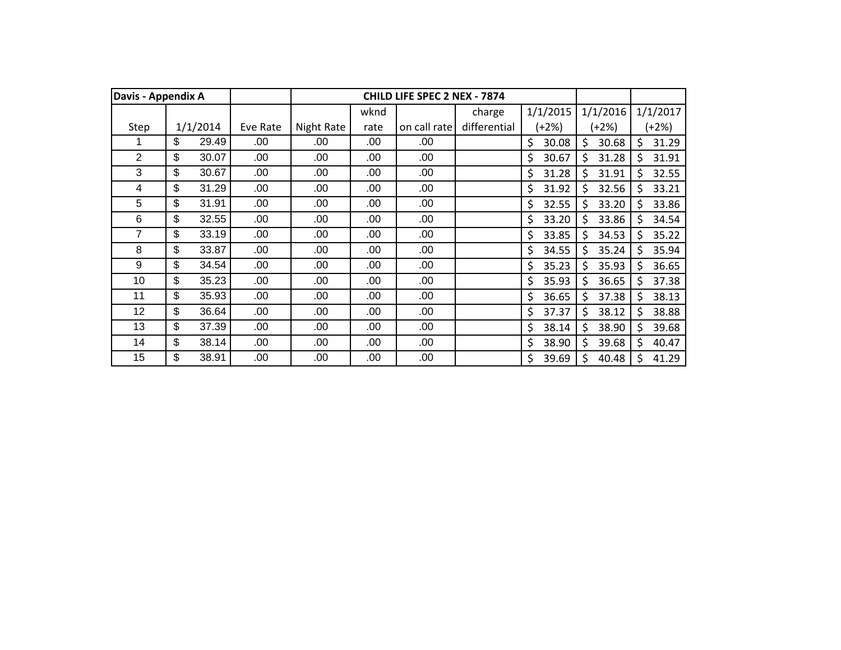| Davis - Appendix A |             |          |            |      | <b>CHILD LIFE SPEC 2 NEX - 7874</b> |              |             |             |     |          |
|--------------------|-------------|----------|------------|------|-------------------------------------|--------------|-------------|-------------|-----|----------|
|                    |             |          |            | wknd |                                     | charge       | 1/1/2015    | 1/1/2016    |     | 1/1/2017 |
| Step               | 1/1/2014    | Eve Rate | Night Rate | rate | on call rate                        | differential | (+2%)       | (+2%)       |     | $(+2%)$  |
|                    | \$<br>29.49 | .00      | .00        | .00  | .00                                 |              | \$<br>30.08 | \$<br>30.68 | \$  | 31.29    |
| $\overline{2}$     | \$<br>30.07 | .00      | .00        | .00  | .00                                 |              | \$<br>30.67 | \$<br>31.28 | \$  | 31.91    |
| 3                  | \$<br>30.67 | .00      | .00        | .00  | .00                                 |              | \$<br>31.28 | \$<br>31.91 | Ś   | 32.55    |
| 4                  | \$<br>31.29 | .00      | .00        | .00  | .00                                 |              | \$<br>31.92 | Ś.<br>32.56 | \$. | 33.21    |
| 5                  | \$<br>31.91 | .00      | .00        | .00  | .00                                 |              | \$<br>32.55 | 33.20<br>Ś  | \$  | 33.86    |
| 6                  | \$<br>32.55 | .00      | .00        | .00  | .00                                 |              | \$<br>33.20 | \$<br>33.86 | \$  | 34.54    |
| 7                  | \$<br>33.19 | .00      | .00        | .00  | .00                                 |              | \$<br>33.85 | \$<br>34.53 | \$  | 35.22    |
| 8                  | \$<br>33.87 | .00      | .00        | .00  | .00                                 |              | \$<br>34.55 | \$<br>35.24 | \$  | 35.94    |
| 9                  | \$<br>34.54 | .00      | .00        | .00  | .00                                 |              | \$<br>35.23 | \$<br>35.93 | \$  | 36.65    |
| 10                 | \$<br>35.23 | .00      | .00        | .00  | .00                                 |              | \$<br>35.93 | 36.65<br>\$ | \$  | 37.38    |
| 11                 | \$<br>35.93 | .00.     | .00        | .00  | .00                                 |              | \$<br>36.65 | \$<br>37.38 | \$  | 38.13    |
| 12                 | \$<br>36.64 | .00.     | .00        | .00  | .00.                                |              | \$<br>37.37 | \$<br>38.12 | \$  | 38.88    |
| 13                 | \$<br>37.39 | .00.     | .00        | .00  | .00.                                |              | \$<br>38.14 | \$<br>38.90 | \$  | 39.68    |
| 14                 | \$<br>38.14 | .00.     | .00        | .00  | .00                                 |              | \$<br>38.90 | \$<br>39.68 | Ś   | 40.47    |
| 15                 | \$<br>38.91 | .00      | .00        | .00  | .00                                 |              | \$<br>39.69 | Ś<br>40.48  | Ś   | 41.29    |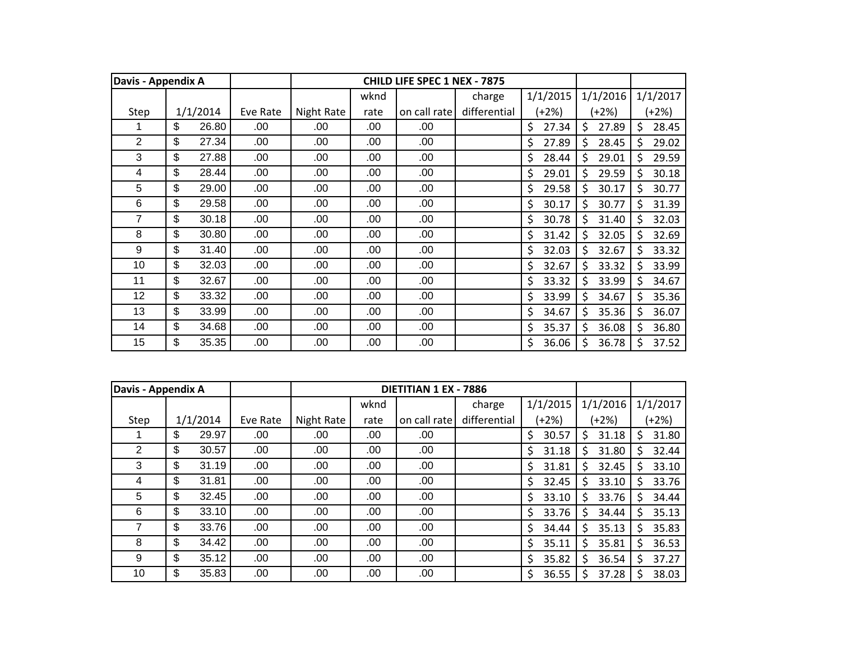| Davis - Appendix A |             |          |            |      | <b>CHILD LIFE SPEC 1 NEX - 7875</b> |              |             |             |    |          |
|--------------------|-------------|----------|------------|------|-------------------------------------|--------------|-------------|-------------|----|----------|
|                    |             |          |            | wknd |                                     | charge       | 1/1/2015    | 1/1/2016    |    | 1/1/2017 |
| Step               | 1/1/2014    | Eve Rate | Night Rate | rate | on call rate                        | differential | (+2%)       | (+2%)       |    | $(+2%)$  |
|                    | \$<br>26.80 | .00.     | .00        | .00  | .00                                 |              | \$<br>27.34 | \$<br>27.89 | \$ | 28.45    |
| $\overline{2}$     | \$<br>27.34 | .00      | .00        | .00  | .00                                 |              | \$<br>27.89 | \$<br>28.45 | \$ | 29.02    |
| 3                  | \$<br>27.88 | .00      | .00        | .00  | .00                                 |              | \$<br>28.44 | \$<br>29.01 | \$ | 29.59    |
| 4                  | \$<br>28.44 | .00.     | .00        | .00  | .00                                 |              | \$<br>29.01 | Ś<br>29.59  | \$ | 30.18    |
| 5                  | \$<br>29.00 | .00      | .00        | .00  | .00                                 |              | \$<br>29.58 | \$<br>30.17 | Ś  | 30.77    |
| 6                  | \$<br>29.58 | .00.     | .00        | .00  | .00                                 |              | \$<br>30.17 | \$<br>30.77 | \$ | 31.39    |
| 7                  | \$<br>30.18 | .00      | .00        | .00  | .00                                 |              | \$<br>30.78 | \$<br>31.40 | \$ | 32.03    |
| 8                  | \$<br>30.80 | .00      | .00        | .00  | .00                                 |              | \$<br>31.42 | \$<br>32.05 | \$ | 32.69    |
| 9                  | \$<br>31.40 | .00.     | .00        | .00  | .00                                 |              | \$<br>32.03 | \$<br>32.67 | Ś  | 33.32    |
| 10                 | \$<br>32.03 | .00      | .00        | .00  | .00                                 |              | \$<br>32.67 | \$<br>33.32 | \$ | 33.99    |
| 11                 | \$<br>32.67 | .00      | .00        | .00  | .00                                 |              | \$<br>33.32 | \$<br>33.99 | \$ | 34.67    |
| 12                 | \$<br>33.32 | .00.     | .00        | .00  | .00                                 |              | \$<br>33.99 | \$<br>34.67 | \$ | 35.36    |
| 13                 | \$<br>33.99 | .00      | .00        | .00  | .00                                 |              | \$<br>34.67 | \$<br>35.36 | \$ | 36.07    |
| 14                 | \$<br>34.68 | .00.     | .00        | .00  | .00                                 |              | \$<br>35.37 | \$<br>36.08 | \$ | 36.80    |
| 15                 | \$<br>35.35 | .00      | .00        | .00  | .00                                 |              | \$<br>36.06 | \$<br>36.78 | S  | 37.52    |

|      | Davis - Appendix A |          |          |            |      | DIETITIAN 1 EX - 7886 |              |             |             |            |
|------|--------------------|----------|----------|------------|------|-----------------------|--------------|-------------|-------------|------------|
|      |                    |          |          |            | wknd |                       | charge       | 1/1/2015    | 1/1/2016    | 1/1/2017   |
| Step |                    | 1/1/2014 | Eve Rate | Night Rate | rate | on call rate          | differential | (+2%)       | (+2%)       | $(+2%)$    |
|      | \$                 | 29.97    | .00      | .00        | .00  | .00                   |              | \$<br>30.57 | \$<br>31.18 | 31.80      |
| 2    | \$                 | 30.57    | .00      | .00        | .00  | .00                   |              | 31.18<br>\$ | 31.80<br>Ś. | 32.44      |
| 3    | \$                 | 31.19    | .00.     | .00        | .00  | .00                   |              | \$<br>31.81 | Ś.<br>32.45 | 33.10      |
| 4    | \$                 | 31.81    | .00      | .00        | .00  | .00                   |              | 32.45<br>\$ | Ś.<br>33.10 | 33.76<br>Ś |
| 5    | \$                 | 32.45    | .00.     | .00        | .00  | .00                   |              | \$<br>33.10 | Ś.<br>33.76 | 34.44      |
| 6    | \$                 | 33.10    | .00      | .00        | .00  | .00                   |              | 33.76<br>S  | S.<br>34.44 | 35.13      |
|      | \$                 | 33.76    | .00      | .00        | .00  | .00                   |              | \$<br>34.44 | 35.13<br>Ś. | 35.83      |
| 8    | \$                 | 34.42    | .00.     | .00        | .00  | .00                   |              | 35.11<br>\$ | Ś.<br>35.81 | 36.53      |
| 9    | \$                 | 35.12    | .00      | .00        | .00  | .00                   |              | 35.82<br>\$ | 36.54<br>Ś. | 37.27      |
| 10   | \$                 | 35.83    | .00      | .00        | .00  | .00                   |              | 36.55<br>\$ | \$<br>37.28 | 38.03      |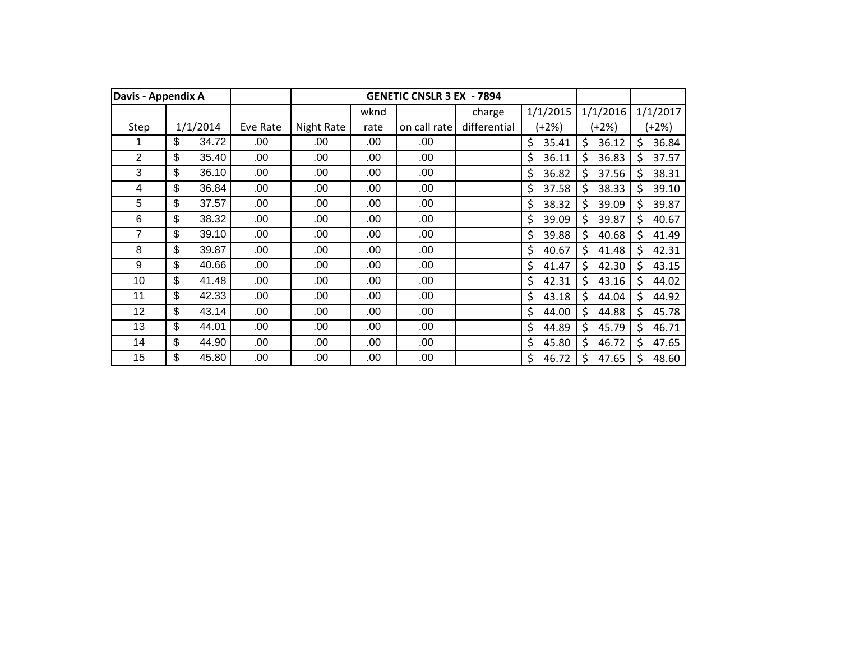| Davis - Appendix A |             |          |            |      | <b>GENETIC CNSLR 3 EX - 7894</b> |              |             |             |    |          |
|--------------------|-------------|----------|------------|------|----------------------------------|--------------|-------------|-------------|----|----------|
|                    |             |          |            | wknd |                                  | charge       | 1/1/2015    | 1/1/2016    |    | 1/1/2017 |
| Step               | 1/1/2014    | Eve Rate | Night Rate | rate | on call rate                     | differential | (+2%)       | (+2%)       |    | $(+2%)$  |
|                    | \$<br>34.72 | .00      | .00        | .00  | .00                              |              | \$<br>35.41 | \$<br>36.12 | \$ | 36.84    |
| $\overline{2}$     | \$<br>35.40 | .00      | .00        | .00  | .00                              |              | \$<br>36.11 | Ś<br>36.83  | Ś. | 37.57    |
| 3                  | \$<br>36.10 | .00      | .00        | .00  | .00                              |              | \$<br>36.82 | Ś<br>37.56  | Ś. | 38.31    |
| 4                  | \$<br>36.84 | .00      | .00        | .00  | .00                              |              | \$<br>37.58 | \$<br>38.33 | Ś. | 39.10    |
| 5                  | \$<br>37.57 | .00      | .00        | .00  | .00                              |              | \$<br>38.32 | \$<br>39.09 | \$ | 39.87    |
| 6                  | \$<br>38.32 | .00      | .00        | .00  | .00                              |              | \$<br>39.09 | \$<br>39.87 | \$ | 40.67    |
| 7                  | \$<br>39.10 | .00      | .00        | .00  | .00                              |              | \$<br>39.88 | \$<br>40.68 | \$ | 41.49    |
| 8                  | \$<br>39.87 | .00      | .00        | .00  | .00                              |              | \$<br>40.67 | \$<br>41.48 | \$ | 42.31    |
| 9                  | \$<br>40.66 | .00      | .00        | .00  | .00                              |              | \$<br>41.47 | \$<br>42.30 | \$ | 43.15    |
| 10                 | \$<br>41.48 | .00      | .00        | .00  | .00                              |              | \$<br>42.31 | \$<br>43.16 | \$ | 44.02    |
| 11                 | \$<br>42.33 | .00      | .00        | .00  | .00                              |              | \$<br>43.18 | \$<br>44.04 | \$ | 44.92    |
| 12                 | \$<br>43.14 | .00      | .00        | .00  | .00.                             |              | \$<br>44.00 | \$<br>44.88 | \$ | 45.78    |
| 13                 | \$<br>44.01 | .00      | .00        | .00  | .00.                             |              | \$<br>44.89 | \$<br>45.79 | Ś. | 46.71    |
| 14                 | \$<br>44.90 | .00      | .00        | .00  | .00                              |              | \$<br>45.80 | \$<br>46.72 | Ś  | 47.65    |
| 15                 | \$<br>45.80 | .00      | .00        | .00  | .00                              |              | \$<br>46.72 | Ś<br>47.65  | Ś  | 48.60    |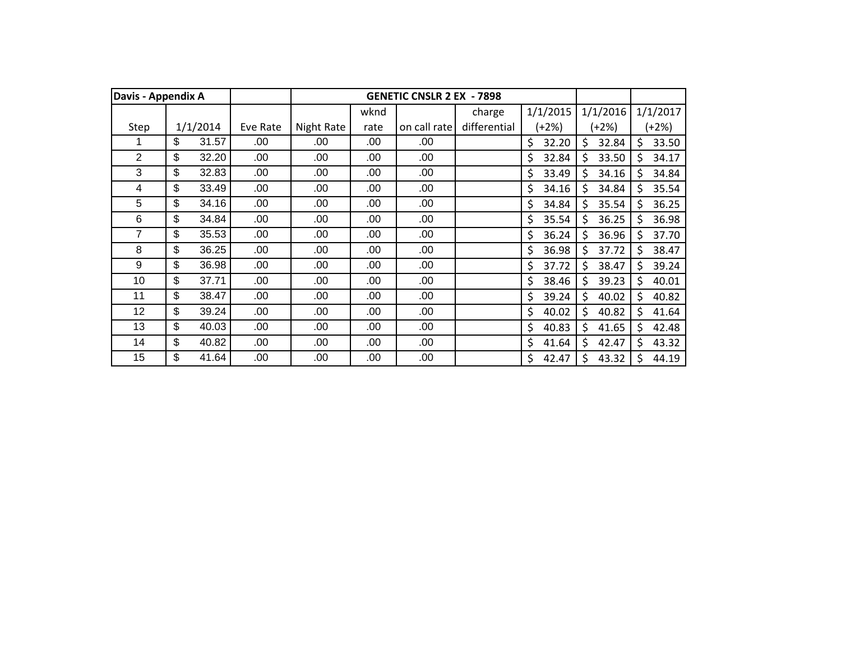| Davis - Appendix A |             |          |            |      | <b>GENETIC CNSLR 2 EX - 7898</b> |              |             |             |              |          |
|--------------------|-------------|----------|------------|------|----------------------------------|--------------|-------------|-------------|--------------|----------|
|                    |             |          |            | wknd |                                  | charge       | 1/1/2015    | 1/1/2016    |              | 1/1/2017 |
| Step               | 1/1/2014    | Eve Rate | Night Rate | rate | on call rate                     | differential | (+2%)       | (+2%)       |              | $(+2%)$  |
|                    | \$<br>31.57 | .00      | .00        | .00  | .00                              |              | \$<br>32.20 | \$<br>32.84 | \$           | 33.50    |
| 2                  | \$<br>32.20 | .00      | .00        | .00  | .00                              |              | \$<br>32.84 | \$<br>33.50 | \$           | 34.17    |
| 3                  | \$<br>32.83 | .00      | .00        | .00  | .00                              |              | \$<br>33.49 | \$<br>34.16 | \$           | 34.84    |
| 4                  | \$<br>33.49 | .00      | .00        | .00  | .00                              |              | \$<br>34.16 | Ś<br>34.84  | Ś            | 35.54    |
| 5                  | \$<br>34.16 | .00      | .00        | .00  | .00                              |              | \$<br>34.84 | \$<br>35.54 | \$           | 36.25    |
| 6                  | \$<br>34.84 | .00      | .00        | .00  | .00                              |              | \$<br>35.54 | \$<br>36.25 | \$           | 36.98    |
| 7                  | \$<br>35.53 | .00      | .00        | .00  | .00                              |              | \$<br>36.24 | \$<br>36.96 | \$           | 37.70    |
| 8                  | \$<br>36.25 | .00      | .00        | .00  | .00                              |              | \$<br>36.98 | \$<br>37.72 | \$           | 38.47    |
| 9                  | \$<br>36.98 | .00      | .00        | .00  | .00                              |              | \$<br>37.72 | \$<br>38.47 | \$           | 39.24    |
| 10                 | \$<br>37.71 | .00      | .00        | .00  | .00                              |              | \$<br>38.46 | 39.23<br>\$ | \$           | 40.01    |
| 11                 | \$<br>38.47 | .00.     | .00        | .00  | .00                              |              | \$<br>39.24 | \$<br>40.02 | \$           | 40.82    |
| 12                 | \$<br>39.24 | .00.     | .00        | .00  | .00                              |              | \$<br>40.02 | \$<br>40.82 | \$           | 41.64    |
| 13                 | \$<br>40.03 | .00      | .00        | .00  | .00.                             |              | \$<br>40.83 | \$<br>41.65 | Ś.           | 42.48    |
| 14                 | \$<br>40.82 | .00      | .00        | .00  | .00                              |              | \$<br>41.64 | \$<br>42.47 | Ś            | 43.32    |
| 15                 | \$<br>41.64 | .00      | .00        | .00  | .00                              |              | Ś<br>42.47  | Ś<br>43.32  | <sup>5</sup> | 44.19    |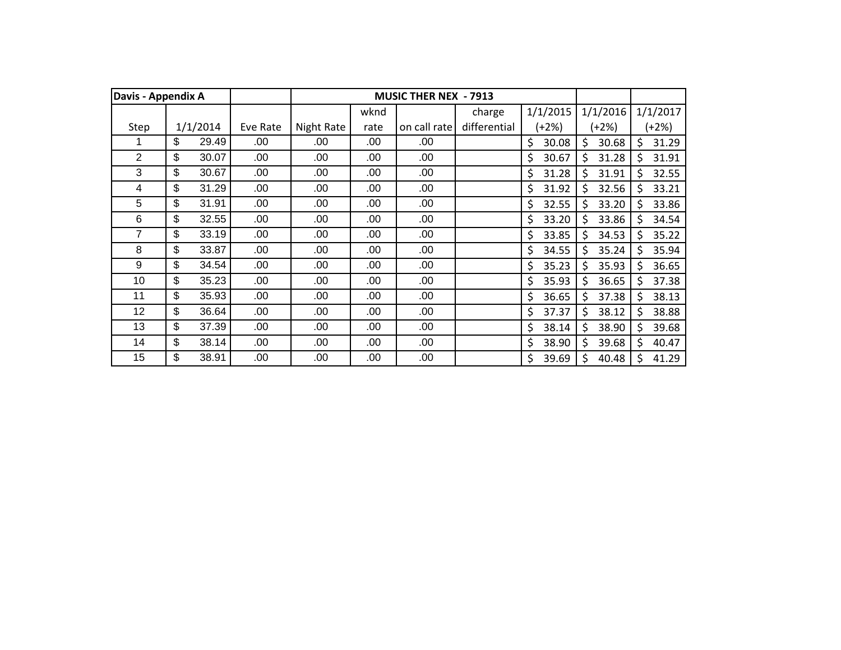| Davis - Appendix A |             |          |            |      | <b>MUSIC THER NEX - 7913</b> |              |             |             |     |          |
|--------------------|-------------|----------|------------|------|------------------------------|--------------|-------------|-------------|-----|----------|
|                    |             |          |            | wknd |                              | charge       | 1/1/2015    | 1/1/2016    |     | 1/1/2017 |
| Step               | 1/1/2014    | Eve Rate | Night Rate | rate | on call rate                 | differential | $(+2%)$     | (+2%)       |     | $(+2%)$  |
|                    | \$<br>29.49 | .00      | .00        | .00  | .00                          |              | \$<br>30.08 | \$<br>30.68 | \$  | 31.29    |
| 2                  | \$<br>30.07 | .00      | .00        | .00  | .00                          |              | \$<br>30.67 | \$<br>31.28 | \$  | 31.91    |
| 3                  | \$<br>30.67 | .00      | .00        | .00  | .00                          |              | \$<br>31.28 | \$<br>31.91 | Ś   | 32.55    |
| 4                  | \$<br>31.29 | .00      | .00        | .00  | .00                          |              | \$<br>31.92 | Ś.<br>32.56 | \$. | 33.21    |
| 5                  | \$<br>31.91 | .00      | .00        | .00  | .00                          |              | \$<br>32.55 | 33.20<br>Ś  | \$  | 33.86    |
| 6                  | \$<br>32.55 | .00.     | .00        | .00  | .00                          |              | \$<br>33.20 | \$<br>33.86 | \$  | 34.54    |
| 7                  | \$<br>33.19 | .00.     | .00        | .00  | .00                          |              | \$<br>33.85 | \$<br>34.53 | \$  | 35.22    |
| 8                  | \$<br>33.87 | .00.     | .00        | .00  | .00                          |              | \$<br>34.55 | \$<br>35.24 | \$  | 35.94    |
| 9                  | \$<br>34.54 | .00.     | .00        | .00  | .00                          |              | \$<br>35.23 | \$<br>35.93 | \$  | 36.65    |
| 10                 | \$<br>35.23 | .00.     | .00        | .00  | .00                          |              | \$<br>35.93 | \$<br>36.65 | \$  | 37.38    |
| 11                 | \$<br>35.93 | .00.     | .00        | .00  | .00                          |              | \$<br>36.65 | \$<br>37.38 | \$  | 38.13    |
| 12                 | \$<br>36.64 | .00.     | .00        | .00  | .00.                         |              | \$<br>37.37 | \$<br>38.12 | \$  | 38.88    |
| 13                 | \$<br>37.39 | .00.     | .00        | .00  | .00.                         |              | \$<br>38.14 | \$<br>38.90 | \$  | 39.68    |
| 14                 | \$<br>38.14 | .00.     | .00        | .00  | .00                          |              | \$<br>38.90 | \$<br>39.68 | \$  | 40.47    |
| 15                 | \$<br>38.91 | .00      | .00        | .00  | .00                          |              | \$<br>39.69 | \$<br>40.48 | Ś   | 41.29    |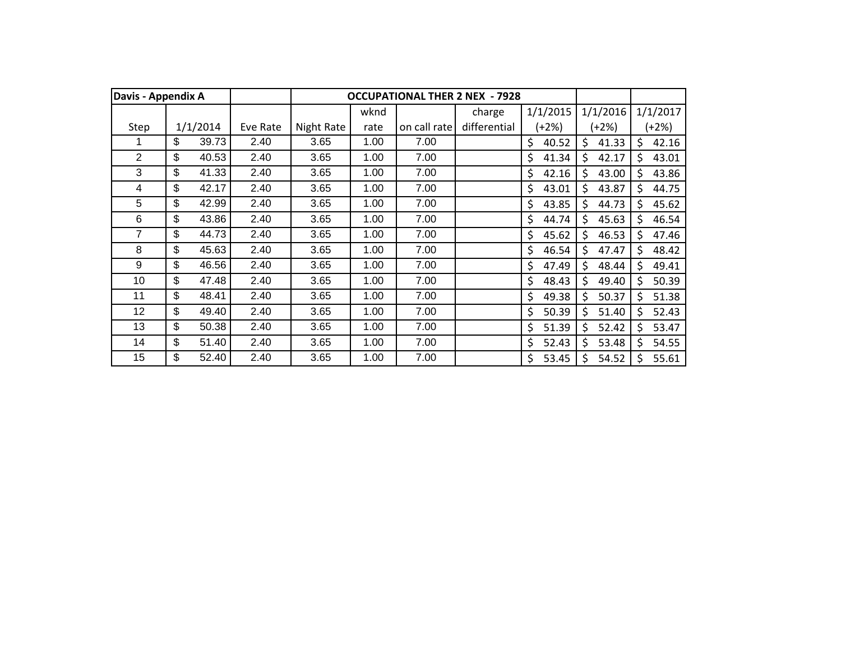|                | Davis - Appendix A |          |          |            |      |              | <b>OCCUPATIONAL THER 2 NEX - 7928</b> |             |             |    |          |
|----------------|--------------------|----------|----------|------------|------|--------------|---------------------------------------|-------------|-------------|----|----------|
|                |                    |          |          |            | wknd |              | charge                                | 1/1/2015    | 1/1/2016    |    | 1/1/2017 |
| Step           |                    | 1/1/2014 | Eve Rate | Night Rate | rate | on call rate | differential                          | (+2%)       | (+2%)       |    | $+2\%)$  |
|                | \$                 | 39.73    | 2.40     | 3.65       | 1.00 | 7.00         |                                       | \$<br>40.52 | \$<br>41.33 | \$ | 42.16    |
| $\overline{2}$ | \$                 | 40.53    | 2.40     | 3.65       | 1.00 | 7.00         |                                       | \$<br>41.34 | \$<br>42.17 | \$ | 43.01    |
| 3              | \$                 | 41.33    | 2.40     | 3.65       | 1.00 | 7.00         |                                       | \$<br>42.16 | Ś.<br>43.00 | Ś  | 43.86    |
| 4              | \$                 | 42.17    | 2.40     | 3.65       | 1.00 | 7.00         |                                       | \$<br>43.01 | Ś<br>43.87  | Ś. | 44.75    |
| 5              | \$                 | 42.99    | 2.40     | 3.65       | 1.00 | 7.00         |                                       | \$<br>43.85 | \$<br>44.73 | Ś  | 45.62    |
| 6              | \$                 | 43.86    | 2.40     | 3.65       | 1.00 | 7.00         |                                       | \$<br>44.74 | \$<br>45.63 | \$ | 46.54    |
| 7              | \$                 | 44.73    | 2.40     | 3.65       | 1.00 | 7.00         |                                       | \$<br>45.62 | \$<br>46.53 | \$ | 47.46    |
| 8              | \$                 | 45.63    | 2.40     | 3.65       | 1.00 | 7.00         |                                       | \$<br>46.54 | \$<br>47.47 | \$ | 48.42    |
| 9              | \$                 | 46.56    | 2.40     | 3.65       | 1.00 | 7.00         |                                       | \$<br>47.49 | \$<br>48.44 | \$ | 49.41    |
| 10             | \$                 | 47.48    | 2.40     | 3.65       | 1.00 | 7.00         |                                       | \$<br>48.43 | \$<br>49.40 | \$ | 50.39    |
| 11             | \$                 | 48.41    | 2.40     | 3.65       | 1.00 | 7.00         |                                       | \$<br>49.38 | \$<br>50.37 | \$ | 51.38    |
| 12             | \$                 | 49.40    | 2.40     | 3.65       | 1.00 | 7.00         |                                       | \$<br>50.39 | \$<br>51.40 | \$ | 52.43    |
| 13             | \$                 | 50.38    | 2.40     | 3.65       | 1.00 | 7.00         |                                       | \$<br>51.39 | \$<br>52.42 | \$ | 53.47    |
| 14             | \$                 | 51.40    | 2.40     | 3.65       | 1.00 | 7.00         |                                       | \$<br>52.43 | \$<br>53.48 | \$ | 54.55    |
| 15             | \$                 | 52.40    | 2.40     | 3.65       | 1.00 | 7.00         |                                       | Ś<br>53.45  | \$<br>54.52 | Ś  | 55.61    |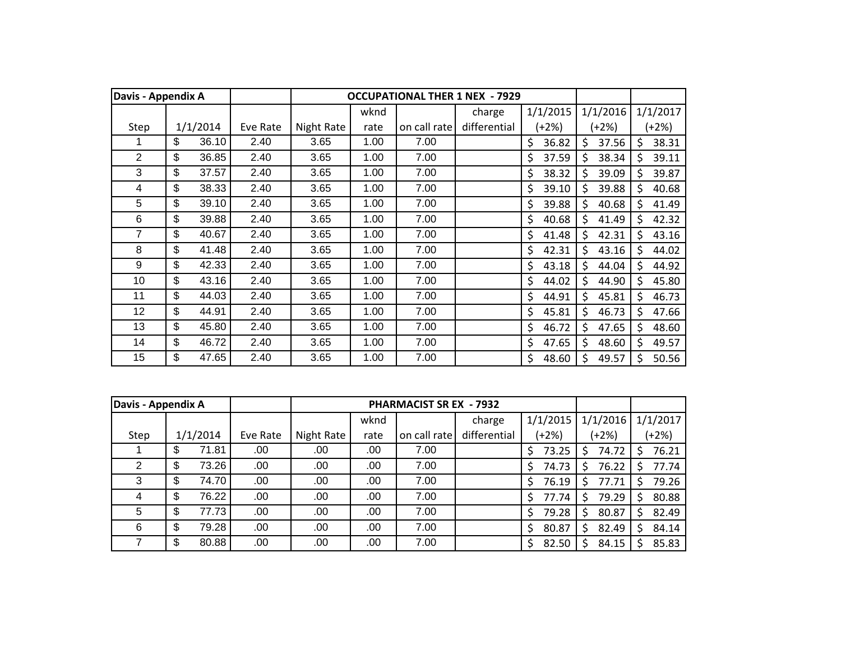| <b>Davis - Appendix A</b> |          |       |          |            |      |              | <b>OCCUPATIONAL THER 1 NEX - 7929</b> |             |             |    |          |
|---------------------------|----------|-------|----------|------------|------|--------------|---------------------------------------|-------------|-------------|----|----------|
|                           |          |       |          |            | wknd |              | charge                                | 1/1/2015    | 1/1/2016    |    | 1/1/2017 |
| Step                      | 1/1/2014 |       | Eve Rate | Night Rate | rate | on call rate | differential                          | $(+2%)$     | (+2%)       |    | $+2\%)$  |
|                           | \$       | 36.10 | 2.40     | 3.65       | 1.00 | 7.00         |                                       | \$<br>36.82 | \$<br>37.56 | \$ | 38.31    |
| $\overline{2}$            | \$       | 36.85 | 2.40     | 3.65       | 1.00 | 7.00         |                                       | \$<br>37.59 | \$<br>38.34 | \$ | 39.11    |
| 3                         | \$       | 37.57 | 2.40     | 3.65       | 1.00 | 7.00         |                                       | \$<br>38.32 | \$<br>39.09 | \$ | 39.87    |
| 4                         | \$       | 38.33 | 2.40     | 3.65       | 1.00 | 7.00         |                                       | \$<br>39.10 | \$<br>39.88 | Ś. | 40.68    |
| $5\phantom{.0}$           | \$       | 39.10 | 2.40     | 3.65       | 1.00 | 7.00         |                                       | \$<br>39.88 | \$<br>40.68 | \$ | 41.49    |
| 6                         | \$       | 39.88 | 2.40     | 3.65       | 1.00 | 7.00         |                                       | \$<br>40.68 | \$<br>41.49 | \$ | 42.32    |
| 7                         | \$       | 40.67 | 2.40     | 3.65       | 1.00 | 7.00         |                                       | \$<br>41.48 | \$<br>42.31 | \$ | 43.16    |
| 8                         | \$       | 41.48 | 2.40     | 3.65       | 1.00 | 7.00         |                                       | \$<br>42.31 | \$<br>43.16 | \$ | 44.02    |
| 9                         | \$       | 42.33 | 2.40     | 3.65       | 1.00 | 7.00         |                                       | \$<br>43.18 | \$<br>44.04 | \$ | 44.92    |
| 10                        | \$       | 43.16 | 2.40     | 3.65       | 1.00 | 7.00         |                                       | \$<br>44.02 | \$<br>44.90 | \$ | 45.80    |
| 11                        | \$       | 44.03 | 2.40     | 3.65       | 1.00 | 7.00         |                                       | \$<br>44.91 | \$<br>45.81 | \$ | 46.73    |
| 12                        | \$       | 44.91 | 2.40     | 3.65       | 1.00 | 7.00         |                                       | \$<br>45.81 | \$<br>46.73 | \$ | 47.66    |
| 13                        | \$       | 45.80 | 2.40     | 3.65       | 1.00 | 7.00         |                                       | \$<br>46.72 | Ś<br>47.65  | Ś  | 48.60    |
| 14                        | \$       | 46.72 | 2.40     | 3.65       | 1.00 | 7.00         |                                       | \$<br>47.65 | \$<br>48.60 | \$ | 49.57    |
| 15                        | \$       | 47.65 | 2.40     | 3.65       | 1.00 | 7.00         |                                       | \$<br>48.60 | \$<br>49.57 | \$ | 50.56    |

| Davis - Appendix A |             |          |            |      | <b>PHARMACIST SR EX - 7932</b> |              |            |            |            |
|--------------------|-------------|----------|------------|------|--------------------------------|--------------|------------|------------|------------|
|                    |             |          |            | wknd |                                | charge       | 1/1/2015   | 1/1/2016   | 1/1/2017   |
| Step               | 1/1/2014    | Eve Rate | Night Rate | rate | on call rate                   | differential | $(+2%)$    | (+2%)      | $(+2%)$    |
|                    | \$<br>71.81 | .00      | .00        | .00  | 7.00                           |              | 73.25<br>Ś | 74.72<br>S | 76.21      |
| 2                  | \$<br>73.26 | .00      | .00.       | .00  | 7.00                           |              | 74.73<br>Ś | 76.22<br>S | 77.74      |
| 3                  | \$<br>74.70 | .00.     | .00        | .00  | 7.00                           |              | 76.19<br>Ś | 77.71<br>S | 79.26      |
| 4                  | \$<br>76.22 | .00      | .00        | .00  | 7.00                           |              | Ś<br>77.74 | 79.29<br>S | 80.88<br>S |
| 5                  | \$<br>77.73 | .00      | .00        | .00  | 7.00                           |              | 79.28<br>Ś | 80.87<br>S | 82.49      |
| 6                  | \$<br>79.28 | .00.     | .00        | .00  | 7.00                           |              | 80.87<br>Ś | 82.49<br>S | 84.14      |
|                    | \$<br>80.88 | .00      | .00        | .00  | 7.00                           |              | Ś<br>82.50 | 84.15<br>S | 85.83      |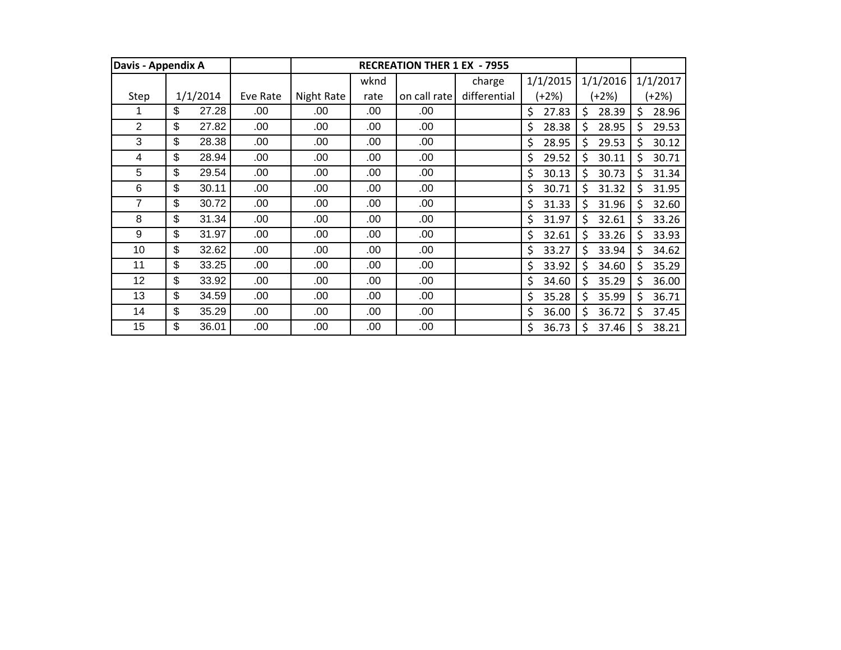| Davis - Appendix A |             |          |            |      | <b>RECREATION THER 1 EX - 7955</b> |              |             |              |              |
|--------------------|-------------|----------|------------|------|------------------------------------|--------------|-------------|--------------|--------------|
|                    |             |          |            | wknd |                                    | charge       | 1/1/2015    | 1/1/2016     | 1/1/2017     |
| Step               | 1/1/2014    | Eve Rate | Night Rate | rate | on call rate                       | differential | $(+2%)$     | (+2%)        | (+2%)        |
|                    | \$<br>27.28 | .00      | .00        | .00  | .00                                |              | \$<br>27.83 | \$<br>28.39  | \$<br>28.96  |
| $\overline{2}$     | \$<br>27.82 | .00      | .00        | .00  | .00                                |              | \$<br>28.38 | 28.95<br>\$. | \$<br>29.53  |
| 3                  | \$<br>28.38 | .00      | .00        | .00  | .00                                |              | \$<br>28.95 | \$.<br>29.53 | \$<br>30.12  |
| 4                  | \$<br>28.94 | .00      | .00        | .00  | .00                                |              | \$<br>29.52 | \$.<br>30.11 | \$.<br>30.71 |
| 5                  | \$<br>29.54 | .00      | .00        | .00  | .00                                |              | \$<br>30.13 | 30.73<br>\$. | \$<br>31.34  |
| 6                  | \$<br>30.11 | .00      | .00        | .00  | .00                                |              | \$<br>30.71 | Ŝ.<br>31.32  | \$.<br>31.95 |
| 7                  | \$<br>30.72 | .00      | .00        | .00  | .00                                |              | \$<br>31.33 | Ś.<br>31.96  | \$.<br>32.60 |
| 8                  | \$<br>31.34 | .00      | .00        | .00  | .00                                |              | \$<br>31.97 | Ŝ.<br>32.61  | \$<br>33.26  |
| 9                  | \$<br>31.97 | .00      | .00        | .00  | .00                                |              | \$<br>32.61 | Ŝ.<br>33.26  | \$.<br>33.93 |
| 10                 | \$<br>32.62 | .00      | .00        | .00  | .00                                |              | \$<br>33.27 | Ŝ.<br>33.94  | \$.<br>34.62 |
| 11                 | \$<br>33.25 | .00      | .00        | .00  | .00                                |              | \$<br>33.92 | Ŝ.<br>34.60  | \$<br>35.29  |
| 12                 | \$<br>33.92 | .00      | .00        | .00  | .00                                |              | \$<br>34.60 | \$<br>35.29  | \$<br>36.00  |
| 13                 | \$<br>34.59 | .00      | .00        | .00  | .00                                |              | \$<br>35.28 | \$.<br>35.99 | \$<br>36.71  |
| 14                 | \$<br>35.29 | .00      | .00        | .00  | .00                                |              | \$<br>36.00 | Ŝ.<br>36.72  | Ś.<br>37.45  |
| 15                 | \$<br>36.01 | .00      | .00        | .00  | .00                                |              | \$<br>36.73 | \$<br>37.46  | \$<br>38.21  |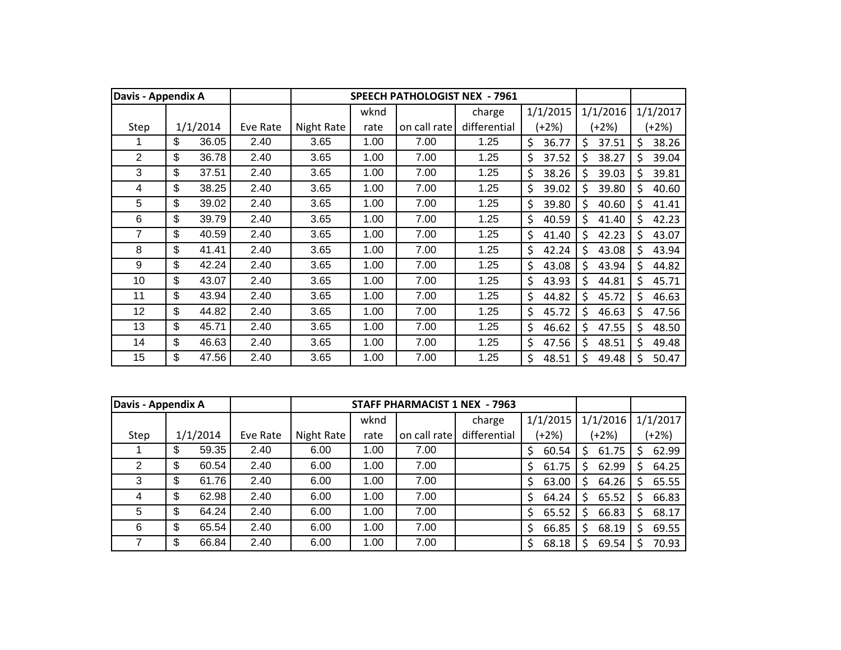| Davis - Appendix A |                           |          |          |            |      |              | <b>SPEECH PATHOLOGIST NEX - 7961</b> |             |             |    |          |
|--------------------|---------------------------|----------|----------|------------|------|--------------|--------------------------------------|-------------|-------------|----|----------|
|                    |                           |          |          |            | wknd |              | charge                               | 1/1/2015    | 1/1/2016    |    | 1/1/2017 |
| Step               |                           | 1/1/2014 | Eve Rate | Night Rate | rate | on call rate | differential                         | (+2%)       | (+2%)       |    | $+2%$    |
|                    | \$                        | 36.05    | 2.40     | 3.65       | 1.00 | 7.00         | 1.25                                 | \$<br>36.77 | \$<br>37.51 | \$ | 38.26    |
| $\overline{2}$     | \$                        | 36.78    | 2.40     | 3.65       | 1.00 | 7.00         | 1.25                                 | \$<br>37.52 | \$<br>38.27 | \$ | 39.04    |
| 3                  | \$                        | 37.51    | 2.40     | 3.65       | 1.00 | 7.00         | 1.25                                 | \$<br>38.26 | \$<br>39.03 | Ś  | 39.81    |
| 4                  | \$                        | 38.25    | 2.40     | 3.65       | 1.00 | 7.00         | 1.25                                 | \$<br>39.02 | Ś<br>39.80  | Ś. | 40.60    |
| 5                  | \$                        | 39.02    | 2.40     | 3.65       | 1.00 | 7.00         | 1.25                                 | \$<br>39.80 | \$<br>40.60 | Ś  | 41.41    |
| 6                  | \$                        | 39.79    | 2.40     | 3.65       | 1.00 | 7.00         | 1.25                                 | \$<br>40.59 | \$<br>41.40 | \$ | 42.23    |
| 7                  | \$                        | 40.59    | 2.40     | 3.65       | 1.00 | 7.00         | 1.25                                 | \$<br>41.40 | \$<br>42.23 | \$ | 43.07    |
| 8                  | \$                        | 41.41    | 2.40     | 3.65       | 1.00 | 7.00         | 1.25                                 | \$<br>42.24 | \$<br>43.08 | \$ | 43.94    |
| 9                  | \$                        | 42.24    | 2.40     | 3.65       | 1.00 | 7.00         | 1.25                                 | \$<br>43.08 | \$<br>43.94 | \$ | 44.82    |
| 10                 | \$                        | 43.07    | 2.40     | 3.65       | 1.00 | 7.00         | 1.25                                 | \$<br>43.93 | \$<br>44.81 | \$ | 45.71    |
| 11                 | \$                        | 43.94    | 2.40     | 3.65       | 1.00 | 7.00         | 1.25                                 | \$<br>44.82 | \$<br>45.72 | \$ | 46.63    |
| 12                 | \$                        | 44.82    | 2.40     | 3.65       | 1.00 | 7.00         | 1.25                                 | \$<br>45.72 | \$<br>46.63 | \$ | 47.56    |
| 13                 | $\boldsymbol{\mathsf{S}}$ | 45.71    | 2.40     | 3.65       | 1.00 | 7.00         | 1.25                                 | \$<br>46.62 | Ś<br>47.55  | \$ | 48.50    |
| 14                 | \$                        | 46.63    | 2.40     | 3.65       | 1.00 | 7.00         | 1.25                                 | \$<br>47.56 | \$<br>48.51 | Ś  | 49.48    |
| 15                 | \$                        | 47.56    | 2.40     | 3.65       | 1.00 | 7.00         | 1.25                                 | \$<br>48.51 | Ś<br>49.48  | Ś  | 50.47    |

| Davis - Appendix A |     |          |          |            |      | STAFF PHARMACIST 1 NEX - 7963 |              |             |             |             |
|--------------------|-----|----------|----------|------------|------|-------------------------------|--------------|-------------|-------------|-------------|
|                    |     |          |          |            | wknd |                               | charge       | 1/1/2015    | 1/1/2016    | 1/1/2017    |
| Step               |     | 1/1/2014 | Eve Rate | Night Rate | rate | on call rate                  | differential | (+2%)       | (+2%)       | (+2%)       |
|                    | S   | 59.35    | 2.40     | 6.00       | 1.00 | 7.00                          |              | \$<br>60.54 | 61.75<br>S. | 62.99<br>S. |
| 2                  | \$. | 60.54    | 2.40     | 6.00       | 1.00 | 7.00                          |              | \$<br>61.75 | 62.99       | 64.25<br>S  |
| 3                  | \$. | 61.76    | 2.40     | 6.00       | 1.00 | 7.00                          |              | \$<br>63.00 | 64.26       | 65.55<br>S. |
| 4                  | \$. | 62.98    | 2.40     | 6.00       | 1.00 | 7.00                          |              | \$<br>64.24 | 65.52       | 66.83<br>S. |
| 5                  | S   | 64.24    | 2.40     | 6.00       | 1.00 | 7.00                          |              | 65.52<br>\$ | 66.83       | 68.17<br>S  |
| 6                  | S   | 65.54    | 2.40     | 6.00       | 1.00 | 7.00                          |              | \$<br>66.85 | 68.19       | 69.55<br>S  |
|                    |     | 66.84    | 2.40     | 6.00       | 1.00 | 7.00                          |              | 68.18<br>\$ | 69.54       | 70.93       |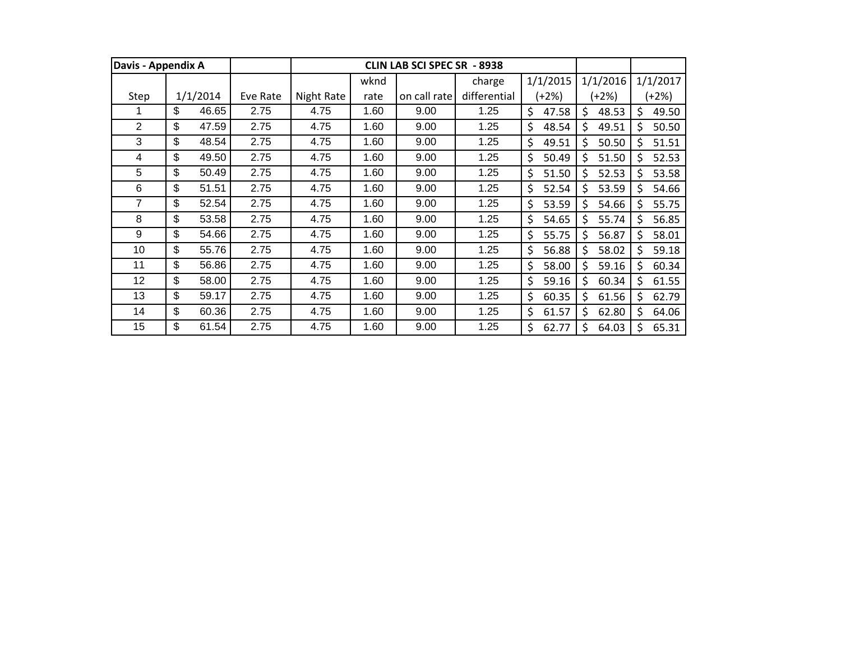| Davis - Appendix A |             |          |            |      | <b>CLIN LAB SCI SPEC SR - 8938</b> |              |             |              |              |
|--------------------|-------------|----------|------------|------|------------------------------------|--------------|-------------|--------------|--------------|
|                    |             |          |            | wknd |                                    | charge       | 1/1/2015    | 1/1/2016     | 1/1/2017     |
| Step               | 1/1/2014    | Eve Rate | Night Rate | rate | on call rate                       | differential | $(+2%)$     | (+2%)        | (+2%)        |
|                    | \$<br>46.65 | 2.75     | 4.75       | 1.60 | 9.00                               | 1.25         | \$<br>47.58 | \$<br>48.53  | \$<br>49.50  |
| $\overline{2}$     | \$<br>47.59 | 2.75     | 4.75       | 1.60 | 9.00                               | 1.25         | \$<br>48.54 | \$<br>49.51  | \$<br>50.50  |
| 3                  | \$<br>48.54 | 2.75     | 4.75       | 1.60 | 9.00                               | 1.25         | \$<br>49.51 | \$.<br>50.50 | \$<br>51.51  |
| 4                  | \$<br>49.50 | 2.75     | 4.75       | 1.60 | 9.00                               | 1.25         | \$<br>50.49 | Ś.<br>51.50  | \$<br>52.53  |
| 5                  | \$<br>50.49 | 2.75     | 4.75       | 1.60 | 9.00                               | 1.25         | \$<br>51.50 | 52.53<br>\$  | \$<br>53.58  |
| 6                  | \$<br>51.51 | 2.75     | 4.75       | 1.60 | 9.00                               | 1.25         | \$<br>52.54 | \$.<br>53.59 | \$<br>54.66  |
| 7                  | \$<br>52.54 | 2.75     | 4.75       | 1.60 | 9.00                               | 1.25         | \$<br>53.59 | \$<br>54.66  | \$.<br>55.75 |
| 8                  | \$<br>53.58 | 2.75     | 4.75       | 1.60 | 9.00                               | 1.25         | \$<br>54.65 | Ś.<br>55.74  | \$<br>56.85  |
| 9                  | \$<br>54.66 | 2.75     | 4.75       | 1.60 | 9.00                               | 1.25         | \$<br>55.75 | Ŝ.<br>56.87  | \$<br>58.01  |
| 10                 | \$<br>55.76 | 2.75     | 4.75       | 1.60 | 9.00                               | 1.25         | \$<br>56.88 | \$.<br>58.02 | \$<br>59.18  |
| 11                 | \$<br>56.86 | 2.75     | 4.75       | 1.60 | 9.00                               | 1.25         | \$<br>58.00 | Ŝ.<br>59.16  | \$<br>60.34  |
| 12                 | \$<br>58.00 | 2.75     | 4.75       | 1.60 | 9.00                               | 1.25         | \$<br>59.16 | \$<br>60.34  | \$<br>61.55  |
| 13                 | \$<br>59.17 | 2.75     | 4.75       | 1.60 | 9.00                               | 1.25         | \$<br>60.35 | Ŝ.<br>61.56  | \$<br>62.79  |
| 14                 | \$<br>60.36 | 2.75     | 4.75       | 1.60 | 9.00                               | 1.25         | \$<br>61.57 | Ś.<br>62.80  | \$<br>64.06  |
| 15                 | \$<br>61.54 | 2.75     | 4.75       | 1.60 | 9.00                               | 1.25         | \$<br>62.77 | Ś.<br>64.03  | \$<br>65.31  |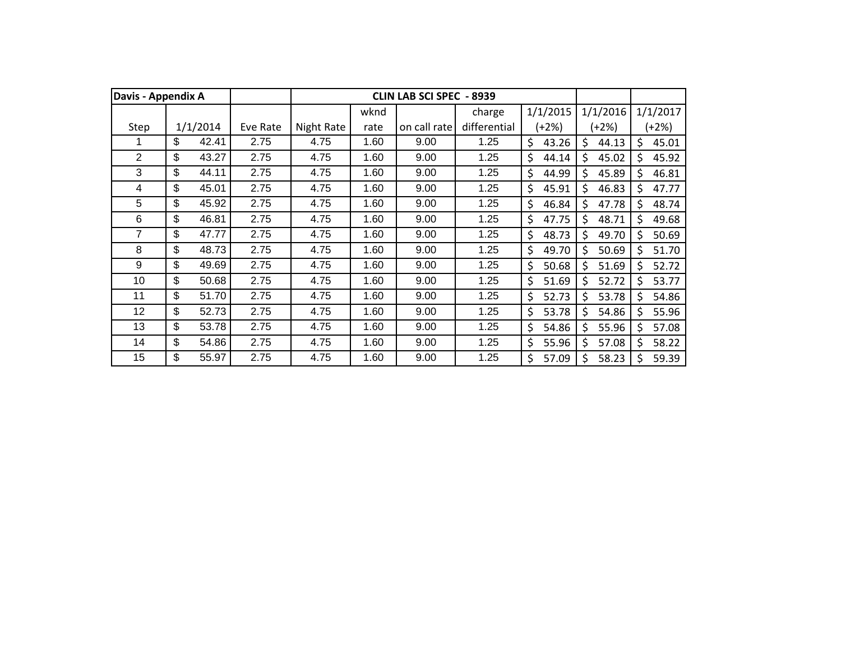| Davis - Appendix A |             |          |            |      | <b>CLIN LAB SCI SPEC</b> | -8939        |             |             |    |          |
|--------------------|-------------|----------|------------|------|--------------------------|--------------|-------------|-------------|----|----------|
|                    |             |          |            | wknd |                          | charge       | 1/1/2015    | 1/1/2016    |    | 1/1/2017 |
| Step               | 1/1/2014    | Eve Rate | Night Rate | rate | on call rate             | differential | (+2%)       | (+2%)       |    | $(+2%)$  |
|                    | \$<br>42.41 | 2.75     | 4.75       | 1.60 | 9.00                     | 1.25         | \$<br>43.26 | Ś<br>44.13  | Ś  | 45.01    |
| $\overline{2}$     | \$<br>43.27 | 2.75     | 4.75       | 1.60 | 9.00                     | 1.25         | \$<br>44.14 | Ś<br>45.02  | Ś. | 45.92    |
| 3                  | \$<br>44.11 | 2.75     | 4.75       | 1.60 | 9.00                     | 1.25         | \$<br>44.99 | Ś<br>45.89  | Ś. | 46.81    |
| 4                  | \$<br>45.01 | 2.75     | 4.75       | 1.60 | 9.00                     | 1.25         | \$<br>45.91 | Ś<br>46.83  | Ś  | 47.77    |
| 5                  | \$<br>45.92 | 2.75     | 4.75       | 1.60 | 9.00                     | 1.25         | \$<br>46.84 | \$<br>47.78 | \$ | 48.74    |
| 6                  | \$<br>46.81 | 2.75     | 4.75       | 1.60 | 9.00                     | 1.25         | \$<br>47.75 | \$<br>48.71 | \$ | 49.68    |
| 7                  | \$<br>47.77 | 2.75     | 4.75       | 1.60 | 9.00                     | 1.25         | \$<br>48.73 | \$<br>49.70 | \$ | 50.69    |
| 8                  | \$<br>48.73 | 2.75     | 4.75       | 1.60 | 9.00                     | 1.25         | \$<br>49.70 | Ś<br>50.69  | Ś  | 51.70    |
| 9                  | \$<br>49.69 | 2.75     | 4.75       | 1.60 | 9.00                     | 1.25         | \$<br>50.68 | \$<br>51.69 | \$ | 52.72    |
| 10                 | \$<br>50.68 | 2.75     | 4.75       | 1.60 | 9.00                     | 1.25         | \$<br>51.69 | \$<br>52.72 | \$ | 53.77    |
| 11                 | \$<br>51.70 | 2.75     | 4.75       | 1.60 | 9.00                     | 1.25         | \$<br>52.73 | \$<br>53.78 | \$ | 54.86    |
| 12                 | \$<br>52.73 | 2.75     | 4.75       | 1.60 | 9.00                     | 1.25         | \$<br>53.78 | \$<br>54.86 | \$ | 55.96    |
| 13                 | \$<br>53.78 | 2.75     | 4.75       | 1.60 | 9.00                     | 1.25         | \$<br>54.86 | Ś.<br>55.96 | Ś. | 57.08    |
| 14                 | \$<br>54.86 | 2.75     | 4.75       | 1.60 | 9.00                     | 1.25         | \$<br>55.96 | \$<br>57.08 | Ś  | 58.22    |
| 15                 | \$<br>55.97 | 2.75     | 4.75       | 1.60 | 9.00                     | 1.25         | Ś<br>57.09  | Ś<br>58.23  | Ŝ. | 59.39    |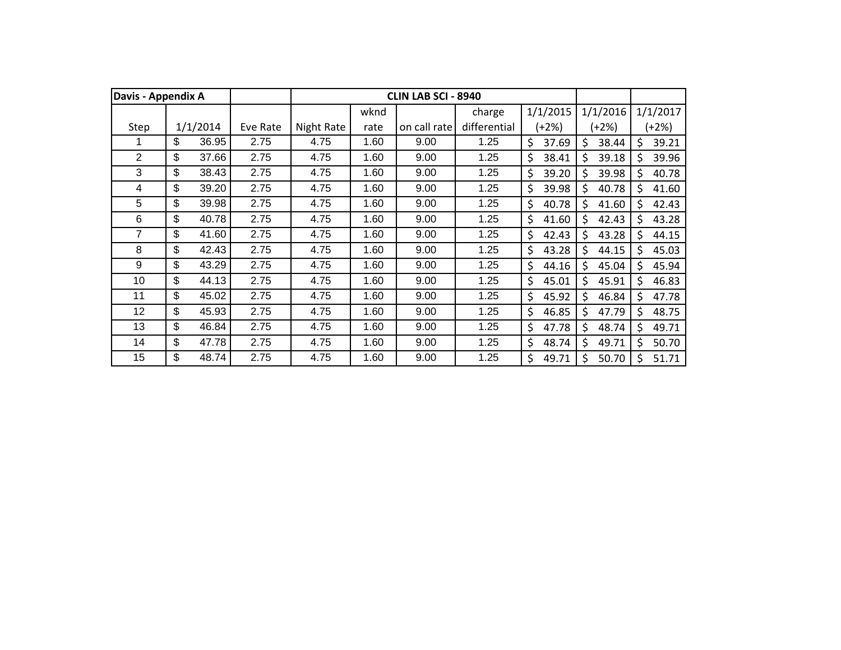|                | Davis - Appendix A |          |          |            |      | <b>CLIN LAB SCI - 8940</b> |              |             |             |              |          |
|----------------|--------------------|----------|----------|------------|------|----------------------------|--------------|-------------|-------------|--------------|----------|
|                |                    |          |          |            | wknd |                            | charge       | 1/1/2015    | 1/1/2016    |              | 1/1/2017 |
| Step           |                    | 1/1/2014 | Eve Rate | Night Rate | rate | on call rate               | differential | $(+2%)$     | (+2%)       |              | $+2%$    |
|                | \$                 | 36.95    | 2.75     | 4.75       | 1.60 | 9.00                       | 1.25         | \$<br>37.69 | \$<br>38.44 | \$           | 39.21    |
| $\overline{2}$ | \$                 | 37.66    | 2.75     | 4.75       | 1.60 | 9.00                       | 1.25         | \$<br>38.41 | Ś<br>39.18  | \$           | 39.96    |
| 3              | \$                 | 38.43    | 2.75     | 4.75       | 1.60 | 9.00                       | 1.25         | \$<br>39.20 | Ś<br>39.98  | \$           | 40.78    |
| 4              | \$                 | 39.20    | 2.75     | 4.75       | 1.60 | 9.00                       | 1.25         | \$<br>39.98 | \$<br>40.78 | $\mathsf{S}$ | 41.60    |
| 5              | \$                 | 39.98    | 2.75     | 4.75       | 1.60 | 9.00                       | 1.25         | \$<br>40.78 | \$<br>41.60 | \$           | 42.43    |
| 6              | \$                 | 40.78    | 2.75     | 4.75       | 1.60 | 9.00                       | 1.25         | \$<br>41.60 | \$<br>42.43 | \$           | 43.28    |
| 7              | \$                 | 41.60    | 2.75     | 4.75       | 1.60 | 9.00                       | 1.25         | \$<br>42.43 | \$<br>43.28 | \$           | 44.15    |
| 8              | \$                 | 42.43    | 2.75     | 4.75       | 1.60 | 9.00                       | 1.25         | \$<br>43.28 | \$<br>44.15 | \$           | 45.03    |
| 9              | \$                 | 43.29    | 2.75     | 4.75       | 1.60 | 9.00                       | 1.25         | \$<br>44.16 | \$<br>45.04 | \$           | 45.94    |
| 10             | \$                 | 44.13    | 2.75     | 4.75       | 1.60 | 9.00                       | 1.25         | \$<br>45.01 | \$<br>45.91 | \$           | 46.83    |
| 11             | \$                 | 45.02    | 2.75     | 4.75       | 1.60 | 9.00                       | 1.25         | \$<br>45.92 | \$<br>46.84 | \$           | 47.78    |
| 12             | \$                 | 45.93    | 2.75     | 4.75       | 1.60 | 9.00                       | 1.25         | \$<br>46.85 | \$<br>47.79 | \$           | 48.75    |
| 13             | \$                 | 46.84    | 2.75     | 4.75       | 1.60 | 9.00                       | 1.25         | \$<br>47.78 | Ś<br>48.74  | \$           | 49.71    |
| 14             | \$                 | 47.78    | 2.75     | 4.75       | 1.60 | 9.00                       | 1.25         | \$<br>48.74 | \$<br>49.71 | \$           | 50.70    |
| 15             | \$                 | 48.74    | 2.75     | 4.75       | 1.60 | 9.00                       | 1.25         | \$<br>49.71 | \$<br>50.70 | \$           | 51.71    |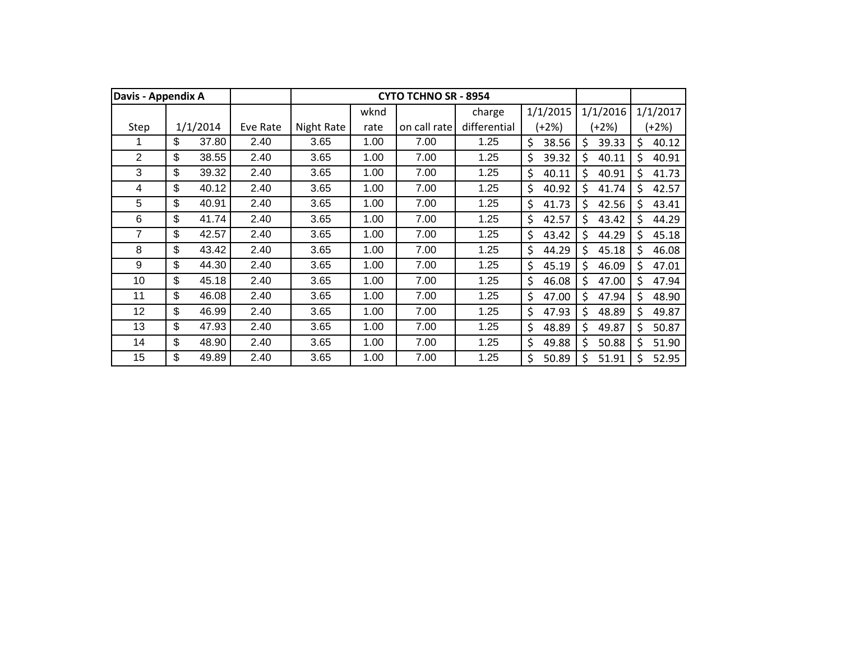| Davis - Appendix A |    |          |          |            |      | <b>CYTO TCHNO SR - 8954</b> |              |             |             |    |          |
|--------------------|----|----------|----------|------------|------|-----------------------------|--------------|-------------|-------------|----|----------|
|                    |    |          |          |            | wknd |                             | charge       | 1/1/2015    | 1/1/2016    |    | 1/1/2017 |
| Step               |    | 1/1/2014 | Eve Rate | Night Rate | rate | on call rate                | differential | (+2%)       | (+2%)       |    | $(+2%)$  |
|                    | \$ | 37.80    | 2.40     | 3.65       | 1.00 | 7.00                        | 1.25         | \$<br>38.56 | \$<br>39.33 | \$ | 40.12    |
| $\overline{2}$     | \$ | 38.55    | 2.40     | 3.65       | 1.00 | 7.00                        | 1.25         | \$<br>39.32 | \$<br>40.11 | \$ | 40.91    |
| 3                  | \$ | 39.32    | 2.40     | 3.65       | 1.00 | 7.00                        | 1.25         | \$<br>40.11 | Ś<br>40.91  | Ś  | 41.73    |
| 4                  | \$ | 40.12    | 2.40     | 3.65       | 1.00 | 7.00                        | 1.25         | \$<br>40.92 | Ś<br>41.74  | Ś  | 42.57    |
| 5                  | \$ | 40.91    | 2.40     | 3.65       | 1.00 | 7.00                        | 1.25         | \$<br>41.73 | Ś<br>42.56  | \$ | 43.41    |
| 6                  | \$ | 41.74    | 2.40     | 3.65       | 1.00 | 7.00                        | 1.25         | \$<br>42.57 | \$<br>43.42 | \$ | 44.29    |
| 7                  | \$ | 42.57    | 2.40     | 3.65       | 1.00 | 7.00                        | 1.25         | \$<br>43.42 | \$<br>44.29 | \$ | 45.18    |
| 8                  | \$ | 43.42    | 2.40     | 3.65       | 1.00 | 7.00                        | 1.25         | \$<br>44.29 | \$<br>45.18 | \$ | 46.08    |
| 9                  | \$ | 44.30    | 2.40     | 3.65       | 1.00 | 7.00                        | 1.25         | \$<br>45.19 | \$<br>46.09 | \$ | 47.01    |
| 10                 | \$ | 45.18    | 2.40     | 3.65       | 1.00 | 7.00                        | 1.25         | \$<br>46.08 | \$<br>47.00 | \$ | 47.94    |
| 11                 | \$ | 46.08    | 2.40     | 3.65       | 1.00 | 7.00                        | 1.25         | \$<br>47.00 | \$<br>47.94 | \$ | 48.90    |
| 12                 | \$ | 46.99    | 2.40     | 3.65       | 1.00 | 7.00                        | 1.25         | \$<br>47.93 | \$<br>48.89 | \$ | 49.87    |
| 13                 | \$ | 47.93    | 2.40     | 3.65       | 1.00 | 7.00                        | 1.25         | \$<br>48.89 | \$<br>49.87 | Ś. | 50.87    |
| 14                 | \$ | 48.90    | 2.40     | 3.65       | 1.00 | 7.00                        | 1.25         | \$<br>49.88 | \$<br>50.88 | Ś  | 51.90    |
| 15                 | \$ | 49.89    | 2.40     | 3.65       | 1.00 | 7.00                        | 1.25         | \$<br>50.89 | \$<br>51.91 | Ś  | 52.95    |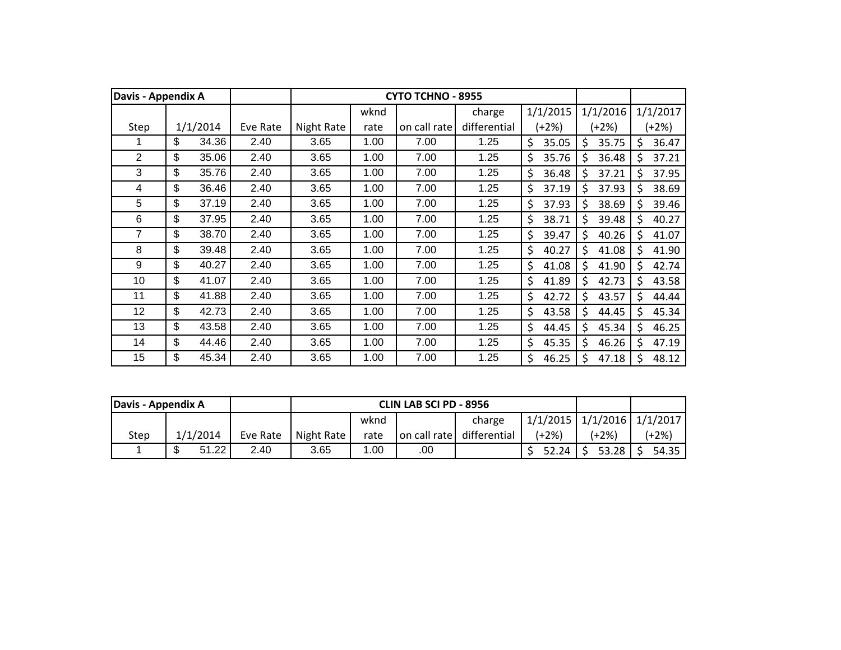| <b>Davis - Appendix A</b> |             |          |            |      | <b>CYTO TCHNO - 8955</b> |              |             |             |     |          |
|---------------------------|-------------|----------|------------|------|--------------------------|--------------|-------------|-------------|-----|----------|
|                           |             |          |            | wknd |                          | charge       | 1/1/2015    | 1/1/2016    |     | 1/1/2017 |
| Step                      | 1/1/2014    | Eve Rate | Night Rate | rate | on call rate             | differential | (+2%)       | (+2%)       |     | $+2%$    |
|                           | \$<br>34.36 | 2.40     | 3.65       | 1.00 | 7.00                     | 1.25         | \$<br>35.05 | \$<br>35.75 | \$  | 36.47    |
| $\overline{2}$            | \$<br>35.06 | 2.40     | 3.65       | 1.00 | 7.00                     | 1.25         | \$<br>35.76 | \$<br>36.48 | \$  | 37.21    |
| 3                         | \$<br>35.76 | 2.40     | 3.65       | 1.00 | 7.00                     | 1.25         | \$<br>36.48 | Ś<br>37.21  | Ś   | 37.95    |
| 4                         | \$<br>36.46 | 2.40     | 3.65       | 1.00 | 7.00                     | 1.25         | \$<br>37.19 | Ś<br>37.93  | Ś.  | 38.69    |
| 5                         | \$<br>37.19 | 2.40     | 3.65       | 1.00 | 7.00                     | 1.25         | \$<br>37.93 | Ś<br>38.69  | Ś   | 39.46    |
| 6                         | \$<br>37.95 | 2.40     | 3.65       | 1.00 | 7.00                     | 1.25         | \$<br>38.71 | \$<br>39.48 | \$  | 40.27    |
| 7                         | \$<br>38.70 | 2.40     | 3.65       | 1.00 | 7.00                     | 1.25         | \$<br>39.47 | \$<br>40.26 | \$  | 41.07    |
| 8                         | \$<br>39.48 | 2.40     | 3.65       | 1.00 | 7.00                     | 1.25         | \$<br>40.27 | \$<br>41.08 | \$  | 41.90    |
| 9                         | \$<br>40.27 | 2.40     | 3.65       | 1.00 | 7.00                     | 1.25         | \$<br>41.08 | \$<br>41.90 | Ś.  | 42.74    |
| 10                        | \$<br>41.07 | 2.40     | 3.65       | 1.00 | 7.00                     | 1.25         | \$<br>41.89 | \$<br>42.73 | \$  | 43.58    |
| 11                        | \$<br>41.88 | 2.40     | 3.65       | 1.00 | 7.00                     | 1.25         | \$<br>42.72 | \$<br>43.57 | \$  | 44.44    |
| 12                        | \$<br>42.73 | 2.40     | 3.65       | 1.00 | 7.00                     | 1.25         | \$<br>43.58 | \$<br>44.45 | \$  | 45.34    |
| 13                        | \$<br>43.58 | 2.40     | 3.65       | 1.00 | 7.00                     | 1.25         | \$<br>44.45 | Ś<br>45.34  | \$  | 46.25    |
| 14                        | \$<br>44.46 | 2.40     | 3.65       | 1.00 | 7.00                     | 1.25         | \$<br>45.35 | \$<br>46.26 | Ś   | 47.19    |
| 15                        | \$<br>45.34 | 2.40     | 3.65       | 1.00 | 7.00                     | 1.25         | \$<br>46.25 | Ś<br>47.18  | \$. | 48.12    |

| Davis - Appendix A |          |          |            |      | <b>CLIN LAB SCI PD - 8956</b> |                           |              |                                  |         |
|--------------------|----------|----------|------------|------|-------------------------------|---------------------------|--------------|----------------------------------|---------|
|                    |          |          |            | wknd |                               | charge                    |              | $1/1/2015$ $1/1/2016$ $1/1/2017$ |         |
| Step               | 1/1/2014 | Eve Rate | Night Rate | rate |                               | on call rate differential | (+2%)        | (+2%)                            | $(+2%)$ |
|                    | 51.22    | 2.40     | 3.65       | .00. | .00                           |                           | $52.24$   \$ | $53.28$ S                        | 54.35   |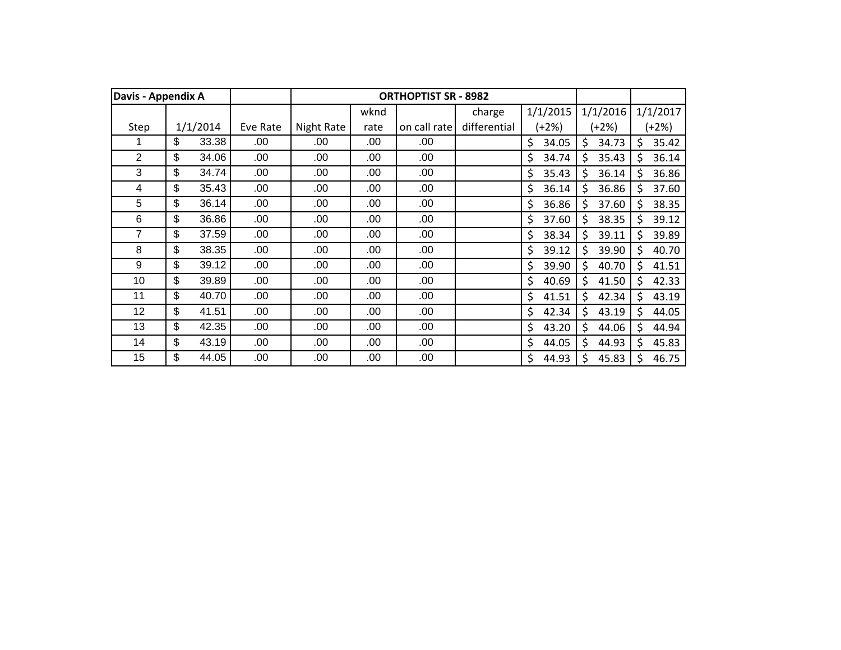| Davis - Appendix A |             |          |            |      | <b>ORTHOPTIST SR - 8982</b> |              |             |             |     |          |
|--------------------|-------------|----------|------------|------|-----------------------------|--------------|-------------|-------------|-----|----------|
|                    |             |          |            | wknd |                             | charge       | 1/1/2015    | 1/1/2016    |     | 1/1/2017 |
| Step               | 1/1/2014    | Eve Rate | Night Rate | rate | on call rate                | differential | $(+2%)$     | (+2%)       |     | $(+2%)$  |
|                    | \$<br>33.38 | .00      | .00        | .00  | .00                         |              | \$<br>34.05 | \$<br>34.73 | \$  | 35.42    |
| 2                  | \$<br>34.06 | .00      | .00        | .00  | .00                         |              | \$<br>34.74 | \$<br>35.43 | \$  | 36.14    |
| 3                  | \$<br>34.74 | .00      | .00        | .00  | .00                         |              | \$<br>35.43 | \$<br>36.14 | \$  | 36.86    |
| 4                  | \$<br>35.43 | .00      | .00        | .00  | .00                         |              | \$<br>36.14 | \$<br>36.86 | \$. | 37.60    |
| 5                  | \$<br>36.14 | .00      | .00        | .00  | .00                         |              | \$<br>36.86 | \$<br>37.60 | \$  | 38.35    |
| 6                  | \$<br>36.86 | .00.     | .00        | .00  | .00                         |              | \$<br>37.60 | \$<br>38.35 | \$  | 39.12    |
| 7                  | \$<br>37.59 | .00.     | .00        | .00  | .00                         |              | \$<br>38.34 | \$<br>39.11 | \$  | 39.89    |
| 8                  | \$<br>38.35 | .00.     | .00        | .00  | .00                         |              | \$<br>39.12 | \$<br>39.90 | \$  | 40.70    |
| 9                  | \$<br>39.12 | .00.     | .00        | .00  | .00                         |              | \$<br>39.90 | \$<br>40.70 | \$  | 41.51    |
| 10                 | \$<br>39.89 | .00.     | .00        | .00  | .00                         |              | \$<br>40.69 | \$<br>41.50 | \$  | 42.33    |
| 11                 | \$<br>40.70 | .00.     | .00        | .00  | .00                         |              | \$<br>41.51 | \$<br>42.34 | \$  | 43.19    |
| 12                 | \$<br>41.51 | .00.     | .00        | .00  | .00                         |              | \$<br>42.34 | \$<br>43.19 | \$  | 44.05    |
| 13                 | \$<br>42.35 | .00.     | .00        | .00  | .00.                        |              | \$<br>43.20 | \$<br>44.06 | \$  | 44.94    |
| 14                 | \$<br>43.19 | .00.     | .00        | .00  | .00                         |              | \$<br>44.05 | \$<br>44.93 | Ś   | 45.83    |
| 15                 | \$<br>44.05 | .00      | .00        | .00  | .00                         |              | Ś<br>44.93  | Ś<br>45.83  | \$. | 46.75    |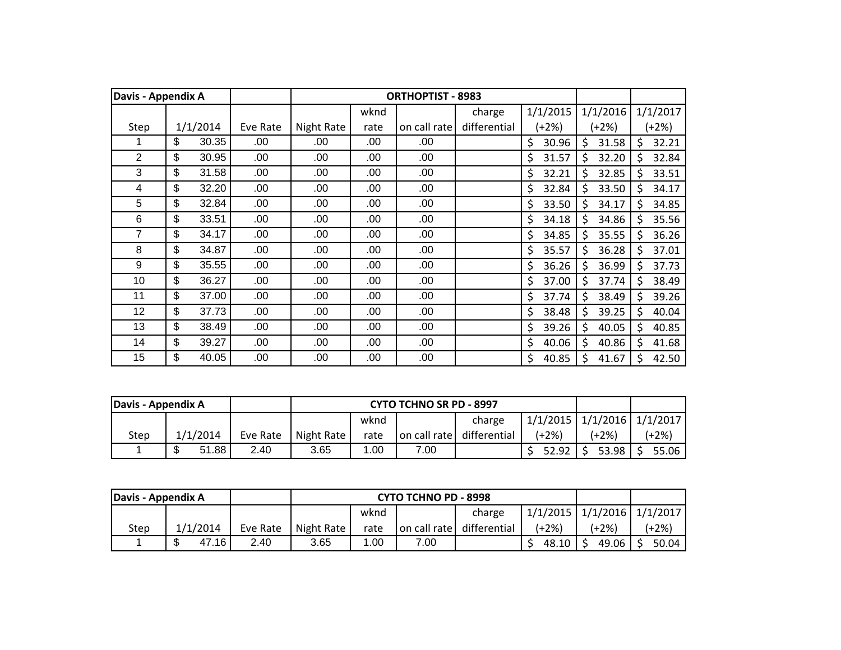| Davis - Appendix A |             |          |            |      | <b>ORTHOPTIST - 8983</b> |              |             |             |    |          |
|--------------------|-------------|----------|------------|------|--------------------------|--------------|-------------|-------------|----|----------|
|                    |             |          |            | wknd |                          | charge       | 1/1/2015    | 1/1/2016    |    | 1/1/2017 |
| Step               | 1/1/2014    | Eve Rate | Night Rate | rate | on call rate             | differential | (+2%)       | (+2%)       |    | $+2\%)$  |
|                    | \$<br>30.35 | .00      | .00        | .00  | .00                      |              | \$<br>30.96 | \$<br>31.58 | \$ | 32.21    |
| $\overline{2}$     | \$<br>30.95 | .00      | .00        | .00  | .00                      |              | \$<br>31.57 | \$<br>32.20 | \$ | 32.84    |
| 3                  | \$<br>31.58 | .00      | .00        | .00  | .00                      |              | \$<br>32.21 | \$<br>32.85 | \$ | 33.51    |
| 4                  | \$<br>32.20 | .00      | .00        | .00  | .00                      |              | \$<br>32.84 | \$<br>33.50 | Ś  | 34.17    |
| 5                  | \$<br>32.84 | .00      | .00        | .00  | .00                      |              | \$<br>33.50 | \$<br>34.17 | \$ | 34.85    |
| 6                  | \$<br>33.51 | .00      | .00        | .00  | .00                      |              | \$<br>34.18 | \$<br>34.86 | \$ | 35.56    |
| 7                  | \$<br>34.17 | .00.     | .00        | .00  | .00                      |              | \$<br>34.85 | \$<br>35.55 | \$ | 36.26    |
| 8                  | \$<br>34.87 | .00.     | .00        | .00  | .00                      |              | \$<br>35.57 | \$<br>36.28 | \$ | 37.01    |
| 9                  | \$<br>35.55 | .00.     | .00        | .00  | .00                      |              | \$<br>36.26 | \$<br>36.99 | \$ | 37.73    |
| 10                 | \$<br>36.27 | .00.     | .00        | .00  | .00                      |              | \$<br>37.00 | \$<br>37.74 | \$ | 38.49    |
| 11                 | \$<br>37.00 | .00.     | .00        | .00  | .00                      |              | \$<br>37.74 | \$<br>38.49 | \$ | 39.26    |
| 12                 | \$<br>37.73 | .00.     | .00        | .00  | .00                      |              | \$<br>38.48 | \$<br>39.25 | \$ | 40.04    |
| 13                 | \$<br>38.49 | .00.     | .00        | .00  | .00.                     |              | \$<br>39.26 | \$<br>40.05 | Ś  | 40.85    |
| 14                 | \$<br>39.27 | .00.     | .00        | .00  | .00                      |              | \$<br>40.06 | \$<br>40.86 | \$ | 41.68    |
| 15                 | \$<br>40.05 | .00.     | .00        | .00  | .00                      |              | \$<br>40.85 | \$<br>41.67 | \$ | 42.50    |

| Davis - Appendix A |                    |          |            |       | <b>CYTO TCHNO SR PD - 8997</b> |                           |         |                                      |         |
|--------------------|--------------------|----------|------------|-------|--------------------------------|---------------------------|---------|--------------------------------------|---------|
|                    |                    |          |            | wknd  |                                | charge                    |         | $1/1/2015$   $1/1/2016$   $1/1/2017$ |         |
| Step               | 1/1/2014           | Eve Rate | Night Rate | rate  |                                | on call rate differential | $(+2%)$ | (+2%)                                | $(+2%)$ |
|                    | 51.88<br>ጦ<br>2.40 |          |            | . .00 | 7.00                           |                           | 52.92   | 53.98                                | 55.06   |

| Davis - Appendix A |                     |          |            |                                      | <b>CYTO TCHNO PD - 8998</b> |        |                                |         |         |
|--------------------|---------------------|----------|------------|--------------------------------------|-----------------------------|--------|--------------------------------|---------|---------|
|                    |                     |          |            | wknd                                 |                             | charge | 1/1/2015   1/1/2016   1/1/2017 |         |         |
| Step               | 1/1/2014            | Eve Rate | Night Rate | differential<br>on call rate<br>rate |                             |        | $(+2%)$                        | (+2%)   | $(+2%)$ |
|                    | \$<br>47.16<br>2.40 |          |            | 00. ا                                | 7.00                        |        | 48.10                          | 49.06 L | 50.04   |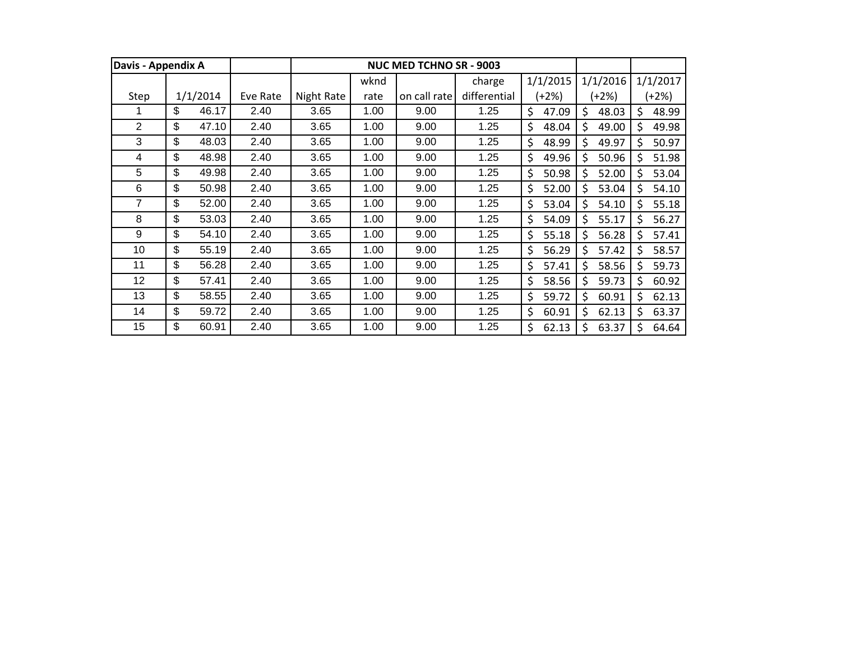| Davis - Appendix A |             |          |            |      | NUC MED TCHNO SR - 9003 |              |             |              |              |
|--------------------|-------------|----------|------------|------|-------------------------|--------------|-------------|--------------|--------------|
|                    |             |          |            | wknd |                         | charge       | 1/1/2015    | 1/1/2016     | 1/1/2017     |
| Step               | 1/1/2014    | Eve Rate | Night Rate | rate | on call rate            | differential | (+2%)       | (+2%)        | (+2%)        |
|                    | \$<br>46.17 | 2.40     | 3.65       | 1.00 | 9.00                    | 1.25         | \$<br>47.09 | \$<br>48.03  | \$<br>48.99  |
| $\overline{2}$     | \$<br>47.10 | 2.40     | 3.65       | 1.00 | 9.00                    | 1.25         | \$<br>48.04 | \$<br>49.00  | \$<br>49.98  |
| 3                  | \$<br>48.03 | 2.40     | 3.65       | 1.00 | 9.00                    | 1.25         | \$<br>48.99 | Ś.<br>49.97  | \$<br>50.97  |
| 4                  | \$<br>48.98 | 2.40     | 3.65       | 1.00 | 9.00                    | 1.25         | \$<br>49.96 | \$<br>50.96  | \$<br>51.98  |
| 5                  | \$<br>49.98 | 2.40     | 3.65       | 1.00 | 9.00                    | 1.25         | \$<br>50.98 | \$.<br>52.00 | \$.<br>53.04 |
| 6                  | \$<br>50.98 | 2.40     | 3.65       | 1.00 | 9.00                    | 1.25         | \$<br>52.00 | \$.<br>53.04 | \$.<br>54.10 |
| 7                  | \$<br>52.00 | 2.40     | 3.65       | 1.00 | 9.00                    | 1.25         | \$<br>53.04 | \$<br>54.10  | \$<br>55.18  |
| 8                  | \$<br>53.03 | 2.40     | 3.65       | 1.00 | 9.00                    | 1.25         | \$<br>54.09 | \$<br>55.17  | \$<br>56.27  |
| 9                  | \$<br>54.10 | 2.40     | 3.65       | 1.00 | 9.00                    | 1.25         | \$<br>55.18 | \$.<br>56.28 | \$.<br>57.41 |
| 10                 | \$<br>55.19 | 2.40     | 3.65       | 1.00 | 9.00                    | 1.25         | \$<br>56.29 | Ś.<br>57.42  | \$<br>58.57  |
| 11                 | \$<br>56.28 | 2.40     | 3.65       | 1.00 | 9.00                    | 1.25         | \$<br>57.41 | \$<br>58.56  | \$<br>59.73  |
| 12                 | \$<br>57.41 | 2.40     | 3.65       | 1.00 | 9.00                    | 1.25         | \$<br>58.56 | Ŝ.<br>59.73  | \$<br>60.92  |
| 13                 | \$<br>58.55 | 2.40     | 3.65       | 1.00 | 9.00                    | 1.25         | \$<br>59.72 | \$<br>60.91  | \$<br>62.13  |
| 14                 | \$<br>59.72 | 2.40     | 3.65       | 1.00 | 9.00                    | 1.25         | \$<br>60.91 | Ś.<br>62.13  | \$<br>63.37  |
| 15                 | \$<br>60.91 | 2.40     | 3.65       | 1.00 | 9.00                    | 1.25         | \$<br>62.13 | \$<br>63.37  | \$<br>64.64  |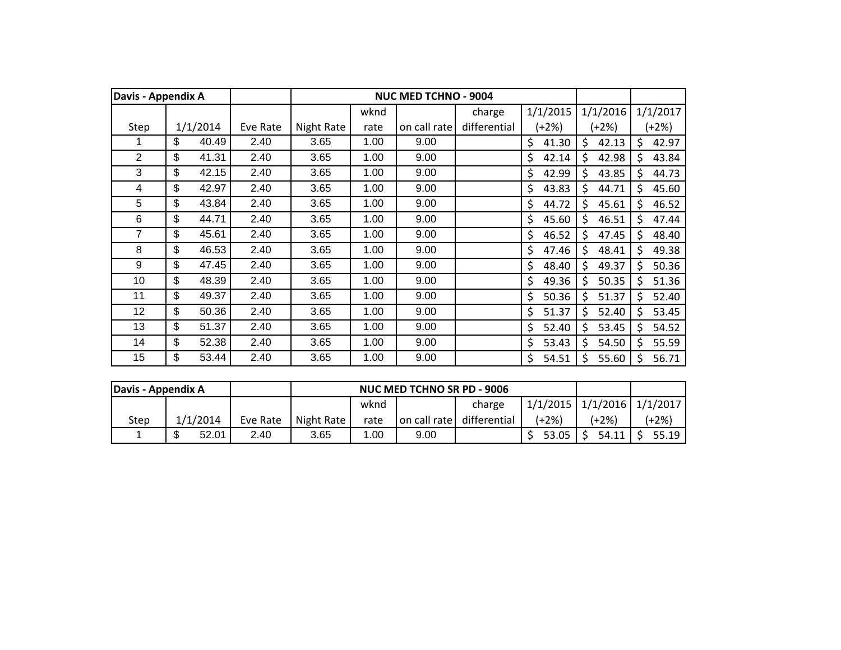| Davis - Appendix A |             |          |            |      | <b>NUC MED TCHNO - 9004</b> |              |             |             |    |          |
|--------------------|-------------|----------|------------|------|-----------------------------|--------------|-------------|-------------|----|----------|
|                    |             |          |            | wknd |                             | charge       | 1/1/2015    | 1/1/2016    |    | 1/1/2017 |
| Step               | 1/1/2014    | Eve Rate | Night Rate | rate | on call rate                | differential | (+2%)       | (+2%)       |    | $(+2%)$  |
|                    | \$<br>40.49 | 2.40     | 3.65       | 1.00 | 9.00                        |              | \$<br>41.30 | \$<br>42.13 | \$ | 42.97    |
| $\overline{2}$     | \$<br>41.31 | 2.40     | 3.65       | 1.00 | 9.00                        |              | \$<br>42.14 | \$<br>42.98 | \$ | 43.84    |
| 3                  | \$<br>42.15 | 2.40     | 3.65       | 1.00 | 9.00                        |              | \$<br>42.99 | \$<br>43.85 | \$ | 44.73    |
| 4                  | \$<br>42.97 | 2.40     | 3.65       | 1.00 | 9.00                        |              | \$<br>43.83 | Ś<br>44.71  | Ś. | 45.60    |
| 5                  | \$<br>43.84 | 2.40     | 3.65       | 1.00 | 9.00                        |              | \$<br>44.72 | \$<br>45.61 | Ś  | 46.52    |
| 6                  | \$<br>44.71 | 2.40     | 3.65       | 1.00 | 9.00                        |              | \$<br>45.60 | \$<br>46.51 | \$ | 47.44    |
| 7                  | \$<br>45.61 | 2.40     | 3.65       | 1.00 | 9.00                        |              | \$<br>46.52 | \$<br>47.45 | \$ | 48.40    |
| 8                  | \$<br>46.53 | 2.40     | 3.65       | 1.00 | 9.00                        |              | \$<br>47.46 | \$<br>48.41 | \$ | 49.38    |
| 9                  | \$<br>47.45 | 2.40     | 3.65       | 1.00 | 9.00                        |              | \$<br>48.40 | \$<br>49.37 | \$ | 50.36    |
| 10                 | \$<br>48.39 | 2.40     | 3.65       | 1.00 | 9.00                        |              | \$<br>49.36 | \$<br>50.35 | Ś  | 51.36    |
| 11                 | \$<br>49.37 | 2.40     | 3.65       | 1.00 | 9.00                        |              | \$<br>50.36 | \$<br>51.37 | Ś  | 52.40    |
| 12                 | \$<br>50.36 | 2.40     | 3.65       | 1.00 | 9.00                        |              | \$<br>51.37 | \$<br>52.40 | \$ | 53.45    |
| 13                 | \$<br>51.37 | 2.40     | 3.65       | 1.00 | 9.00                        |              | \$<br>52.40 | \$<br>53.45 | \$ | 54.52    |
| 14                 | \$<br>52.38 | 2.40     | 3.65       | 1.00 | 9.00                        |              | \$<br>53.43 | \$<br>54.50 | \$ | 55.59    |
| 15                 | \$<br>53.44 | 2.40     | 3.65       | 1.00 | 9.00                        |              | \$<br>54.51 | Ś.<br>55.60 | \$ | 56.71    |

| Davis - Appendix A |            |          |            |      | NUC MED TCHNO SR PD - 9006 |                           |                                  |       |         |
|--------------------|------------|----------|------------|------|----------------------------|---------------------------|----------------------------------|-------|---------|
|                    |            |          |            | wknd |                            | charge                    | $1/1/2015$ $1/1/2016$ $1/1/2017$ |       |         |
| <b>Step</b>        | 1/1/2014   | Eve Rate | Night Rate | rate |                            | on call rate differential | (+2%)                            | (+2%) | $+2\%)$ |
|                    | 52.01<br>ጥ | 2.40     | 3.65       | 1.00 | 9.00                       |                           | 53.05                            | 54.11 | 55.19   |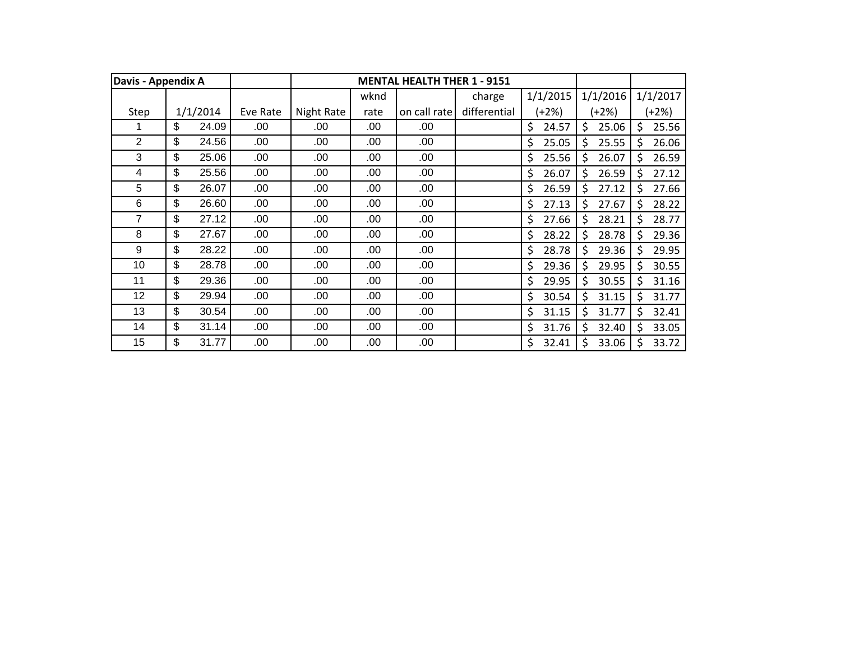| Davis - Appendix A |             |          |            |      | <b>MENTAL HEALTH THER 1 - 9151</b> |              |             |             |     |          |
|--------------------|-------------|----------|------------|------|------------------------------------|--------------|-------------|-------------|-----|----------|
|                    |             |          |            | wknd |                                    | charge       | 1/1/2015    | 1/1/2016    |     | 1/1/2017 |
| Step               | 1/1/2014    | Eve Rate | Night Rate | rate | on call rate                       | differential | (+2%)       | (+2%)       |     | $(+2%)$  |
|                    | \$<br>24.09 | .00      | .00        | .00  | .00                                |              | \$<br>24.57 | \$<br>25.06 | \$  | 25.56    |
| $\overline{2}$     | \$<br>24.56 | .00      | .00        | .00  | .00                                |              | \$<br>25.05 | Ś<br>25.55  | \$  | 26.06    |
| 3                  | \$<br>25.06 | .00      | .00        | .00  | .00                                |              | \$<br>25.56 | Ś.<br>26.07 | Ŝ.  | 26.59    |
| 4                  | \$<br>25.56 | .00      | .00        | .00  | .00                                |              | \$<br>26.07 | Ś<br>26.59  | Ś.  | 27.12    |
| 5                  | \$<br>26.07 | .00      | .00        | .00  | .00                                |              | \$<br>26.59 | Ś<br>27.12  | \$  | 27.66    |
| 6                  | \$<br>26.60 | .00      | .00        | .00  | .00                                |              | \$<br>27.13 | \$<br>27.67 | \$  | 28.22    |
| 7                  | \$<br>27.12 | .00      | .00        | .00  | .00                                |              | \$<br>27.66 | \$<br>28.21 | \$  | 28.77    |
| 8                  | \$<br>27.67 | .00      | .00        | .00  | .00                                |              | \$<br>28.22 | \$<br>28.78 | \$  | 29.36    |
| 9                  | \$<br>28.22 | .00      | .00        | .00  | .00                                |              | \$<br>28.78 | \$<br>29.36 | Ś   | 29.95    |
| 10                 | \$<br>28.78 | .00      | .00        | .00  | .00                                |              | \$<br>29.36 | \$<br>29.95 | \$  | 30.55    |
| 11                 | \$<br>29.36 | .00      | .00        | .00  | .00                                |              | \$<br>29.95 | \$<br>30.55 | \$  | 31.16    |
| 12                 | \$<br>29.94 | .00      | .00        | .00  | .00                                |              | \$<br>30.54 | Ś.<br>31.15 | \$  | 31.77    |
| 13                 | \$<br>30.54 | .00      | .00        | .00  | .00                                |              | \$<br>31.15 | Ś.<br>31.77 | Ś   | 32.41    |
| 14                 | \$<br>31.14 | .00      | .00        | .00  | .00                                |              | \$<br>31.76 | \$<br>32.40 | \$  | 33.05    |
| 15                 | \$<br>31.77 | .00      | .00        | .00  | .00                                |              | \$<br>32.41 | \$<br>33.06 | -\$ | 33.72    |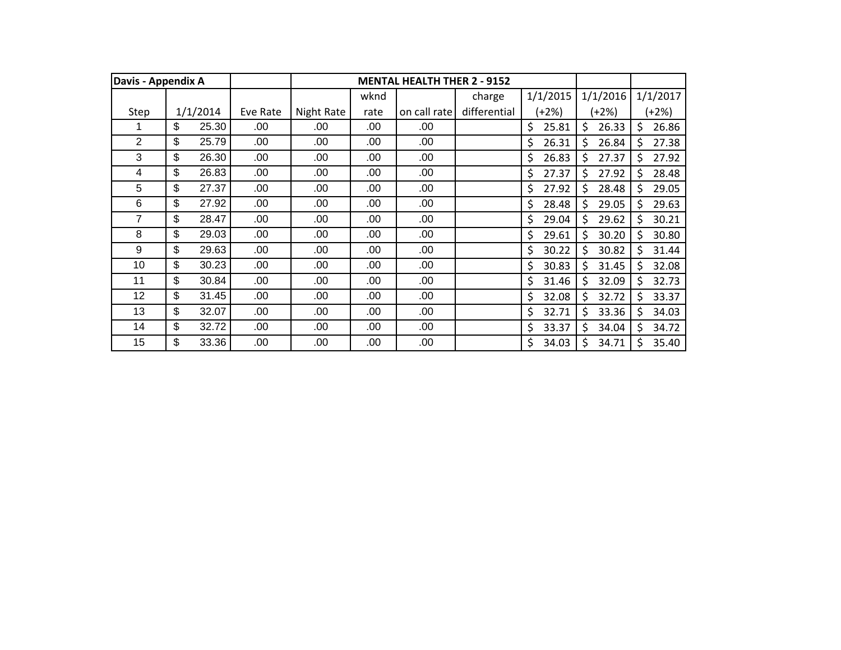| Davis - Appendix A |             |          |            |      | <b>MENTAL HEALTH THER 2 - 9152</b> |              |             |             |    |          |
|--------------------|-------------|----------|------------|------|------------------------------------|--------------|-------------|-------------|----|----------|
|                    |             |          |            | wknd |                                    | charge       | 1/1/2015    | 1/1/2016    |    | 1/1/2017 |
| Step               | 1/1/2014    | Eve Rate | Night Rate | rate | on call rate                       | differential | (+2%)       | (+2%)       |    | $(+2%)$  |
|                    | \$<br>25.30 | .00      | .00        | .00  | .00                                |              | \$<br>25.81 | \$<br>26.33 | \$ | 26.86    |
| $\overline{2}$     | \$<br>25.79 | .00      | .00        | .00  | .00                                |              | \$<br>26.31 | \$<br>26.84 | \$ | 27.38    |
| 3                  | \$<br>26.30 | .00      | .00        | .00  | .00                                |              | \$<br>26.83 | Ś<br>27.37  | Ś. | 27.92    |
| 4                  | \$<br>26.83 | .00      | .00        | .00  | .00                                |              | \$<br>27.37 | Ś.<br>27.92 | Ś. | 28.48    |
| 5                  | \$<br>27.37 | .00      | .00        | .00  | .00                                |              | \$<br>27.92 | Ś.<br>28.48 | \$ | 29.05    |
| $6\phantom{1}6$    | \$<br>27.92 | .00      | .00        | .00  | .00                                |              | \$<br>28.48 | \$<br>29.05 | \$ | 29.63    |
| 7                  | \$<br>28.47 | .00      | .00        | .00  | .00                                |              | \$<br>29.04 | \$<br>29.62 | \$ | 30.21    |
| 8                  | \$<br>29.03 | .00      | .00        | .00  | .00                                |              | \$<br>29.61 | \$<br>30.20 | \$ | 30.80    |
| 9                  | \$<br>29.63 | .00      | .00        | .00  | .00                                |              | \$<br>30.22 | \$<br>30.82 | \$ | 31.44    |
| 10                 | \$<br>30.23 | .00      | .00        | .00  | .00                                |              | \$<br>30.83 | \$<br>31.45 | \$ | 32.08    |
| 11                 | \$<br>30.84 | .00      | .00        | .00  | .00                                |              | \$<br>31.46 | \$<br>32.09 | \$ | 32.73    |
| 12                 | \$<br>31.45 | .00      | .00        | .00  | .00                                |              | \$<br>32.08 | \$<br>32.72 | \$ | 33.37    |
| 13                 | \$<br>32.07 | .00      | .00        | .00  | .00                                |              | \$<br>32.71 | \$<br>33.36 | \$ | 34.03    |
| 14                 | \$<br>32.72 | .00      | .00        | .00  | .00                                |              | \$<br>33.37 | \$<br>34.04 | \$ | 34.72    |
| 15                 | \$<br>33.36 | .00      | .00        | .00  | .00                                |              | \$<br>34.03 | \$<br>34.71 | \$ | 35.40    |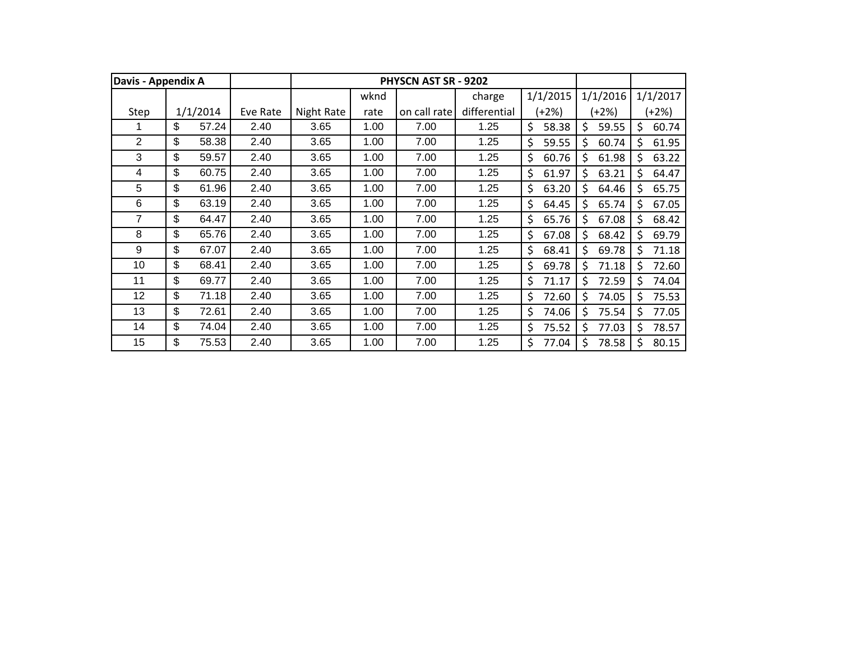| Davis - Appendix A |             |          |            |      | PHYSCN AST SR - 9202 |              |             |    |          |    |          |
|--------------------|-------------|----------|------------|------|----------------------|--------------|-------------|----|----------|----|----------|
|                    |             |          |            | wknd |                      | charge       | 1/1/2015    |    | 1/1/2016 |    | 1/1/2017 |
| Step               | 1/1/2014    | Eve Rate | Night Rate | rate | on call rate         | differential | $(+2%)$     |    | (+2%)    |    | $+2%$    |
|                    | \$<br>57.24 | 2.40     | 3.65       | 1.00 | 7.00                 | 1.25         | \$<br>58.38 | \$ | 59.55    | \$ | 60.74    |
| 2                  | \$<br>58.38 | 2.40     | 3.65       | 1.00 | 7.00                 | 1.25         | \$<br>59.55 | Ś  | 60.74    | \$ | 61.95    |
| 3                  | \$<br>59.57 | 2.40     | 3.65       | 1.00 | 7.00                 | 1.25         | \$<br>60.76 | Ś  | 61.98    | \$ | 63.22    |
| 4                  | \$<br>60.75 | 2.40     | 3.65       | 1.00 | 7.00                 | 1.25         | \$<br>61.97 | Ś  | 63.21    | Ś  | 64.47    |
| 5                  | \$<br>61.96 | 2.40     | 3.65       | 1.00 | 7.00                 | 1.25         | \$<br>63.20 | Ś  | 64.46    | \$ | 65.75    |
| 6                  | \$<br>63.19 | 2.40     | 3.65       | 1.00 | 7.00                 | 1.25         | \$<br>64.45 | Ś  | 65.74    | \$ | 67.05    |
| 7                  | \$<br>64.47 | 2.40     | 3.65       | 1.00 | 7.00                 | 1.25         | \$<br>65.76 | Ś  | 67.08    | \$ | 68.42    |
| 8                  | \$<br>65.76 | 2.40     | 3.65       | 1.00 | 7.00                 | 1.25         | \$<br>67.08 | \$ | 68.42    | \$ | 69.79    |
| 9                  | \$<br>67.07 | 2.40     | 3.65       | 1.00 | 7.00                 | 1.25         | \$<br>68.41 | \$ | 69.78    | \$ | 71.18    |
| 10                 | \$<br>68.41 | 2.40     | 3.65       | 1.00 | 7.00                 | 1.25         | \$<br>69.78 | \$ | 71.18    | \$ | 72.60    |
| 11                 | \$<br>69.77 | 2.40     | 3.65       | 1.00 | 7.00                 | 1.25         | \$<br>71.17 | \$ | 72.59    | \$ | 74.04    |
| 12                 | \$<br>71.18 | 2.40     | 3.65       | 1.00 | 7.00                 | 1.25         | \$<br>72.60 | \$ | 74.05    | \$ | 75.53    |
| 13                 | \$<br>72.61 | 2.40     | 3.65       | 1.00 | 7.00                 | 1.25         | \$<br>74.06 | Ś  | 75.54    | \$ | 77.05    |
| 14                 | \$<br>74.04 | 2.40     | 3.65       | 1.00 | 7.00                 | 1.25         | \$<br>75.52 | \$ | 77.03    | \$ | 78.57    |
| 15                 | \$<br>75.53 | 2.40     | 3.65       | 1.00 | 7.00                 | 1.25         | \$<br>77.04 | \$ | 78.58    | \$ | 80.15    |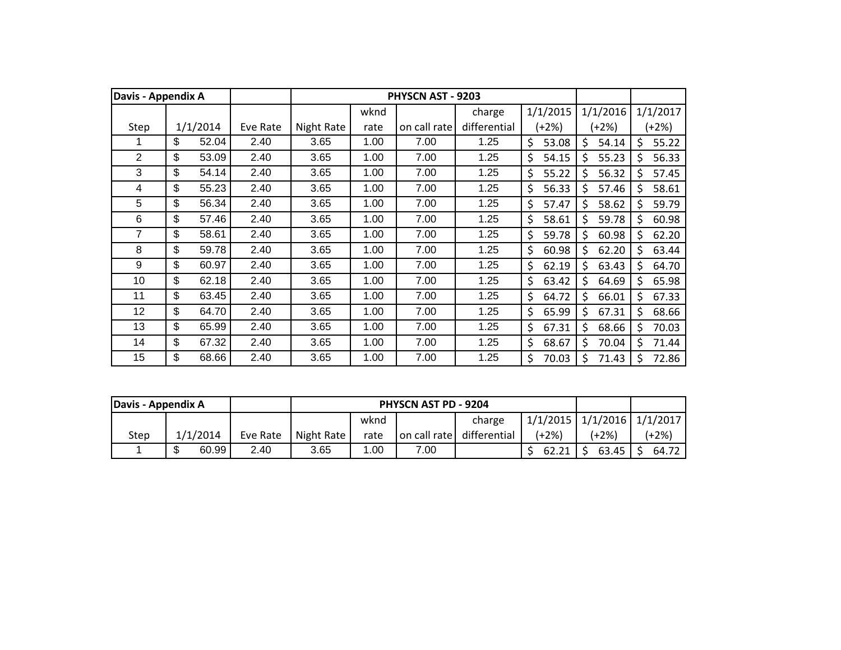| Davis - Appendix A |             |          |            |      | PHYSCN AST - 9203 |              |             |          |       |               |          |
|--------------------|-------------|----------|------------|------|-------------------|--------------|-------------|----------|-------|---------------|----------|
|                    |             |          |            | wknd |                   | charge       | 1/1/2015    | 1/1/2016 |       |               | 1/1/2017 |
| Step               | 1/1/2014    | Eve Rate | Night Rate | rate | on call rate      | differential | $(+2%)$     | (+2%)    |       |               | $(+2%)$  |
|                    | \$<br>52.04 | 2.40     | 3.65       | 1.00 | 7.00              | 1.25         | \$<br>53.08 | \$       | 54.14 | \$            | 55.22    |
| $\overline{2}$     | \$<br>53.09 | 2.40     | 3.65       | 1.00 | 7.00              | 1.25         | \$<br>54.15 | Ś.       | 55.23 | Ś             | 56.33    |
| 3                  | \$<br>54.14 | 2.40     | 3.65       | 1.00 | 7.00              | 1.25         | \$<br>55.22 | Ś.       | 56.32 | Ś             | 57.45    |
| 4                  | \$<br>55.23 | 2.40     | 3.65       | 1.00 | 7.00              | 1.25         | \$<br>56.33 | Ś        | 57.46 | Ś             | 58.61    |
| 5                  | \$<br>56.34 | 2.40     | 3.65       | 1.00 | 7.00              | 1.25         | \$<br>57.47 | Ś        | 58.62 | \$            | 59.79    |
| 6                  | \$<br>57.46 | 2.40     | 3.65       | 1.00 | 7.00              | 1.25         | \$<br>58.61 | \$       | 59.78 | \$            | 60.98    |
| 7                  | \$<br>58.61 | 2.40     | 3.65       | 1.00 | 7.00              | 1.25         | \$<br>59.78 | \$       | 60.98 | \$            | 62.20    |
| 8                  | \$<br>59.78 | 2.40     | 3.65       | 1.00 | 7.00              | 1.25         | \$<br>60.98 | \$       | 62.20 | \$            | 63.44    |
| 9                  | \$<br>60.97 | 2.40     | 3.65       | 1.00 | 7.00              | 1.25         | \$<br>62.19 | \$       | 63.43 | \$            | 64.70    |
| 10                 | \$<br>62.18 | 2.40     | 3.65       | 1.00 | 7.00              | 1.25         | \$<br>63.42 | \$       | 64.69 | \$            | 65.98    |
| 11                 | \$<br>63.45 | 2.40     | 3.65       | 1.00 | 7.00              | 1.25         | \$<br>64.72 | \$       | 66.01 | \$            | 67.33    |
| 12                 | \$<br>64.70 | 2.40     | 3.65       | 1.00 | 7.00              | 1.25         | \$<br>65.99 | \$       | 67.31 | \$            | 68.66    |
| 13                 | \$<br>65.99 | 2.40     | 3.65       | 1.00 | 7.00              | 1.25         | \$<br>67.31 | \$       | 68.66 | \$            | 70.03    |
| 14                 | \$<br>67.32 | 2.40     | 3.65       | 1.00 | 7.00              | 1.25         | \$<br>68.67 | \$       | 70.04 | Ś             | 71.44    |
| 15                 | \$<br>68.66 | 2.40     | 3.65       | 1.00 | 7.00              | 1.25         | \$<br>70.03 | Ś        | 71.43 | <sup>\$</sup> | 72.86    |

| Davis - Appendix A |             |          |            |      | <b>PHYSCN AST PD - 9204</b> |              |       |                                  |         |
|--------------------|-------------|----------|------------|------|-----------------------------|--------------|-------|----------------------------------|---------|
|                    |             |          |            | wknd |                             | charge       |       | $1/1/2015$ $1/1/2016$ $1/1/2017$ |         |
| Step               | 1/1/2014    | Eve Rate | Night Rate | rate | on call rate                | differential | (+2%) | (+2%)                            | $(+2%)$ |
|                    | \$<br>60.99 | 2.40     | 3.65       | 1.00 | 7.00                        |              | 62.21 | $63.45$ $\mid$ \$                | 64.72   |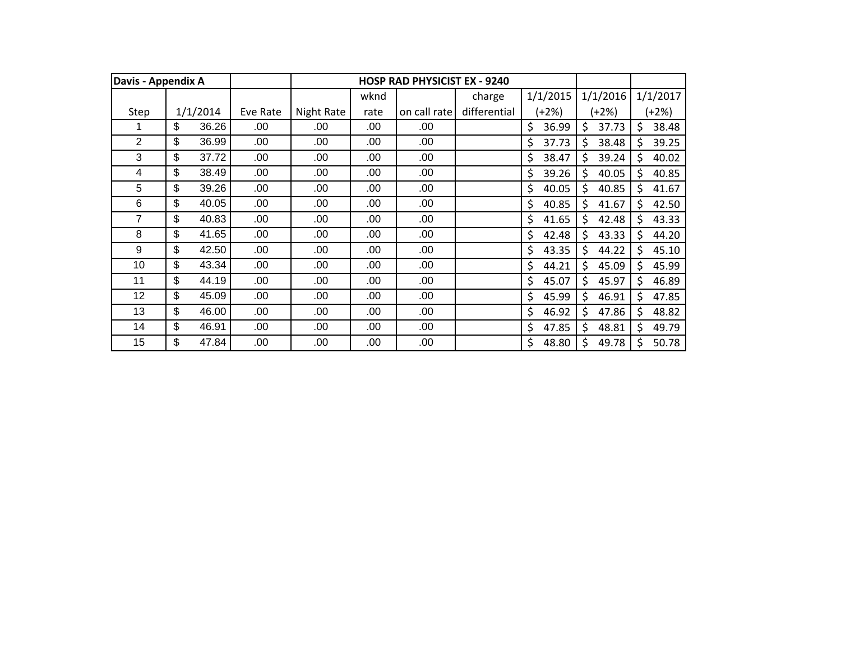| Davis - Appendix A |             |          |            |      | <b>HOSP RAD PHYSICIST EX - 9240</b> |              |             |             |    |          |
|--------------------|-------------|----------|------------|------|-------------------------------------|--------------|-------------|-------------|----|----------|
|                    |             |          |            | wknd |                                     | charge       | 1/1/2015    | 1/1/2016    |    | 1/1/2017 |
| Step               | 1/1/2014    | Eve Rate | Night Rate | rate | on call rate                        | differential | (+2%)       | (+2%)       |    | $(+2%)$  |
|                    | \$<br>36.26 | .00      | .00        | .00  | .00                                 |              | \$<br>36.99 | \$<br>37.73 | \$ | 38.48    |
| $\overline{2}$     | \$<br>36.99 | .00      | .00        | .00  | .00                                 |              | \$<br>37.73 | \$<br>38.48 | \$ | 39.25    |
| 3                  | \$<br>37.72 | .00      | .00        | .00  | .00                                 |              | \$<br>38.47 | Ś<br>39.24  | Ś. | 40.02    |
| 4                  | \$<br>38.49 | .00      | .00        | .00  | .00                                 |              | \$<br>39.26 | Ś<br>40.05  | Ś. | 40.85    |
| 5                  | \$<br>39.26 | .00      | .00        | .00  | .00                                 |              | \$<br>40.05 | Ś<br>40.85  | Ŝ. | 41.67    |
| $6\phantom{1}6$    | \$<br>40.05 | .00      | .00        | .00  | .00                                 |              | \$<br>40.85 | \$<br>41.67 | \$ | 42.50    |
| 7                  | \$<br>40.83 | .00      | .00        | .00  | .00                                 |              | \$<br>41.65 | \$<br>42.48 | \$ | 43.33    |
| 8                  | \$<br>41.65 | .00      | .00        | .00  | .00                                 |              | \$<br>42.48 | \$<br>43.33 | \$ | 44.20    |
| 9                  | \$<br>42.50 | .00      | .00        | .00  | .00                                 |              | \$<br>43.35 | \$<br>44.22 | \$ | 45.10    |
| 10                 | \$<br>43.34 | .00      | .00        | .00  | .00                                 |              | \$<br>44.21 | \$<br>45.09 | \$ | 45.99    |
| 11                 | \$<br>44.19 | .00      | .00        | .00  | .00                                 |              | \$<br>45.07 | \$<br>45.97 | \$ | 46.89    |
| 12                 | \$<br>45.09 | .00      | .00        | .00  | .00                                 |              | \$<br>45.99 | \$<br>46.91 | \$ | 47.85    |
| 13                 | \$<br>46.00 | .00      | .00        | .00  | .00                                 |              | \$<br>46.92 | \$<br>47.86 | \$ | 48.82    |
| 14                 | \$<br>46.91 | .00      | .00        | .00  | .00                                 |              | \$<br>47.85 | \$<br>48.81 | \$ | 49.79    |
| 15                 | \$<br>47.84 | .00      | .00        | .00  | .00                                 |              | \$<br>48.80 | \$<br>49.78 | \$ | 50.78    |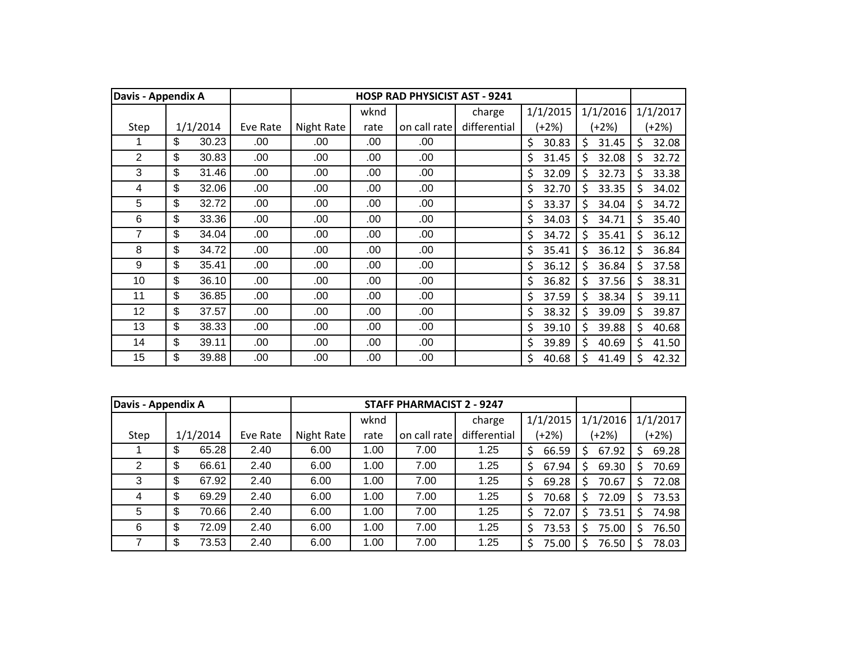| Davis - Appendix A |             |          |            |      | <b>HOSP RAD PHYSICIST AST - 9241</b> |              |             |             |    |          |
|--------------------|-------------|----------|------------|------|--------------------------------------|--------------|-------------|-------------|----|----------|
|                    |             |          |            | wknd |                                      | charge       | 1/1/2015    | 1/1/2016    |    | 1/1/2017 |
| Step               | 1/1/2014    | Eve Rate | Night Rate | rate | on call rate                         | differential | (+2%)       | (+2%)       |    | $+2%$    |
|                    | \$<br>30.23 | .00      | .00        | .00  | .00                                  |              | \$<br>30.83 | \$<br>31.45 | \$ | 32.08    |
| $\overline{2}$     | \$<br>30.83 | .00      | .00        | .00  | .00                                  |              | \$<br>31.45 | \$<br>32.08 | \$ | 32.72    |
| 3                  | \$<br>31.46 | .00      | .00        | .00  | .00                                  |              | \$<br>32.09 | \$<br>32.73 | \$ | 33.38    |
| 4                  | \$<br>32.06 | .00      | .00        | .00  | .00.                                 |              | \$<br>32.70 | \$<br>33.35 | Ś  | 34.02    |
| 5                  | \$<br>32.72 | .00      | .00        | .00  | .00                                  |              | \$<br>33.37 | \$<br>34.04 | \$ | 34.72    |
| 6                  | \$<br>33.36 | .00      | .00        | .00  | .00                                  |              | \$<br>34.03 | \$<br>34.71 | Ś  | 35.40    |
| 7                  | \$<br>34.04 | .00.     | .00        | .00  | .00                                  |              | \$<br>34.72 | \$<br>35.41 | \$ | 36.12    |
| 8                  | \$<br>34.72 | .00.     | .00        | .00  | .00                                  |              | \$<br>35.41 | \$<br>36.12 | \$ | 36.84    |
| 9                  | \$<br>35.41 | .00.     | .00        | .00  | .00                                  |              | \$<br>36.12 | \$<br>36.84 | \$ | 37.58    |
| 10                 | \$<br>36.10 | .00.     | .00        | .00  | .00                                  |              | \$<br>36.82 | \$<br>37.56 | \$ | 38.31    |
| 11                 | \$<br>36.85 | .00.     | .00        | .00  | .00                                  |              | \$<br>37.59 | \$<br>38.34 | \$ | 39.11    |
| 12                 | \$<br>37.57 | .00.     | .00        | .00  | .00.                                 |              | \$<br>38.32 | \$<br>39.09 | \$ | 39.87    |
| 13                 | \$<br>38.33 | .00.     | .00        | .00  | .00.                                 |              | \$<br>39.10 | \$<br>39.88 | Ŝ. | 40.68    |
| 14                 | \$<br>39.11 | .00      | .00        | .00  | .00                                  |              | \$<br>39.89 | \$<br>40.69 | \$ | 41.50    |
| 15                 | \$<br>39.88 | .00.     | .00        | .00  | .00                                  |              | \$<br>40.68 | \$<br>41.49 | \$ | 42.32    |

| Davis - Appendix A |     |          |          |            |      | <b>STAFF PHARMACIST 2 - 9247</b> |              |             |          |             |
|--------------------|-----|----------|----------|------------|------|----------------------------------|--------------|-------------|----------|-------------|
|                    |     |          |          |            | wknd |                                  | charge       | 1/1/2015    | 1/1/2016 | 1/1/2017    |
| Step               |     | 1/1/2014 | Eve Rate | Night Rate | rate | on call rate                     | differential | (+2%)       | (+2%)    | (+2%)       |
|                    | \$. | 65.28    | 2.40     | 6.00       | 1.00 | 7.00                             | 1.25         | \$<br>66.59 | 67.92    | 69.28<br>S  |
| 2                  | S   | 66.61    | 2.40     | 6.00       | 1.00 | 7.00                             | 1.25         | \$<br>67.94 | 69.30    | 70.69<br>S  |
| 3                  | \$. | 67.92    | 2.40     | 6.00       | 1.00 | 7.00                             | 1.25         | \$<br>69.28 | 70.67    | 72.08<br>S. |
| 4                  | \$. | 69.29    | 2.40     | 6.00       | 1.00 | 7.00                             | 1.25         | \$<br>70.68 | 72.09    | 73.53<br>S  |
| 5                  | S   | 70.66    | 2.40     | 6.00       | 1.00 | 7.00                             | 1.25         | \$<br>72.07 | 73.51    | 74.98       |
| 6                  | S   | 72.09    | 2.40     | 6.00       | 1.00 | 7.00                             | 1.25         | \$<br>73.53 | 75.00    | 76.50<br>S  |
|                    | \$. | 73.53    | 2.40     | 6.00       | 1.00 | 7.00                             | 1.25         | \$<br>75.00 | 76.50    | 78.03       |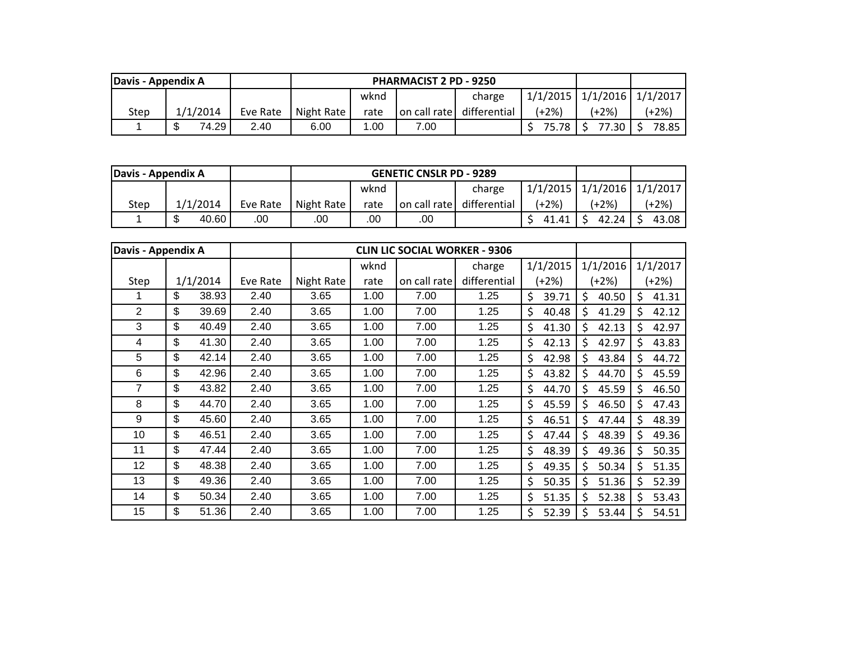| Davis - Appendix A |            |          |            |      | <b>PHARMACIST 2 PD - 9250</b> |              |          |                       |       |
|--------------------|------------|----------|------------|------|-------------------------------|--------------|----------|-----------------------|-------|
|                    |            |          |            | wknd |                               | charge       | 1/1/2015 | $1/1/2016$ $1/1/2017$ |       |
| Step               | 1/1/2014   | Eve Rate | Night Rate | rate | on call rate                  | differential | (+2%)    | $(+2%)$               | (+2%) |
|                    | 74.29<br>æ | 2.40     | 6.00       | .00  | 7.00                          |              |          | 77.30                 | 78.85 |

| Davis - Appendix A |              |          |            |      | <b>GENETIC CNSLR PD - 9289</b> |                           |                                  |       |         |
|--------------------|--------------|----------|------------|------|--------------------------------|---------------------------|----------------------------------|-------|---------|
|                    |              |          |            | wknd |                                | charge                    | $1/1/2015$ $1/1/2016$ $1/1/2017$ |       |         |
| Step               | 1/1/2014     | Eve Rate | Night Rate | rate |                                | on call rate differential | (+2%)                            | (+2%) | $+2\%)$ |
|                    | 40.60<br>.00 |          | .00        | .00  | .00                            |                           | 41.41                            | 42.24 | 43.08   |

| Davis - Appendix A |             |          |            |      | <b>CLIN LIC SOCIAL WORKER - 9306</b> |              |             |             |         |          |
|--------------------|-------------|----------|------------|------|--------------------------------------|--------------|-------------|-------------|---------|----------|
|                    |             |          |            | wknd |                                      | charge       | 1/1/2015    | 1/1/2016    |         | 1/1/2017 |
| Step               | 1/1/2014    | Eve Rate | Night Rate | rate | on call rate                         | differential | (+2%)       | (+2%)       |         | $(+2%)$  |
| 1                  | \$<br>38.93 | 2.40     | 3.65       | 1.00 | 7.00                                 | 1.25         | \$<br>39.71 | \$<br>40.50 | \$      | 41.31    |
| $\overline{2}$     | \$<br>39.69 | 2.40     | 3.65       | 1.00 | 7.00                                 | 1.25         | \$<br>40.48 | \$<br>41.29 | \$      | 42.12    |
| 3                  | \$<br>40.49 | 2.40     | 3.65       | 1.00 | 7.00                                 | 1.25         | \$<br>41.30 | \$<br>42.13 | \$      | 42.97    |
| 4                  | \$<br>41.30 | 2.40     | 3.65       | 1.00 | 7.00                                 | 1.25         | \$<br>42.13 | Ś<br>42.97  | \$      | 43.83    |
| 5                  | \$<br>42.14 | 2.40     | 3.65       | 1.00 | 7.00                                 | 1.25         | \$<br>42.98 | Ś<br>43.84  | Ś       | 44.72    |
| 6                  | \$<br>42.96 | 2.40     | 3.65       | 1.00 | 7.00                                 | 1.25         | \$<br>43.82 | Ś<br>44.70  | \$      | 45.59    |
| 7                  | \$<br>43.82 | 2.40     | 3.65       | 1.00 | 7.00                                 | 1.25         | \$<br>44.70 | Ś<br>45.59  | \$      | 46.50    |
| 8                  | \$<br>44.70 | 2.40     | 3.65       | 1.00 | 7.00                                 | 1.25         | \$<br>45.59 | \$<br>46.50 | \$      | 47.43    |
| 9                  | \$<br>45.60 | 2.40     | 3.65       | 1.00 | 7.00                                 | 1.25         | \$<br>46.51 | Ś.<br>47.44 | $\zeta$ | 48.39    |
| 10                 | \$<br>46.51 | 2.40     | 3.65       | 1.00 | 7.00                                 | 1.25         | \$<br>47.44 | \$<br>48.39 | \$      | 49.36    |
| 11                 | \$<br>47.44 | 2.40     | 3.65       | 1.00 | 7.00                                 | 1.25         | \$<br>48.39 | Ś<br>49.36  | \$      | 50.35    |
| 12                 | \$<br>48.38 | 2.40     | 3.65       | 1.00 | 7.00                                 | 1.25         | \$<br>49.35 | Ś<br>50.34  | \$      | 51.35    |
| 13                 | \$<br>49.36 | 2.40     | 3.65       | 1.00 | 7.00                                 | 1.25         | \$<br>50.35 | Ś<br>51.36  | \$      | 52.39    |
| 14                 | \$<br>50.34 | 2.40     | 3.65       | 1.00 | 7.00                                 | 1.25         | \$<br>51.35 | \$<br>52.38 | \$      | 53.43    |
| 15                 | \$<br>51.36 | 2.40     | 3.65       | 1.00 | 7.00                                 | 1.25         | \$<br>52.39 | Ś.<br>53.44 | \$      | 54.51    |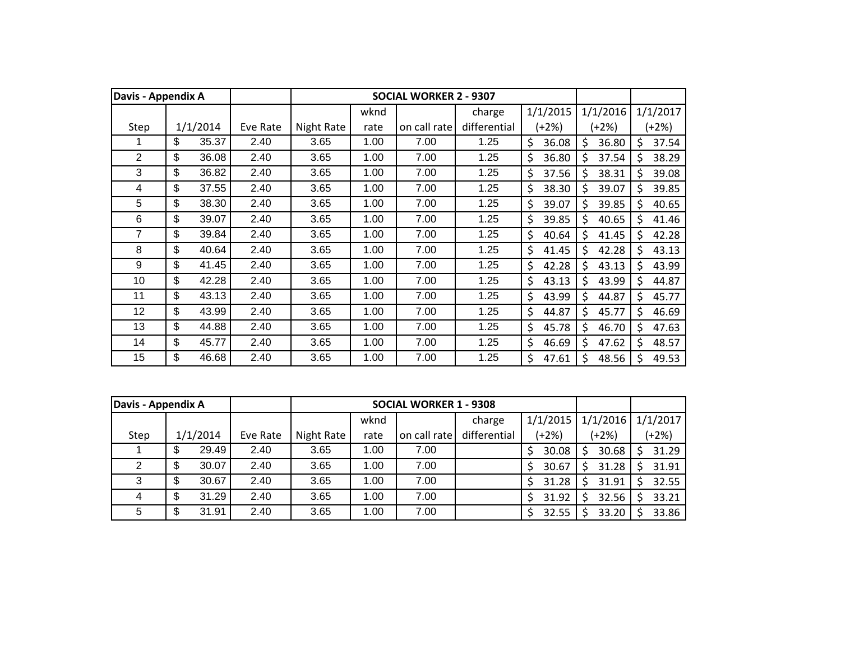| Davis - Appendix A |             |          |            |      | <b>SOCIAL WORKER 2 - 9307</b> |              |             |             |    |          |
|--------------------|-------------|----------|------------|------|-------------------------------|--------------|-------------|-------------|----|----------|
|                    |             |          |            | wknd |                               | charge       | 1/1/2015    | 1/1/2016    |    | 1/1/2017 |
| Step               | 1/1/2014    | Eve Rate | Night Rate | rate | on call rate                  | differential | (+2%)       | (+2%)       |    | $(+2%)$  |
|                    | \$<br>35.37 | 2.40     | 3.65       | 1.00 | 7.00                          | 1.25         | \$<br>36.08 | \$<br>36.80 | \$ | 37.54    |
| $\overline{2}$     | \$<br>36.08 | 2.40     | 3.65       | 1.00 | 7.00                          | 1.25         | \$<br>36.80 | Ś<br>37.54  | \$ | 38.29    |
| 3                  | \$<br>36.82 | 2.40     | 3.65       | 1.00 | 7.00                          | 1.25         | \$<br>37.56 | Ś.<br>38.31 | Ś  | 39.08    |
| 4                  | \$<br>37.55 | 2.40     | 3.65       | 1.00 | 7.00                          | 1.25         | \$<br>38.30 | Ś<br>39.07  | Ś  | 39.85    |
| 5                  | \$<br>38.30 | 2.40     | 3.65       | 1.00 | 7.00                          | 1.25         | \$<br>39.07 | 39.85<br>\$ | \$ | 40.65    |
| 6                  | \$<br>39.07 | 2.40     | 3.65       | 1.00 | 7.00                          | 1.25         | \$<br>39.85 | \$<br>40.65 | \$ | 41.46    |
| 7                  | \$<br>39.84 | 2.40     | 3.65       | 1.00 | 7.00                          | 1.25         | \$<br>40.64 | \$<br>41.45 | \$ | 42.28    |
| 8                  | \$<br>40.64 | 2.40     | 3.65       | 1.00 | 7.00                          | 1.25         | \$<br>41.45 | \$<br>42.28 | \$ | 43.13    |
| 9                  | \$<br>41.45 | 2.40     | 3.65       | 1.00 | 7.00                          | 1.25         | \$<br>42.28 | \$<br>43.13 | \$ | 43.99    |
| 10                 | \$<br>42.28 | 2.40     | 3.65       | 1.00 | 7.00                          | 1.25         | \$<br>43.13 | \$<br>43.99 | \$ | 44.87    |
| 11                 | \$<br>43.13 | 2.40     | 3.65       | 1.00 | 7.00                          | 1.25         | \$<br>43.99 | \$<br>44.87 | \$ | 45.77    |
| 12                 | \$<br>43.99 | 2.40     | 3.65       | 1.00 | 7.00                          | 1.25         | \$<br>44.87 | \$<br>45.77 | \$ | 46.69    |
| 13                 | \$<br>44.88 | 2.40     | 3.65       | 1.00 | 7.00                          | 1.25         | \$<br>45.78 | \$<br>46.70 | Ś. | 47.63    |
| 14                 | \$<br>45.77 | 2.40     | 3.65       | 1.00 | 7.00                          | 1.25         | \$<br>46.69 | \$<br>47.62 | Ś  | 48.57    |
| 15                 | \$<br>46.68 | 2.40     | 3.65       | 1.00 | 7.00                          | 1.25         | \$<br>47.61 | Ś<br>48.56  | Ś. | 49.53    |

| Davis - Appendix A |             |          |            |      | <b>SOCIAL WORKER 1 - 9308</b> |              |            |          |          |
|--------------------|-------------|----------|------------|------|-------------------------------|--------------|------------|----------|----------|
|                    |             |          |            | wknd |                               | charge       | 1/1/2015   | 1/1/2016 | 1/1/2017 |
| Step               | 1/1/2014    | Eve Rate | Night Rate | rate | on call rate                  | differential | $(+2%)$    | (+2%)    | $(+2%)$  |
|                    | \$<br>29.49 | 2.40     | 3.65       | 1.00 | 7.00                          |              | 30.08<br>S | 30.68    | 31.29    |
| 2                  | \$<br>30.07 | 2.40     | 3.65       | 1.00 | 7.00                          |              | 30.67<br>S | 31.28    | 31.91    |
| 3                  | \$<br>30.67 | 2.40     | 3.65       | 1.00 | 7.00                          |              | 31.28<br>S | 31.91    | 32.55    |
| 4                  | \$<br>31.29 | 2.40     | 3.65       | 1.00 | 7.00                          |              | 31.92      | 32.56    | 33.21    |
| 5                  | \$<br>31.91 | 2.40     | 3.65       | 1.00 | 7.00                          |              | 32.55      | 33.20    | 33.86    |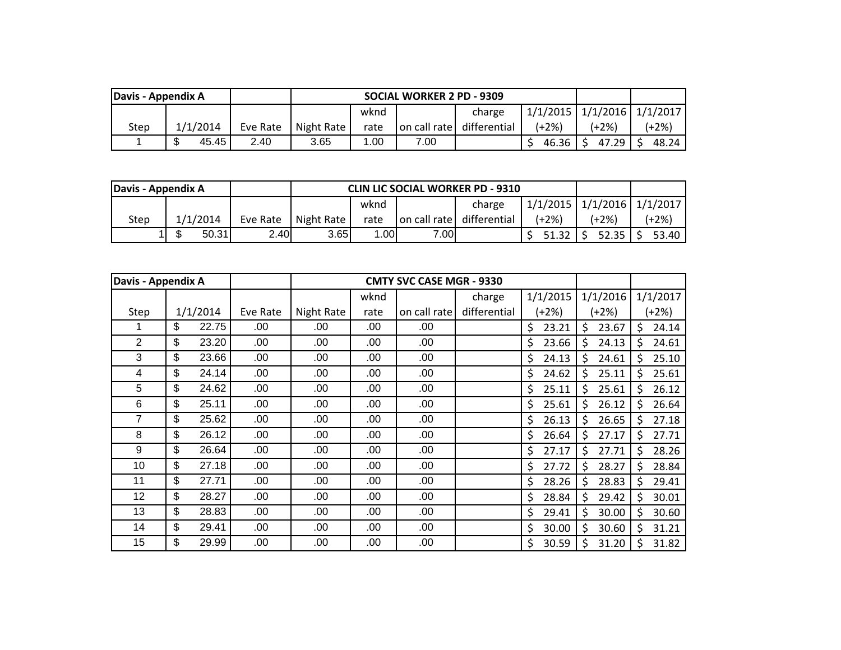| Davis - Appendix A |                    |          |            |      | <b>SOCIAL WORKER 2 PD - 9309</b> |              |       |                                      |       |
|--------------------|--------------------|----------|------------|------|----------------------------------|--------------|-------|--------------------------------------|-------|
|                    |                    |          |            | wknd |                                  | charge       |       | $1/1/2015$   $1/1/2016$   $1/1/2017$ |       |
| Step               | 1/1/2014           | Eve Rate | Night Rate | rate | on call rate                     | differential | (+2%) | $+2\%$                               | (+2%) |
|                    | ጦ<br>45.45<br>2.40 |          | 3.65       | 1.00 | 7.00                             |              | 46.36 | 47.29                                | 48.24 |

| Davis - Appendix A |          |          |            |      |              | <b>CLIN LIC SOCIAL WORKER PD - 9310</b> |          |          |          |
|--------------------|----------|----------|------------|------|--------------|-----------------------------------------|----------|----------|----------|
|                    |          |          |            | wknd |              | charge                                  | 1/1/2015 | 1/1/2016 | 1/1/2017 |
| Step               | 1/1/2014 | Eve Rate | Night Rate | rate | on call rate | differential                            | (+2%)    | (+2%)    | (+2%)    |
|                    | 50.31    | 2.40     | 3.65       | .001 | 7.00         |                                         | 51.32    | 52.35    | 53.40    |

| Davis - Appendix A |             |          |            |      | <b>CMTY SVC CASE MGR - 9330</b> |              |             |             |         |          |
|--------------------|-------------|----------|------------|------|---------------------------------|--------------|-------------|-------------|---------|----------|
|                    |             |          |            | wknd |                                 | charge       | 1/1/2015    | 1/1/2016    |         | 1/1/2017 |
| Step               | 1/1/2014    | Eve Rate | Night Rate | rate | on call rate                    | differential | (+2%)       | (+2%)       |         | $(+2%)$  |
|                    | \$<br>22.75 | .00      | .00        | .00  | .00                             |              | \$<br>23.21 | \$<br>23.67 | \$      | 24.14    |
| $\overline{2}$     | \$<br>23.20 | .00      | .00        | .00  | .00                             |              | \$<br>23.66 | Ś.<br>24.13 | Ŝ.      | 24.61    |
| 3                  | \$<br>23.66 | .00      | .00        | .00  | .00                             |              | \$<br>24.13 | Ś.<br>24.61 | Ŝ.      | 25.10    |
| 4                  | \$<br>24.14 | .00      | .00        | .00  | .00                             |              | \$<br>24.62 | \$<br>25.11 | \$      | 25.61    |
| 5                  | \$<br>24.62 | .00      | .00        | .00  | .00                             |              | \$<br>25.11 | \$<br>25.61 | S       | 26.12    |
| 6                  | \$<br>25.11 | .00      | .00        | .00  | .00                             |              | \$<br>25.61 | \$<br>26.12 | \$      | 26.64    |
| 7                  | \$<br>25.62 | .00.     | .00        | .00  | .00                             |              | \$<br>26.13 | \$<br>26.65 | \$      | 27.18    |
| 8                  | \$<br>26.12 | .00      | .00        | .00  | .00                             |              | \$<br>26.64 | \$<br>27.17 | \$      | 27.71    |
| 9                  | \$<br>26.64 | .00.     | .00        | .00  | .00.                            |              | \$<br>27.17 | Ś.<br>27.71 | Ŝ.      | 28.26    |
| 10                 | \$<br>27.18 | .00.     | .00        | .00  | .00                             |              | \$<br>27.72 | \$<br>28.27 | $\zeta$ | 28.84    |
| 11                 | \$<br>27.71 | .00      | .00        | .00  | .00                             |              | \$<br>28.26 | 28.83<br>S  | \$      | 29.41    |
| 12                 | \$<br>28.27 | .00      | .00        | .00  | .00                             |              | \$<br>28.84 | \$<br>29.42 | \$      | 30.01    |
| 13                 | \$<br>28.83 | .00      | .00        | .00  | .00                             |              | \$<br>29.41 | \$<br>30.00 | \$      | 30.60    |
| 14                 | \$<br>29.41 | .00      | .00        | .00  | .00                             |              | \$<br>30.00 | 30.60<br>\$ | \$      | 31.21    |
| 15                 | \$<br>29.99 | .00      | .00        | .00  | .00                             |              | \$<br>30.59 | 31.20<br>\$ | \$      | 31.82    |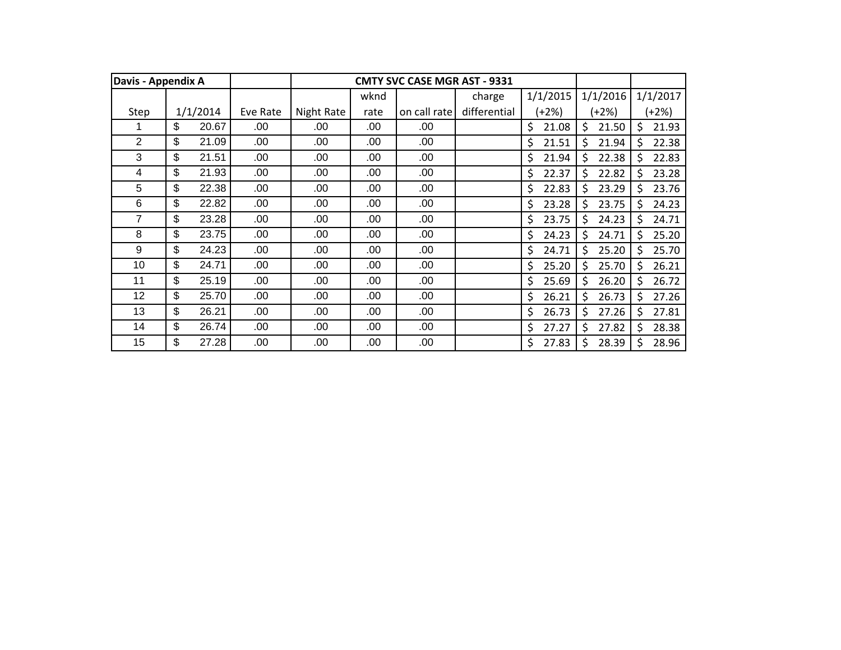| Davis - Appendix A |             |          |            |      | <b>CMTY SVC CASE MGR AST - 9331</b> |              |             |             |     |          |
|--------------------|-------------|----------|------------|------|-------------------------------------|--------------|-------------|-------------|-----|----------|
|                    |             |          |            | wknd |                                     | charge       | 1/1/2015    | 1/1/2016    |     | 1/1/2017 |
| Step               | 1/1/2014    | Eve Rate | Night Rate | rate | on call rate                        | differential | (+2%)       | (+2%)       |     | $(+2%)$  |
|                    | \$<br>20.67 | .00      | .00        | .00  | .00                                 |              | \$<br>21.08 | \$<br>21.50 | \$  | 21.93    |
| $\overline{2}$     | \$<br>21.09 | .00      | .00        | .00  | .00                                 |              | \$<br>21.51 | \$<br>21.94 | \$  | 22.38    |
| 3                  | \$<br>21.51 | .00      | .00        | .00  | .00                                 |              | \$<br>21.94 | Ŝ.<br>22.38 | Ŝ.  | 22.83    |
| 4                  | \$<br>21.93 | .00      | .00        | .00  | .00                                 |              | \$<br>22.37 | Ś.<br>22.82 | Ś.  | 23.28    |
| 5                  | \$<br>22.38 | .00      | .00        | .00  | .00                                 |              | \$<br>22.83 | Ś<br>23.29  | Ś.  | 23.76    |
| $6\phantom{1}6$    | \$<br>22.82 | .00      | .00        | .00  | .00                                 |              | \$<br>23.28 | \$<br>23.75 | \$  | 24.23    |
| 7                  | \$<br>23.28 | .00      | .00        | .00  | .00                                 |              | \$<br>23.75 | \$<br>24.23 | \$  | 24.71    |
| 8                  | \$<br>23.75 | .00      | .00        | .00  | .00                                 |              | \$<br>24.23 | \$<br>24.71 | \$  | 25.20    |
| 9                  | \$<br>24.23 | .00      | .00        | .00  | .00                                 |              | \$<br>24.71 | \$<br>25.20 | \$  | 25.70    |
| 10                 | \$<br>24.71 | .00      | .00        | .00  | .00                                 |              | \$<br>25.20 | \$<br>25.70 | \$. | 26.21    |
| 11                 | \$<br>25.19 | .00      | .00        | .00  | .00                                 |              | \$<br>25.69 | \$<br>26.20 | \$  | 26.72    |
| 12                 | \$<br>25.70 | .00      | .00        | .00  | .00                                 |              | \$<br>26.21 | \$<br>26.73 | \$  | 27.26    |
| 13                 | \$<br>26.21 | .00      | .00        | .00  | .00                                 |              | \$<br>26.73 | Ś<br>27.26  | \$  | 27.81    |
| 14                 | \$<br>26.74 | .00      | .00        | .00  | .00                                 |              | \$<br>27.27 | \$<br>27.82 | \$. | 28.38    |
| 15                 | \$<br>27.28 | .00      | .00        | .00  | .00                                 |              | \$<br>27.83 | 28.39<br>S  | \$  | 28.96    |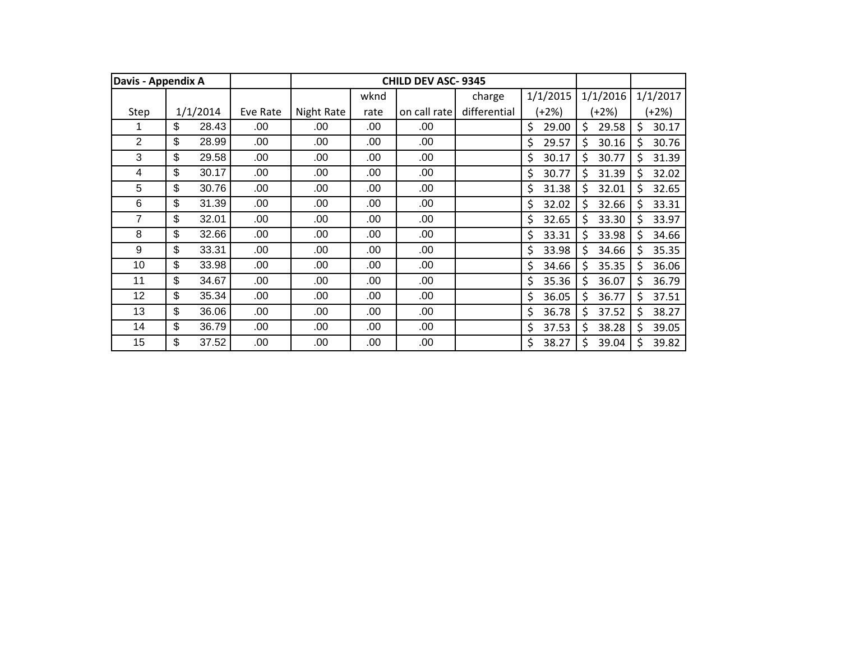| Davis - Appendix A |             |          |            |      | <b>CHILD DEV ASC-9345</b> |              |             |             |         |          |
|--------------------|-------------|----------|------------|------|---------------------------|--------------|-------------|-------------|---------|----------|
|                    |             |          |            | wknd |                           | charge       | 1/1/2015    | 1/1/2016    |         | 1/1/2017 |
| Step               | 1/1/2014    | Eve Rate | Night Rate | rate | on call rate              | differential | (+2%)       | (+2%)       |         | $(+2%)$  |
|                    | \$<br>28.43 | .00      | .00        | .00  | .00                       |              | \$<br>29.00 | \$<br>29.58 | \$      | 30.17    |
| $\overline{2}$     | \$<br>28.99 | .00      | .00        | .00  | .00                       |              | \$<br>29.57 | \$<br>30.16 | \$      | 30.76    |
| 3                  | \$<br>29.58 | .00      | .00        | .00  | .00                       |              | \$<br>30.17 | Ŝ.<br>30.77 | \$      | 31.39    |
| 4                  | \$<br>30.17 | .00      | .00        | .00  | .00                       |              | \$<br>30.77 | Ś.<br>31.39 | \$      | 32.02    |
| 5                  | \$<br>30.76 | .00      | .00        | .00  | .00                       |              | \$<br>31.38 | \$<br>32.01 | \$.     | 32.65    |
| $6\phantom{1}6$    | \$<br>31.39 | .00      | .00        | .00  | .00                       |              | \$<br>32.02 | \$<br>32.66 | \$      | 33.31    |
| 7                  | \$<br>32.01 | .00      | .00        | .00  | .00                       |              | \$<br>32.65 | \$<br>33.30 | \$      | 33.97    |
| 8                  | \$<br>32.66 | .00      | .00        | .00  | .00                       |              | \$<br>33.31 | \$<br>33.98 | \$      | 34.66    |
| 9                  | \$<br>33.31 | .00      | .00        | .00  | .00                       |              | \$<br>33.98 | \$<br>34.66 | \$      | 35.35    |
| 10                 | \$<br>33.98 | .00      | .00        | .00  | .00                       |              | \$<br>34.66 | \$<br>35.35 | \$      | 36.06    |
| 11                 | \$<br>34.67 | .00      | .00        | .00  | .00                       |              | \$<br>35.36 | \$<br>36.07 | \$      | 36.79    |
| 12                 | \$<br>35.34 | .00      | .00        | .00  | .00                       |              | \$<br>36.05 | \$<br>36.77 | \$      | 37.51    |
| 13                 | \$<br>36.06 | .00      | .00        | .00  | .00                       |              | \$<br>36.78 | \$<br>37.52 | $\zeta$ | 38.27    |
| 14                 | \$<br>36.79 | .00      | .00        | .00  | .00                       |              | \$<br>37.53 | \$<br>38.28 | \$      | 39.05    |
| 15                 | \$<br>37.52 | .00      | .00        | .00  | .00                       |              | \$<br>38.27 | \$<br>39.04 | \$      | 39.82    |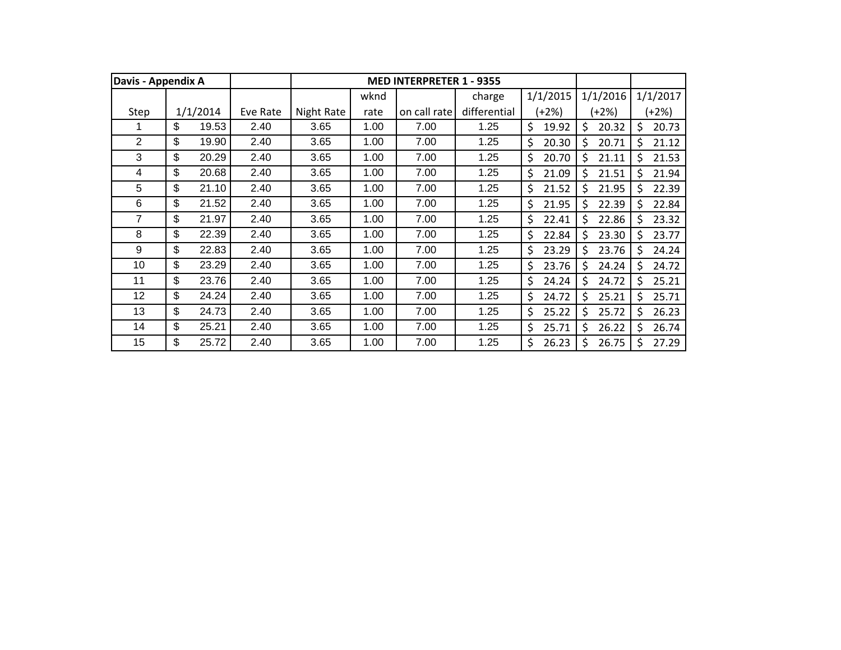| Davis - Appendix A |             |          |            |      | <b>MED INTERPRETER 1 - 9355</b> |              |             |    |          |     |          |
|--------------------|-------------|----------|------------|------|---------------------------------|--------------|-------------|----|----------|-----|----------|
|                    |             |          |            | wknd |                                 | charge       | 1/1/2015    |    | 1/1/2016 |     | 1/1/2017 |
| Step               | 1/1/2014    | Eve Rate | Night Rate | rate | on call rate                    | differential | (+2%)       |    | (+2%)    |     | $(+2%)$  |
|                    | \$<br>19.53 | 2.40     | 3.65       | 1.00 | 7.00                            | 1.25         | \$<br>19.92 | \$ | 20.32    | \$  | 20.73    |
| 2                  | \$<br>19.90 | 2.40     | 3.65       | 1.00 | 7.00                            | 1.25         | \$<br>20.30 | Ś. | 20.71    | Ś   | 21.12    |
| 3                  | \$<br>20.29 | 2.40     | 3.65       | 1.00 | 7.00                            | 1.25         | \$<br>20.70 | Ś  | 21.11    | Ŝ.  | 21.53    |
| 4                  | \$<br>20.68 | 2.40     | 3.65       | 1.00 | 7.00                            | 1.25         | \$<br>21.09 | Ś  | 21.51    | \$. | 21.94    |
| 5                  | \$<br>21.10 | 2.40     | 3.65       | 1.00 | 7.00                            | 1.25         | \$<br>21.52 | Ś. | 21.95    | \$  | 22.39    |
| 6                  | \$<br>21.52 | 2.40     | 3.65       | 1.00 | 7.00                            | 1.25         | \$<br>21.95 | \$ | 22.39    | \$  | 22.84    |
| 7                  | \$<br>21.97 | 2.40     | 3.65       | 1.00 | 7.00                            | 1.25         | \$<br>22.41 | \$ | 22.86    | \$  | 23.32    |
| 8                  | \$<br>22.39 | 2.40     | 3.65       | 1.00 | 7.00                            | 1.25         | \$<br>22.84 | \$ | 23.30    | \$  | 23.77    |
| 9                  | \$<br>22.83 | 2.40     | 3.65       | 1.00 | 7.00                            | 1.25         | \$<br>23.29 | \$ | 23.76    | Ś   | 24.24    |
| 10                 | \$<br>23.29 | 2.40     | 3.65       | 1.00 | 7.00                            | 1.25         | \$<br>23.76 | \$ | 24.24    | \$  | 24.72    |
| 11                 | \$<br>23.76 | 2.40     | 3.65       | 1.00 | 7.00                            | 1.25         | \$<br>24.24 | \$ | 24.72    | \$  | 25.21    |
| 12                 | \$<br>24.24 | 2.40     | 3.65       | 1.00 | 7.00                            | 1.25         | \$<br>24.72 | Ś. | 25.21    | \$  | 25.71    |
| 13                 | \$<br>24.73 | 2.40     | 3.65       | 1.00 | 7.00                            | 1.25         | \$<br>25.22 | Ś. | 25.72    | Ŝ.  | 26.23    |
| 14                 | \$<br>25.21 | 2.40     | 3.65       | 1.00 | 7.00                            | 1.25         | \$<br>25.71 | \$ | 26.22    | \$  | 26.74    |
| 15                 | \$<br>25.72 | 2.40     | 3.65       | 1.00 | 7.00                            | 1.25         | \$<br>26.23 | \$ | 26.75    | -Ś  | 27.29    |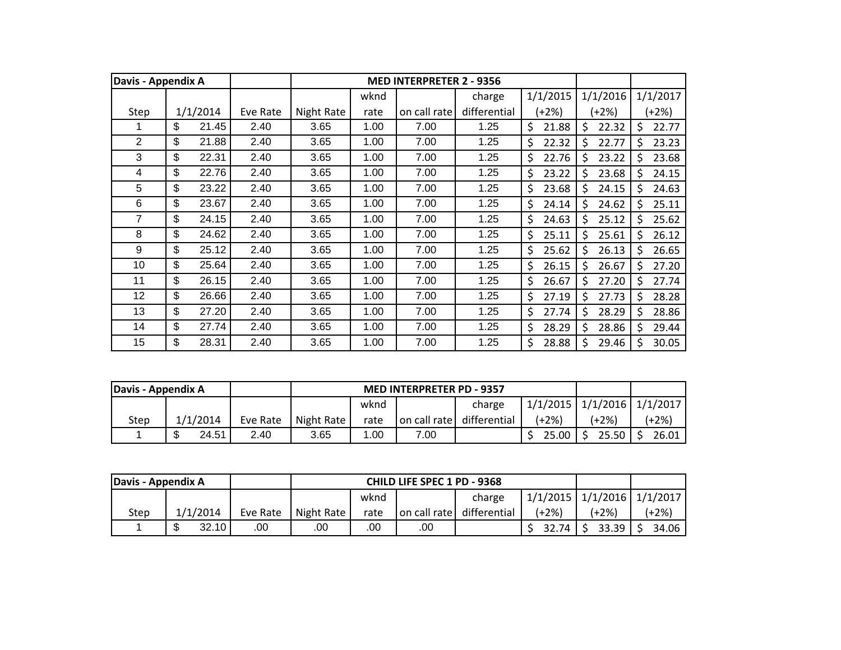| Davis - Appendix A |                           |          |          |            |      | <b>MED INTERPRETER 2 - 9356</b> |              |             |    |          |    |          |
|--------------------|---------------------------|----------|----------|------------|------|---------------------------------|--------------|-------------|----|----------|----|----------|
|                    |                           |          |          |            | wknd |                                 | charge       | 1/1/2015    |    | 1/1/2016 |    | 1/1/2017 |
| Step               |                           | 1/1/2014 | Eve Rate | Night Rate | rate | on call rate                    | differential | (+2%)       |    | (+2%)    |    | $(+2%)$  |
|                    | \$                        | 21.45    | 2.40     | 3.65       | 1.00 | 7.00                            | 1.25         | \$<br>21.88 | \$ | 22.32    | \$ | 22.77    |
| $\overline{2}$     | \$                        | 21.88    | 2.40     | 3.65       | 1.00 | 7.00                            | 1.25         | \$<br>22.32 | \$ | 22.77    | \$ | 23.23    |
| 3                  | \$                        | 22.31    | 2.40     | 3.65       | 1.00 | 7.00                            | 1.25         | \$<br>22.76 | Ŝ. | 23.22    | Ŝ. | 23.68    |
| 4                  | \$                        | 22.76    | 2.40     | 3.65       | 1.00 | 7.00                            | 1.25         | \$<br>23.22 | \$ | 23.68    | \$ | 24.15    |
| 5                  | \$                        | 23.22    | 2.40     | 3.65       | 1.00 | 7.00                            | 1.25         | \$<br>23.68 | \$ | 24.15    | Ś  | 24.63    |
| 6                  | \$                        | 23.67    | 2.40     | 3.65       | 1.00 | 7.00                            | 1.25         | \$<br>24.14 | \$ | 24.62    | \$ | 25.11    |
| 7                  | \$                        | 24.15    | 2.40     | 3.65       | 1.00 | 7.00                            | 1.25         | \$<br>24.63 | \$ | 25.12    | Ś  | 25.62    |
| 8                  | \$                        | 24.62    | 2.40     | 3.65       | 1.00 | 7.00                            | 1.25         | \$<br>25.11 | \$ | 25.61    | \$ | 26.12    |
| 9                  | \$                        | 25.12    | 2.40     | 3.65       | 1.00 | 7.00                            | 1.25         | \$<br>25.62 | \$ | 26.13    | Ś  | 26.65    |
| 10                 | \$                        | 25.64    | 2.40     | 3.65       | 1.00 | 7.00                            | 1.25         | \$<br>26.15 | \$ | 26.67    | \$ | 27.20    |
| 11                 | \$                        | 26.15    | 2.40     | 3.65       | 1.00 | 7.00                            | 1.25         | \$<br>26.67 | \$ | 27.20    | \$ | 27.74    |
| 12                 | \$                        | 26.66    | 2.40     | 3.65       | 1.00 | 7.00                            | 1.25         | \$<br>27.19 | \$ | 27.73    | \$ | 28.28    |
| 13                 | $\boldsymbol{\mathsf{S}}$ | 27.20    | 2.40     | 3.65       | 1.00 | 7.00                            | 1.25         | \$<br>27.74 | \$ | 28.29    | \$ | 28.86    |
| 14                 | \$                        | 27.74    | 2.40     | 3.65       | 1.00 | 7.00                            | 1.25         | \$<br>28.29 | \$ | 28.86    | \$ | 29.44    |
| 15                 | \$                        | 28.31    | 2.40     | 3.65       | 1.00 | 7.00                            | 1.25         | \$<br>28.88 | \$ | 29.46    | S  | 30.05    |

| Davis - Appendix A |                  |          |                               |      | <b>MED INTERPRETER PD - 9357</b> |              |                                  |       |         |
|--------------------|------------------|----------|-------------------------------|------|----------------------------------|--------------|----------------------------------|-------|---------|
|                    |                  |          |                               | wknd |                                  | charge       | $1/1/2015$ $1/1/2016$ $1/1/2017$ |       |         |
| Step               | 1/1/2014         | Eve Rate | Night Rate                    | rate | on call rate                     | differential | (+2%)                            | (+2%) | $(+2%)$ |
|                    | ጥ<br>24.51<br>۰D | 2.40     | 1.00<br>3.65<br>7.00<br>25.00 |      |                                  |              |                                  | 25.50 | 26.01   |

| Davis - Appendix A |             |          |                            |      | <b>CHILD LIFE SPEC 1 PD - 9368</b> |              |                                  |       |         |
|--------------------|-------------|----------|----------------------------|------|------------------------------------|--------------|----------------------------------|-------|---------|
|                    |             |          |                            | wknd |                                    | charge       | $1/1/2015$ $1/1/2016$ $1/1/2017$ |       |         |
| Step               | 1/1/2014    | Eve Rate | Night Rate                 | rate | on call rate                       | differential | (+2%)                            | (+2%) | $+2\%)$ |
|                    | \$<br>32.10 | .00      | .00<br>.00<br>.00<br>32.74 |      |                                    |              |                                  | 33.39 | 34.06   |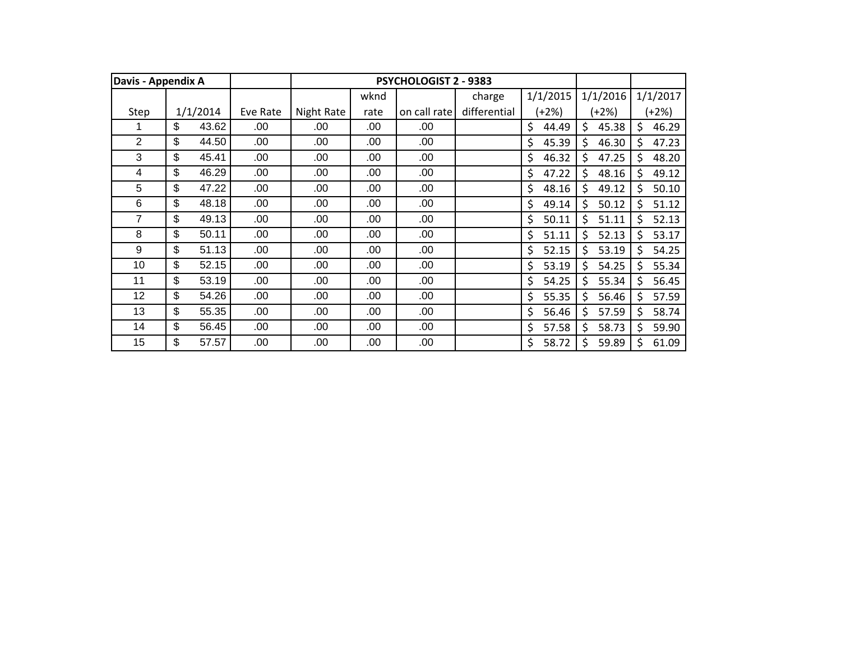| Davis - Appendix A |             |          |            |      | <b>PSYCHOLOGIST 2 - 9383</b> |              |             |             |    |          |
|--------------------|-------------|----------|------------|------|------------------------------|--------------|-------------|-------------|----|----------|
|                    |             |          |            | wknd |                              | charge       | 1/1/2015    | 1/1/2016    |    | 1/1/2017 |
| Step               | 1/1/2014    | Eve Rate | Night Rate | rate | on call rate                 | differential | $(+2%)$     | (+2%)       |    | $(+2%)$  |
|                    | \$<br>43.62 | .00      | .00        | .00  | .00                          |              | \$<br>44.49 | \$<br>45.38 | \$ | 46.29    |
| 2                  | \$<br>44.50 | .00      | .00        | .00  | .00                          |              | \$<br>45.39 | Ś<br>46.30  | Ś  | 47.23    |
| 3                  | \$<br>45.41 | .00      | .00        | .00  | .00                          |              | \$<br>46.32 | Ś<br>47.25  | Ś. | 48.20    |
| 4                  | \$<br>46.29 | .00      | .00        | .00  | .00                          |              | \$<br>47.22 | Ś<br>48.16  | \$ | 49.12    |
| 5                  | \$<br>47.22 | .00      | .00        | .00  | .00                          |              | \$<br>48.16 | Ś.<br>49.12 | \$ | 50.10    |
| 6                  | \$<br>48.18 | .00      | .00        | .00  | .00                          |              | \$<br>49.14 | \$<br>50.12 | Ś  | 51.12    |
| 7                  | \$<br>49.13 | .00      | .00        | .00  | .00                          |              | \$<br>50.11 | \$<br>51.11 | Ś  | 52.13    |
| 8                  | \$<br>50.11 | .00      | .00        | .00  | .00                          |              | \$<br>51.11 | \$<br>52.13 | \$ | 53.17    |
| 9                  | \$<br>51.13 | .00      | .00        | .00  | .00                          |              | \$<br>52.15 | \$<br>53.19 | \$ | 54.25    |
| 10                 | \$<br>52.15 | .00      | .00        | .00  | .00                          |              | \$<br>53.19 | \$<br>54.25 | \$ | 55.34    |
| 11                 | \$<br>53.19 | .00      | .00        | .00  | .00                          |              | \$<br>54.25 | \$<br>55.34 | \$ | 56.45    |
| 12                 | \$<br>54.26 | .00      | .00        | .00  | .00                          |              | \$<br>55.35 | Ś.<br>56.46 | \$ | 57.59    |
| 13                 | \$<br>55.35 | .00      | .00        | .00  | .00                          |              | \$<br>56.46 | \$<br>57.59 | Ś  | 58.74    |
| 14                 | \$<br>56.45 | .00      | .00        | .00  | .00                          |              | \$<br>57.58 | \$<br>58.73 | \$ | 59.90    |
| 15                 | \$<br>57.57 | .00      | .00        | .00  | .00                          |              | \$<br>58.72 | \$<br>59.89 | \$ | 61.09    |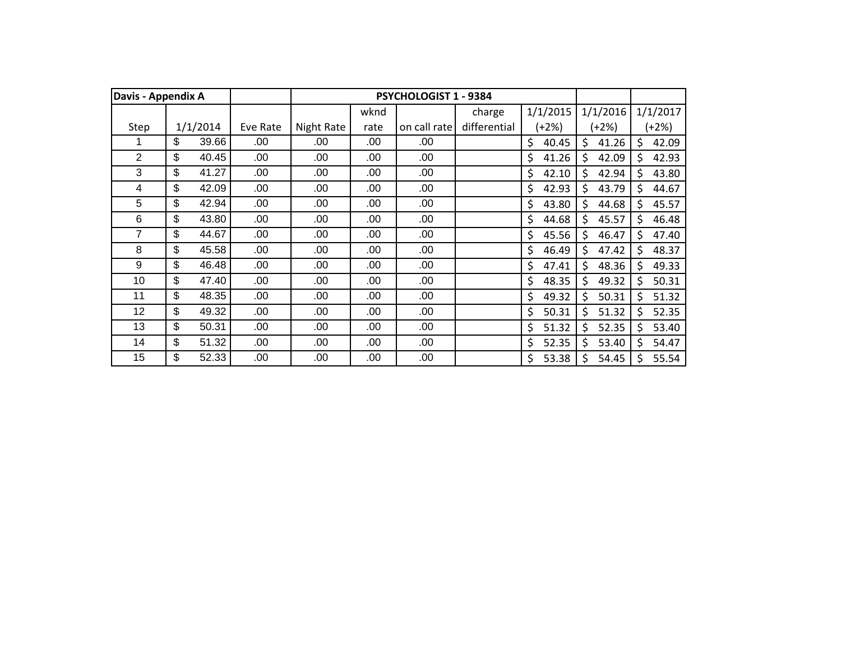| Davis - Appendix A |             |          |            |      | PSYCHOLOGIST 1 - 9384 |              |             |             |    |          |
|--------------------|-------------|----------|------------|------|-----------------------|--------------|-------------|-------------|----|----------|
|                    |             |          |            | wknd |                       | charge       | 1/1/2015    | 1/1/2016    |    | 1/1/2017 |
| Step               | 1/1/2014    | Eve Rate | Night Rate | rate | on call rate          | differential | (+2%)       | (+2%)       |    | $+2%$    |
|                    | \$<br>39.66 | .00      | .00        | .00  | .00                   |              | \$<br>40.45 | \$<br>41.26 | \$ | 42.09    |
| $\overline{2}$     | \$<br>40.45 | .00.     | .00        | .00  | .00                   |              | \$<br>41.26 | \$<br>42.09 | \$ | 42.93    |
| 3                  | \$<br>41.27 | .00      | .00        | .00  | .00                   |              | \$<br>42.10 | Ś<br>42.94  | Ś  | 43.80    |
| 4                  | \$<br>42.09 | .00      | .00        | .00  | .00                   |              | \$<br>42.93 | \$<br>43.79 | Ś. | 44.67    |
| 5                  | \$<br>42.94 | .00      | .00        | .00  | .00.                  |              | \$<br>43.80 | \$<br>44.68 | Ś  | 45.57    |
| 6                  | \$<br>43.80 | .00      | .00        | .00  | .00                   |              | \$<br>44.68 | \$<br>45.57 | \$ | 46.48    |
| 7                  | \$<br>44.67 | .00.     | .00        | .00  | .00                   |              | \$<br>45.56 | \$<br>46.47 | \$ | 47.40    |
| 8                  | \$<br>45.58 | .00.     | .00        | .00  | .00                   |              | \$<br>46.49 | \$<br>47.42 | \$ | 48.37    |
| 9                  | \$<br>46.48 | .00      | .00        | .00  | .00                   |              | \$<br>47.41 | \$<br>48.36 | \$ | 49.33    |
| 10                 | \$<br>47.40 | .00.     | .00        | .00  | .00                   |              | \$<br>48.35 | \$<br>49.32 | \$ | 50.31    |
| 11                 | \$<br>48.35 | .00      | .00        | .00  | .00                   |              | \$<br>49.32 | \$<br>50.31 | \$ | 51.32    |
| 12                 | \$<br>49.32 | .00.     | .00        | .00  | .00.                  |              | \$<br>50.31 | \$<br>51.32 | \$ | 52.35    |
| 13                 | \$<br>50.31 | .00.     | .00        | .00  | .00.                  |              | \$<br>51.32 | \$<br>52.35 | \$ | 53.40    |
| 14                 | \$<br>51.32 | .00.     | .00        | .00  | .00                   |              | \$<br>52.35 | \$<br>53.40 | Ś  | 54.47    |
| 15                 | \$<br>52.33 | .00      | .00        | .00  | .00                   |              | \$<br>53.38 | \$<br>54.45 | Ś  | 55.54    |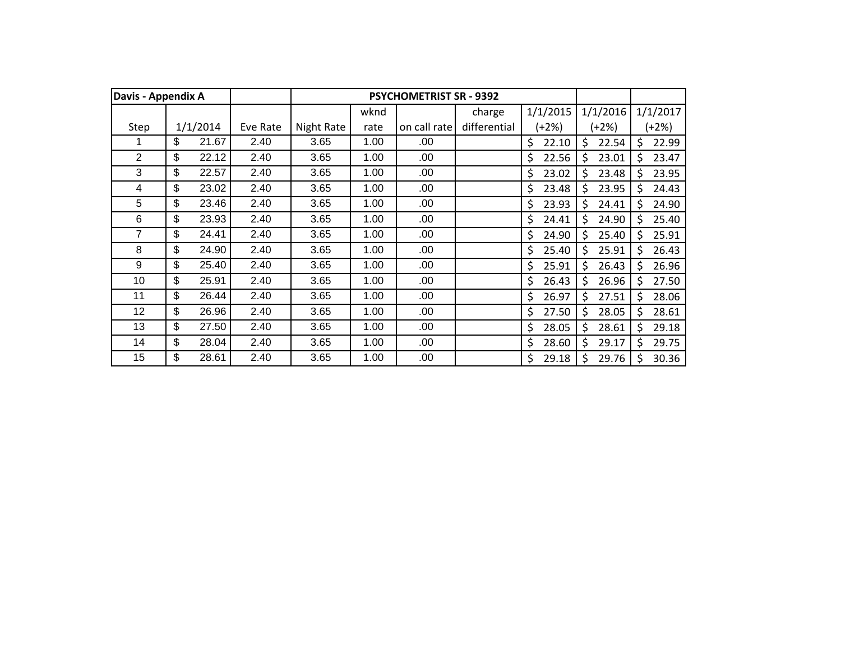| Davis - Appendix A |             |          |            |      | <b>PSYCHOMETRIST SR - 9392</b> |              |             |             |    |          |
|--------------------|-------------|----------|------------|------|--------------------------------|--------------|-------------|-------------|----|----------|
|                    |             |          |            | wknd |                                | charge       | 1/1/2015    | 1/1/2016    |    | 1/1/2017 |
| Step               | 1/1/2014    | Eve Rate | Night Rate | rate | on call rate                   | differential | $(+2%)$     | (+2%)       |    | $(+2%)$  |
|                    | \$<br>21.67 | 2.40     | 3.65       | 1.00 | .00                            |              | \$<br>22.10 | \$<br>22.54 | \$ | 22.99    |
| $\overline{2}$     | \$<br>22.12 | 2.40     | 3.65       | 1.00 | .00                            |              | \$<br>22.56 | \$<br>23.01 | \$ | 23.47    |
| 3                  | \$<br>22.57 | 2.40     | 3.65       | 1.00 | .00                            |              | \$<br>23.02 | \$<br>23.48 | \$ | 23.95    |
| 4                  | \$<br>23.02 | 2.40     | 3.65       | 1.00 | .00                            |              | \$<br>23.48 | \$<br>23.95 | Ś  | 24.43    |
| 5                  | \$<br>23.46 | 2.40     | 3.65       | 1.00 | .00                            |              | \$<br>23.93 | \$<br>24.41 | \$ | 24.90    |
| 6                  | \$<br>23.93 | 2.40     | 3.65       | 1.00 | .00                            |              | \$<br>24.41 | \$<br>24.90 | \$ | 25.40    |
| 7                  | \$<br>24.41 | 2.40     | 3.65       | 1.00 | .00                            |              | \$<br>24.90 | \$<br>25.40 | \$ | 25.91    |
| 8                  | \$<br>24.90 | 2.40     | 3.65       | 1.00 | .00                            |              | \$<br>25.40 | \$<br>25.91 | \$ | 26.43    |
| 9                  | \$<br>25.40 | 2.40     | 3.65       | 1.00 | .00                            |              | \$<br>25.91 | \$<br>26.43 | \$ | 26.96    |
| 10                 | \$<br>25.91 | 2.40     | 3.65       | 1.00 | .00                            |              | \$<br>26.43 | \$<br>26.96 | \$ | 27.50    |
| 11                 | \$<br>26.44 | 2.40     | 3.65       | 1.00 | .00                            |              | \$<br>26.97 | \$<br>27.51 | \$ | 28.06    |
| 12                 | \$<br>26.96 | 2.40     | 3.65       | 1.00 | .00                            |              | \$<br>27.50 | \$<br>28.05 | \$ | 28.61    |
| 13                 | \$<br>27.50 | 2.40     | 3.65       | 1.00 | .00.                           |              | \$<br>28.05 | \$<br>28.61 | \$ | 29.18    |
| 14                 | \$<br>28.04 | 2.40     | 3.65       | 1.00 | .00                            |              | \$<br>28.60 | \$<br>29.17 | \$ | 29.75    |
| 15                 | \$<br>28.61 | 2.40     | 3.65       | 1.00 | .00                            |              | \$<br>29.18 | Ś<br>29.76  | Ś  | 30.36    |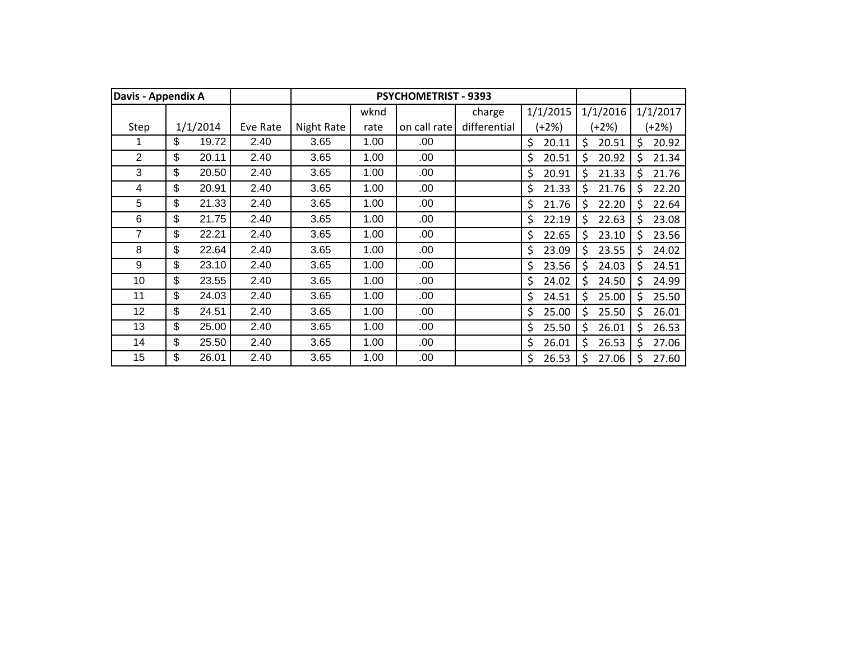| Davis - Appendix A |             |          |            |      | <b>PSYCHOMETRIST - 9393</b> |              |             |             |    |          |
|--------------------|-------------|----------|------------|------|-----------------------------|--------------|-------------|-------------|----|----------|
|                    |             |          |            | wknd |                             | charge       | 1/1/2015    | 1/1/2016    |    | 1/1/2017 |
| Step               | 1/1/2014    | Eve Rate | Night Rate | rate | on call rate                | differential | (+2%)       | (+2%)       |    | $(+2%)$  |
|                    | \$<br>19.72 | 2.40     | 3.65       | 1.00 | .00                         |              | \$<br>20.11 | \$<br>20.51 | \$ | 20.92    |
| $\overline{2}$     | \$<br>20.11 | 2.40     | 3.65       | 1.00 | .00                         |              | \$<br>20.51 | Ś<br>20.92  | Ŝ. | 21.34    |
| 3                  | \$<br>20.50 | 2.40     | 3.65       | 1.00 | .00                         |              | \$<br>20.91 | Ś<br>21.33  | Ś. | 21.76    |
| 4                  | \$<br>20.91 | 2.40     | 3.65       | 1.00 | .00                         |              | \$<br>21.33 | \$<br>21.76 | Ś  | 22.20    |
| 5                  | \$<br>21.33 | 2.40     | 3.65       | 1.00 | .00                         |              | \$<br>21.76 | \$<br>22.20 | \$ | 22.64    |
| 6                  | \$<br>21.75 | 2.40     | 3.65       | 1.00 | .00                         |              | \$<br>22.19 | \$<br>22.63 | \$ | 23.08    |
| 7                  | \$<br>22.21 | 2.40     | 3.65       | 1.00 | .00                         |              | \$<br>22.65 | \$<br>23.10 | \$ | 23.56    |
| 8                  | \$<br>22.64 | 2.40     | 3.65       | 1.00 | .00                         |              | \$<br>23.09 | \$<br>23.55 | \$ | 24.02    |
| 9                  | \$<br>23.10 | 2.40     | 3.65       | 1.00 | .00                         |              | \$<br>23.56 | \$<br>24.03 | \$ | 24.51    |
| 10                 | \$<br>23.55 | 2.40     | 3.65       | 1.00 | .00                         |              | \$<br>24.02 | \$<br>24.50 | \$ | 24.99    |
| 11                 | \$<br>24.03 | 2.40     | 3.65       | 1.00 | .00.                        |              | \$<br>24.51 | \$<br>25.00 | \$ | 25.50    |
| 12                 | \$<br>24.51 | 2.40     | 3.65       | 1.00 | .00                         |              | \$<br>25.00 | \$<br>25.50 | \$ | 26.01    |
| 13                 | \$<br>25.00 | 2.40     | 3.65       | 1.00 | .00.                        |              | \$<br>25.50 | \$<br>26.01 | \$ | 26.53    |
| 14                 | \$<br>25.50 | 2.40     | 3.65       | 1.00 | .00                         |              | \$<br>26.01 | \$<br>26.53 | Ŝ  | 27.06    |
| 15                 | \$<br>26.01 | 2.40     | 3.65       | 1.00 | .00                         |              | \$<br>26.53 | \$<br>27.06 | Ś  | 27.60    |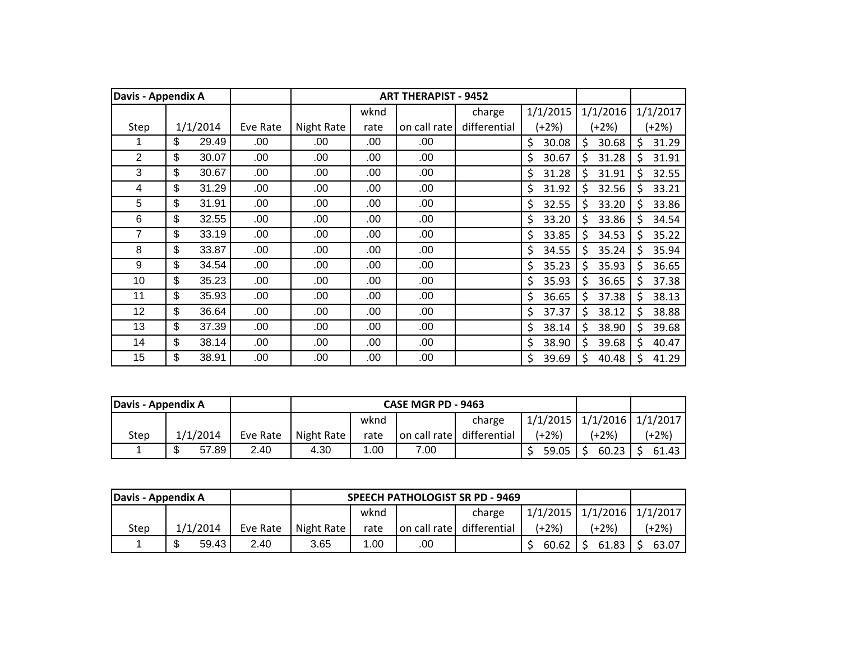| Davis - Appendix A |             |          |            |      | <b>ART THERAPIST - 9452</b> |              |             |             |     |          |
|--------------------|-------------|----------|------------|------|-----------------------------|--------------|-------------|-------------|-----|----------|
|                    |             |          |            | wknd |                             | charge       | 1/1/2015    | 1/1/2016    |     | 1/1/2017 |
| Step               | 1/1/2014    | Eve Rate | Night Rate | rate | on call rate                | differential | $(+2%)$     | (+2%)       |     | $(+2%)$  |
|                    | \$<br>29.49 | .00      | .00        | .00  | .00                         |              | \$<br>30.08 | \$<br>30.68 | \$  | 31.29    |
| 2                  | \$<br>30.07 | .00      | .00        | .00  | .00                         |              | \$<br>30.67 | \$<br>31.28 | \$  | 31.91    |
| 3                  | \$<br>30.67 | .00      | .00        | .00  | .00                         |              | \$<br>31.28 | \$<br>31.91 | Ś   | 32.55    |
| 4                  | \$<br>31.29 | .00      | .00        | .00  | .00                         |              | \$<br>31.92 | Ś.<br>32.56 | \$. | 33.21    |
| 5                  | \$<br>31.91 | .00      | .00        | .00  | .00                         |              | \$<br>32.55 | 33.20<br>Ś  | \$  | 33.86    |
| 6                  | \$<br>32.55 | .00.     | .00        | .00  | .00                         |              | \$<br>33.20 | \$<br>33.86 | \$  | 34.54    |
| 7                  | \$<br>33.19 | .00      | .00        | .00  | .00                         |              | \$<br>33.85 | \$<br>34.53 | \$  | 35.22    |
| 8                  | \$<br>33.87 | .00      | .00        | .00  | .00                         |              | \$<br>34.55 | \$<br>35.24 | \$  | 35.94    |
| 9                  | \$<br>34.54 | .00      | .00        | .00  | .00                         |              | \$<br>35.23 | \$<br>35.93 | \$  | 36.65    |
| 10                 | \$<br>35.23 | .00      | .00        | .00  | .00                         |              | \$<br>35.93 | \$<br>36.65 | \$  | 37.38    |
| 11                 | \$<br>35.93 | .00.     | .00        | .00  | .00                         |              | \$<br>36.65 | \$<br>37.38 | \$  | 38.13    |
| 12                 | \$<br>36.64 | .00.     | .00        | .00  | .00.                        |              | \$<br>37.37 | \$<br>38.12 | \$  | 38.88    |
| 13                 | \$<br>37.39 | .00.     | .00        | .00  | .00.                        |              | \$<br>38.14 | \$<br>38.90 | \$  | 39.68    |
| 14                 | \$<br>38.14 | .00.     | .00        | .00  | .00                         |              | \$<br>38.90 | \$<br>39.68 | \$  | 40.47    |
| 15                 | \$<br>38.91 | .00      | .00        | .00  | .00                         |              | \$<br>39.69 | \$<br>40.48 | Ś   | 41.29    |

| Davis - Appendix A |            |          |            |      | CASE MGR PD - 9463 |                           |                                  |              |         |
|--------------------|------------|----------|------------|------|--------------------|---------------------------|----------------------------------|--------------|---------|
|                    |            |          |            | wknd |                    | charge                    | $1/1/2015$ $1/1/2016$ $1/1/2017$ |              |         |
| Step               | 1/1/2014   | Eve Rate | Night Rate | rate |                    | on call rate differential | (+2%)                            | (+2%)        | $(+2%)$ |
|                    | 57.89<br>ጦ | 2.40     | 4.30       | .00  | 7.00               |                           | 59.05                            | $60.23$   \$ | 61.43   |

| Davis - Appendix A |          |          |                     |      |  | SPEECH PATHOLOGIST SR PD - 9469 |                         |                                  |         |
|--------------------|----------|----------|---------------------|------|--|---------------------------------|-------------------------|----------------------------------|---------|
|                    |          |          |                     | wknd |  | charge                          |                         | $1/1/2015$ $1/1/2016$ $1/1/2017$ |         |
| Step               | 1/1/2014 | Eve Rate | Night Rate          | rate |  | on call rate differential       | $(+2%)$                 | (+2%)                            | $(+2%)$ |
|                    | 59.43    | 2.40     | 1.00<br>3.65<br>.00 |      |  |                                 | $60.62$   \$ 61.83   \$ | 63.07                            |         |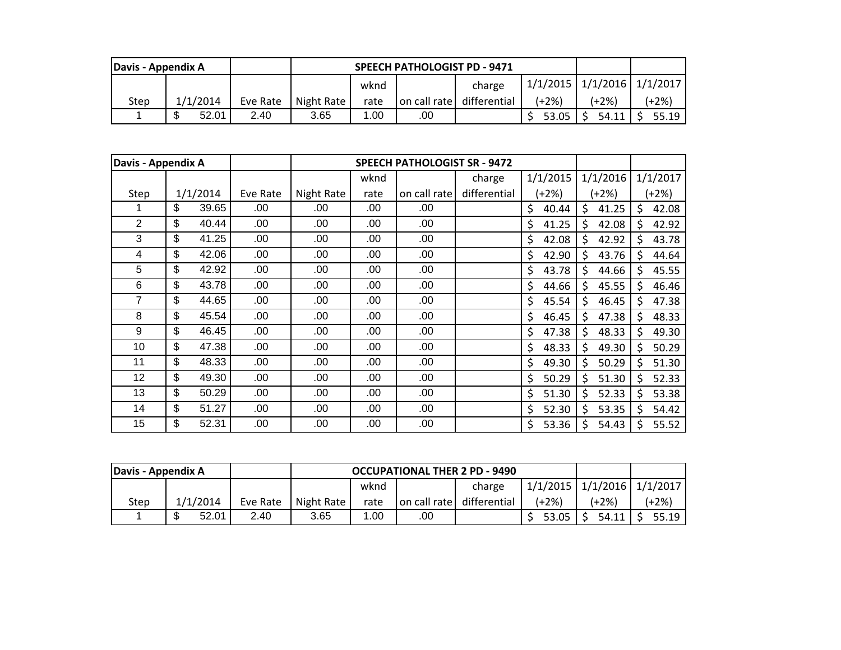| Davis - Appendix A |                 |          |            |                                                    |              |              |       |       |         |
|--------------------|-----------------|----------|------------|----------------------------------------------------|--------------|--------------|-------|-------|---------|
|                    |                 |          |            | 1/1/2015   1/1/2016   1/1/2017  <br>charge<br>wknd |              |              |       |       |         |
| Step               | 1/1/2014        | Eve Rate | Night Rate | rate                                               | on call rate | differential | (+2%) | (+2%) | $+2\%)$ |
|                    | ጥ<br>52.01<br>ъ | 2.40     | 3.65       | 1.00                                               | .00          |              | 53.05 | 54.11 | 55.19   |

| Davis - Appendix A |             |          |            | <b>SPEECH PATHOLOGIST SR - 9472</b> |              |              |             |             |             |
|--------------------|-------------|----------|------------|-------------------------------------|--------------|--------------|-------------|-------------|-------------|
|                    |             |          |            | wknd                                |              | charge       | 1/1/2015    | 1/1/2016    | 1/1/2017    |
| Step               | 1/1/2014    | Eve Rate | Night Rate | rate                                | on call rate | differential | (+2%)       | (+2%)       | (+2%)       |
|                    | \$<br>39.65 | .00      | .00        | .00                                 | .00          |              | \$<br>40.44 | \$<br>41.25 | \$<br>42.08 |
| $\overline{2}$     | \$<br>40.44 | .00      | .00        | .00                                 | .00          |              | \$<br>41.25 | \$<br>42.08 | \$<br>42.92 |
| 3                  | \$<br>41.25 | .00      | .00        | .00                                 | .00          |              | \$<br>42.08 | \$<br>42.92 | \$<br>43.78 |
| 4                  | \$<br>42.06 | .00      | .00        | .00                                 | .00          |              | \$<br>42.90 | \$<br>43.76 | \$<br>44.64 |
| 5                  | \$<br>42.92 | .00      | .00        | .00                                 | .00          |              | \$<br>43.78 | Ś<br>44.66  | \$<br>45.55 |
| 6                  | \$<br>43.78 | .00      | .00        | .00                                 | .00          |              | \$<br>44.66 | \$<br>45.55 | \$<br>46.46 |
| 7                  | \$<br>44.65 | .00      | .00        | .00                                 | .00          |              | \$<br>45.54 | \$<br>46.45 | \$<br>47.38 |
| 8                  | \$<br>45.54 | .00      | .00.       | .00                                 | .00          |              | \$<br>46.45 | \$<br>47.38 | \$<br>48.33 |
| 9                  | \$<br>46.45 | .00      | .00        | .00                                 | .00          |              | \$<br>47.38 | \$<br>48.33 | \$<br>49.30 |
| 10                 | \$<br>47.38 | .00      | .00        | .00                                 | .00          |              | \$<br>48.33 | \$<br>49.30 | \$<br>50.29 |
| 11                 | \$<br>48.33 | .00.     | .00        | .00                                 | .00          |              | \$<br>49.30 | \$<br>50.29 | \$<br>51.30 |
| 12                 | \$<br>49.30 | .00      | .00        | .00                                 | .00          |              | \$<br>50.29 | \$<br>51.30 | \$<br>52.33 |
| 13                 | \$<br>50.29 | .00      | .00        | .00                                 | .00          |              | \$<br>51.30 | \$<br>52.33 | \$<br>53.38 |
| 14                 | \$<br>51.27 | .00      | .00        | .00                                 | .00          |              | \$<br>52.30 | \$<br>53.35 | \$<br>54.42 |
| 15                 | \$<br>52.31 | .00      | .00        | .00                                 | .00          |              | \$<br>53.36 | \$<br>54.43 | \$<br>55.52 |

| Davis - Appendix A |          |          |            | <b>OCCUPATIONAL THER 2 PD - 9490</b>               |     |                           |                   |                   |         |
|--------------------|----------|----------|------------|----------------------------------------------------|-----|---------------------------|-------------------|-------------------|---------|
|                    |          |          |            | $1/1/2015$ $1/1/2016$ $1/1/2017$<br>wknd<br>charge |     |                           |                   |                   |         |
| Step               | 1/1/2014 | Eve Rate | Night Rate | rate                                               |     | on call rate differential | (+2%)             | (+2%)             | (+2%)   |
|                    | 52.01    | 2.40     | 3.65       | 1.00                                               | .00 |                           | $53.05$ $\mid$ \$ | $54.11$ $\mid$ \$ | $55.19$ |